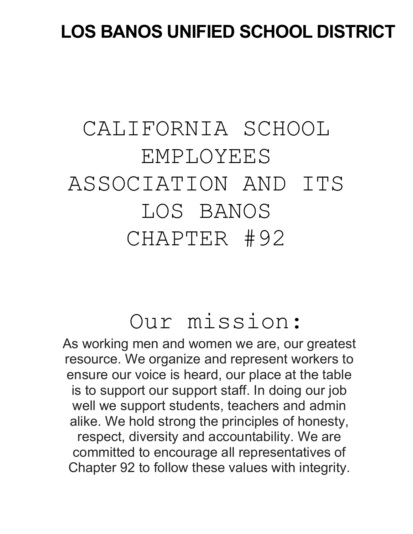# **LOS BANOS UNIFIED SCHOOL DISTRICT**

# CALIFORNIA SCHOOL EMPLOYEES ASSOCIATION AND ITS LOS BANOS CHAPTER #92

# Our mission:

As working men and women we are, our greatest resource. We organize and represent workers to ensure our voice is heard, our place at the table is to support our support staff. In doing our job well we support students, teachers and admin alike. We hold strong the principles of honesty, respect, diversity and accountability. We are committed to encourage all representatives of Chapter 92 to follow these values with integrity.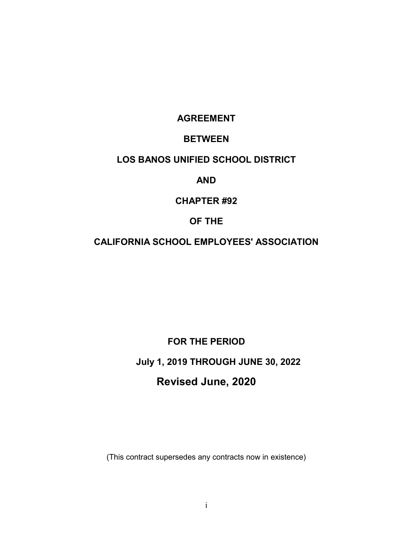# **AGREEMENT**

# **BETWEEN**

# **LOS BANOS UNIFIED SCHOOL DISTRICT**

### **AND**

# **CHAPTER #92**

## **OF THE**

# **CALIFORNIA SCHOOL EMPLOYEES' ASSOCIATION**

**FOR THE PERIOD**

**July 1, 2019 THROUGH JUNE 30, 2022**

# **Revised June, 2020**

(This contract supersedes any contracts now in existence)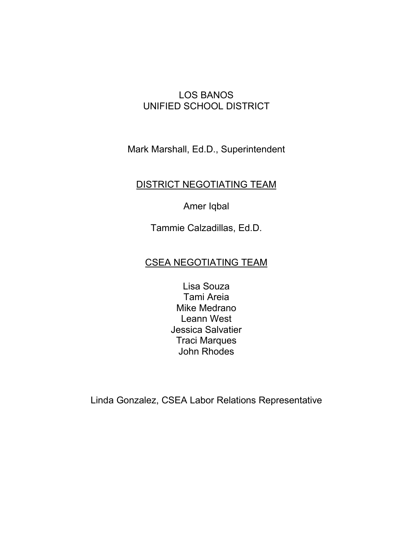# LOS BANOS UNIFIED SCHOOL DISTRICT

Mark Marshall, Ed.D., Superintendent

# DISTRICT NEGOTIATING TEAM

Amer Iqbal

Tammie Calzadillas, Ed.D.

# CSEA NEGOTIATING TEAM

Lisa Souza Tami Areia Mike Medrano Leann West Jessica Salvatier Traci Marques John Rhodes

Linda Gonzalez, CSEA Labor Relations Representative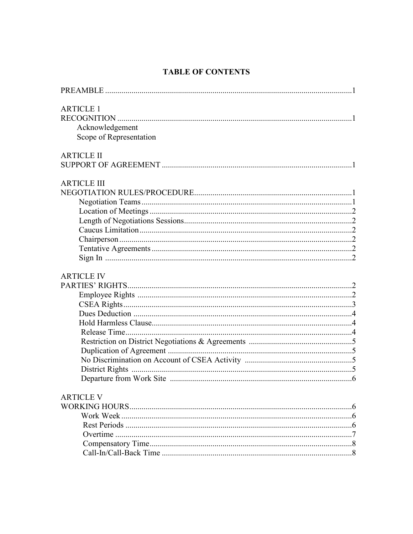# **TABLE OF CONTENTS**

| <b>ARTICLE 1</b>        |  |
|-------------------------|--|
|                         |  |
| Acknowledgement         |  |
| Scope of Representation |  |
| <b>ARTICLE II</b>       |  |
|                         |  |
| <b>ARTICLE III</b>      |  |
|                         |  |
|                         |  |
|                         |  |
|                         |  |
|                         |  |
|                         |  |
|                         |  |
|                         |  |
| <b>ARTICLE IV</b>       |  |
|                         |  |
|                         |  |
|                         |  |
|                         |  |
|                         |  |
|                         |  |
|                         |  |
|                         |  |
|                         |  |
|                         |  |
|                         |  |
| <b>ARTICLE V</b>        |  |
|                         |  |
|                         |  |
|                         |  |
|                         |  |
|                         |  |
|                         |  |
|                         |  |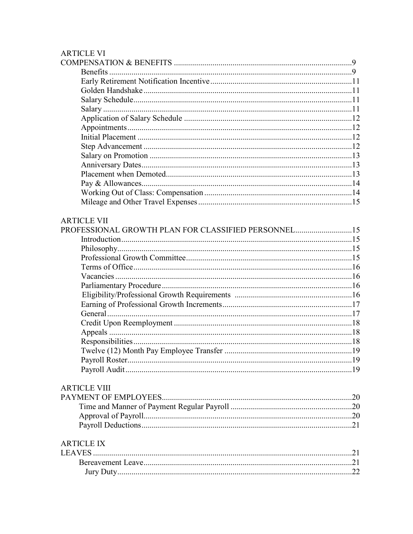## **ARTICLE VI**

| <b>ARTICLE VII</b>                                  |  |
|-----------------------------------------------------|--|
| PROFESSIONAL GROWTH PLAN FOR CLASSIFIED PERSONNEL15 |  |
|                                                     |  |
|                                                     |  |
|                                                     |  |
|                                                     |  |
|                                                     |  |
|                                                     |  |
|                                                     |  |
|                                                     |  |
|                                                     |  |
|                                                     |  |
|                                                     |  |
|                                                     |  |
|                                                     |  |
|                                                     |  |
|                                                     |  |
|                                                     |  |
| <b>ARTICLE VIII</b>                                 |  |
|                                                     |  |
|                                                     |  |
|                                                     |  |
|                                                     |  |
|                                                     |  |

# **ARTICLE IX**

| LEAVES. |  |
|---------|--|
|         |  |
|         |  |
|         |  |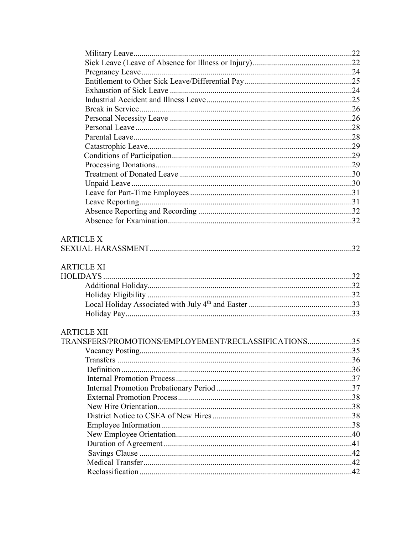| <b>ARTICLE XII</b><br>TRANSFERS/PROMOTIONS/EMPLOYEMENT/RECLASSIFICATIONS35 |  |
|----------------------------------------------------------------------------|--|
|                                                                            |  |
|                                                                            |  |
|                                                                            |  |
|                                                                            |  |
|                                                                            |  |
|                                                                            |  |
|                                                                            |  |
|                                                                            |  |
|                                                                            |  |
|                                                                            |  |
|                                                                            |  |
|                                                                            |  |
|                                                                            |  |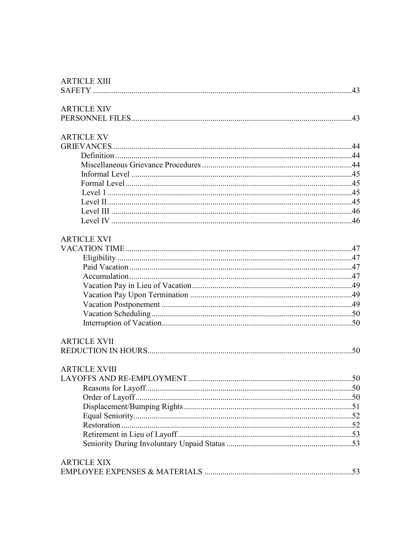| <b>ARTICLE XIV</b>   |  |
|----------------------|--|
|                      |  |
|                      |  |
| <b>ARTICLE XV</b>    |  |
|                      |  |
|                      |  |
|                      |  |
|                      |  |
|                      |  |
|                      |  |
|                      |  |
|                      |  |
|                      |  |
| <b>ARTICLE XVI</b>   |  |
|                      |  |
|                      |  |
|                      |  |
|                      |  |
|                      |  |
|                      |  |
|                      |  |
|                      |  |
|                      |  |
|                      |  |
| <b>ARTICLE XVII</b>  |  |
|                      |  |
|                      |  |
| <b>ARTICLE XVIII</b> |  |
|                      |  |
|                      |  |
|                      |  |
|                      |  |
|                      |  |
|                      |  |
|                      |  |
|                      |  |
| <b>ARTICLE XIX</b>   |  |
|                      |  |
|                      |  |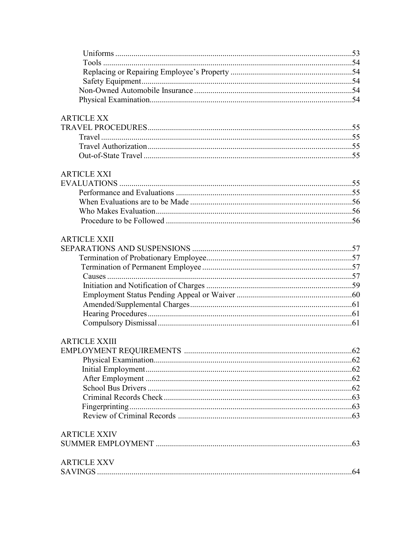# **ARTICLE XX**

# **ARTICLE XXI**

# **ARTICLE XXII**

# **ARTICLE XXIII**

| <b>ARTICLE XXIV</b> |  |
|---------------------|--|
|                     |  |
| <b>ARTICLE XXV</b>  |  |
|                     |  |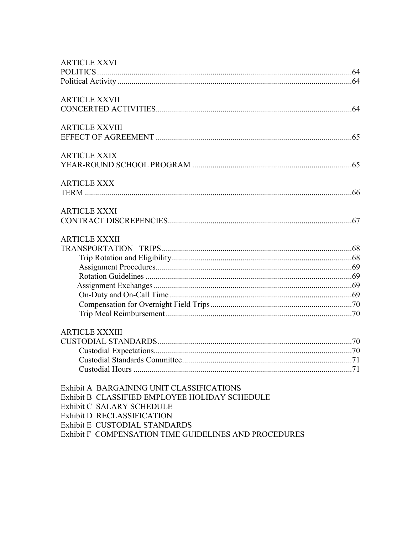| <b>ARTICLE XXVI</b>                                   |
|-------------------------------------------------------|
|                                                       |
|                                                       |
| <b>ARTICLE XXVII</b>                                  |
|                                                       |
| <b>ARTICLE XXVIII</b>                                 |
|                                                       |
| <b>ARTICLE XXIX</b>                                   |
|                                                       |
| <b>ARTICLE XXX</b>                                    |
|                                                       |
| <b>ARTICLE XXXI</b>                                   |
|                                                       |
| <b>ARTICLE XXXII</b>                                  |
|                                                       |
|                                                       |
|                                                       |
|                                                       |
|                                                       |
|                                                       |
|                                                       |
|                                                       |
| <b>ARTICLE XXXIII</b>                                 |
|                                                       |
|                                                       |
| Custodial Standards Committee                         |
|                                                       |
| Exhibit A BARGAINING UNIT CLASSIFICATIONS             |
| Exhibit B CLASSIFIED EMPLOYEE HOLIDAY SCHEDULE        |
| Exhibit C SALARY SCHEDULE                             |
| Exhibit D RECLASSIFICATION                            |
| Exhibit E CUSTODIAL STANDARDS                         |
| Exhibit F COMPENSATION TIME GUIDELINES AND PROCEDURES |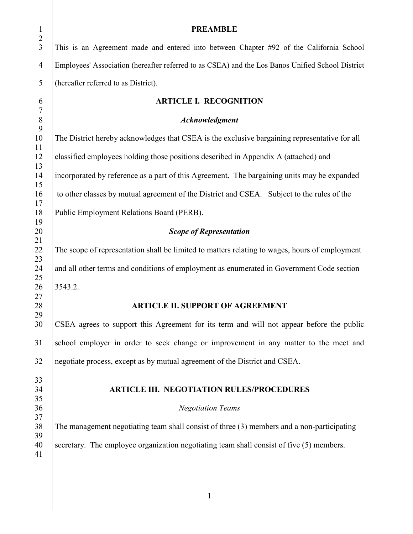| $\mathbf{1}$                     | <b>PREAMBLE</b>                                                                                  |
|----------------------------------|--------------------------------------------------------------------------------------------------|
| $\overline{2}$<br>$\overline{3}$ | This is an Agreement made and entered into between Chapter #92 of the California School          |
| $\overline{4}$                   | Employees' Association (hereafter referred to as CSEA) and the Los Banos Unified School District |
| 5                                | (hereafter referred to as District).                                                             |
| 6<br>$\boldsymbol{7}$            | <b>ARTICLE I. RECOGNITION</b>                                                                    |
| $\,8\,$                          | Acknowledgment                                                                                   |
| 9<br>10                          | The District hereby acknowledges that CSEA is the exclusive bargaining representative for all    |
| 11<br>12                         | classified employees holding those positions described in Appendix A (attached) and              |
| 13<br>14                         | incorporated by reference as a part of this Agreement. The bargaining units may be expanded      |
| 15<br>16                         | to other classes by mutual agreement of the District and CSEA. Subject to the rules of the       |
| 17<br>18                         | Public Employment Relations Board (PERB).                                                        |
| 19<br>20                         | <b>Scope of Representation</b>                                                                   |
| 21<br>22<br>23                   | The scope of representation shall be limited to matters relating to wages, hours of employment   |
| 24<br>25                         | and all other terms and conditions of employment as enumerated in Government Code section        |
| 26<br>27                         | 3543.2.                                                                                          |
| 28<br>29                         | <b>ARTICLE II. SUPPORT OF AGREEMENT</b>                                                          |
| 30                               | CSEA agrees to support this Agreement for its term and will not appear before the public         |
| 31                               | school employer in order to seek change or improvement in any matter to the meet and             |
| 32                               | negotiate process, except as by mutual agreement of the District and CSEA.                       |
| 33<br>34                         | <b>ARTICLE III. NEGOTIATION RULES/PROCEDURES</b>                                                 |
| 35                               |                                                                                                  |
| 36                               | <b>Negotiation Teams</b>                                                                         |
| 37                               |                                                                                                  |
| 38                               | The management negotiating team shall consist of three (3) members and a non-participating       |
| 39                               |                                                                                                  |
| 40<br>41                         | secretary. The employee organization negotiating team shall consist of five (5) members.         |
|                                  |                                                                                                  |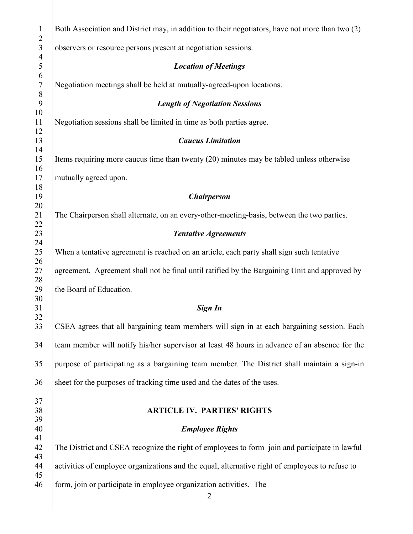| $\mathbf{1}$<br>$\overline{2}$          | Both Association and District may, in addition to their negotiators, have not more than two (2) |
|-----------------------------------------|-------------------------------------------------------------------------------------------------|
| $\mathfrak{Z}$<br>$\overline{4}$        | observers or resource persons present at negotiation sessions.                                  |
| 5                                       | <b>Location of Meetings</b>                                                                     |
| $\sqrt{6}$<br>$\boldsymbol{7}$<br>$8\,$ | Negotiation meetings shall be held at mutually-agreed-upon locations.                           |
| 9<br>10                                 | <b>Length of Negotiation Sessions</b>                                                           |
| 11<br>12                                | Negotiation sessions shall be limited in time as both parties agree.                            |
| 13<br>14                                | <b>Caucus Limitation</b>                                                                        |
| 15<br>16                                | Items requiring more caucus time than twenty (20) minutes may be tabled unless otherwise        |
| 17<br>18                                | mutually agreed upon.                                                                           |
| 19                                      | <b>Chairperson</b>                                                                              |
| 20<br>21<br>22                          | The Chairperson shall alternate, on an every-other-meeting-basis, between the two parties.      |
| 23<br>24                                | <b>Tentative Agreements</b>                                                                     |
| 25<br>26                                | When a tentative agreement is reached on an article, each party shall sign such tentative       |
| 27<br>28                                | agreement. Agreement shall not be final until ratified by the Bargaining Unit and approved by   |
| 29<br>30                                | the Board of Education.                                                                         |
| 31<br>32                                | Sign In                                                                                         |
| 33                                      | CSEA agrees that all bargaining team members will sign in at each bargaining session. Each      |
| 34                                      | team member will notify his/her supervisor at least 48 hours in advance of an absence for the   |
| 35                                      | purpose of participating as a bargaining team member. The District shall maintain a sign-in     |
| 36                                      | sheet for the purposes of tracking time used and the dates of the uses.                         |
| 37<br>38<br>39                          | <b>ARTICLE IV. PARTIES' RIGHTS</b>                                                              |
| 40                                      | <b>Employee Rights</b>                                                                          |
| 41<br>42                                | The District and CSEA recognize the right of employees to form join and participate in lawful   |
| 43<br>44<br>45                          | activities of employee organizations and the equal, alternative right of employees to refuse to |
| 46                                      | form, join or participate in employee organization activities. The<br>$\overline{2}$            |
|                                         |                                                                                                 |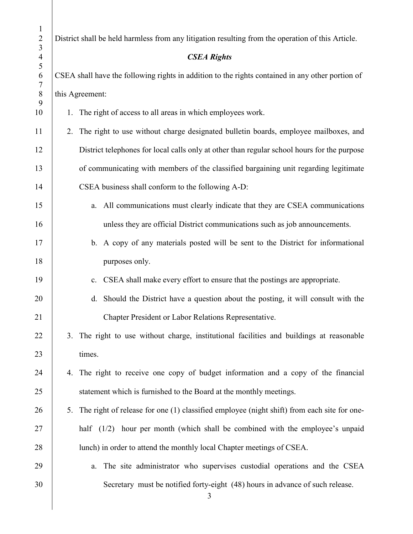| $\mathbf{1}$<br>$\overline{2}$<br>$\overline{3}$ | District shall be held harmless from any litigation resulting from the operation of this Article. |  |
|--------------------------------------------------|---------------------------------------------------------------------------------------------------|--|
| $\overline{4}$<br>5                              | <b>CSEA Rights</b>                                                                                |  |
| 6<br>7                                           | CSEA shall have the following rights in addition to the rights contained in any other portion of  |  |
| $\, 8$<br>9                                      | this Agreement:                                                                                   |  |
| 10                                               | 1. The right of access to all areas in which employees work.                                      |  |
| 11                                               | The right to use without charge designated bulletin boards, employee mailboxes, and<br>2.         |  |
| 12                                               | District telephones for local calls only at other than regular school hours for the purpose       |  |
| 13                                               | of communicating with members of the classified bargaining unit regarding legitimate              |  |
| 14                                               | CSEA business shall conform to the following A-D:                                                 |  |
| 15                                               | a. All communications must clearly indicate that they are CSEA communications                     |  |
| 16                                               | unless they are official District communications such as job announcements.                       |  |
| 17                                               | b. A copy of any materials posted will be sent to the District for informational                  |  |
| 18                                               | purposes only.                                                                                    |  |
| 19                                               | CSEA shall make every effort to ensure that the postings are appropriate.<br>c.                   |  |
| 20                                               | Should the District have a question about the posting, it will consult with the<br>d.             |  |
| 21                                               | Chapter President or Labor Relations Representative.                                              |  |
| 22                                               | 3. The right to use without charge, institutional facilities and buildings at reasonable          |  |
| 23                                               | times.                                                                                            |  |
| 24                                               | 4. The right to receive one copy of budget information and a copy of the financial                |  |
| 25                                               | statement which is furnished to the Board at the monthly meetings.                                |  |
| 26                                               | The right of release for one (1) classified employee (night shift) from each site for one-<br>5.  |  |
| 27                                               | half $(1/2)$ hour per month (which shall be combined with the employee's unpaid                   |  |
| 28                                               | lunch) in order to attend the monthly local Chapter meetings of CSEA.                             |  |
| 29                                               | The site administrator who supervises custodial operations and the CSEA<br>a.                     |  |
| 30                                               | Secretary must be notified forty-eight (48) hours in advance of such release.<br>3                |  |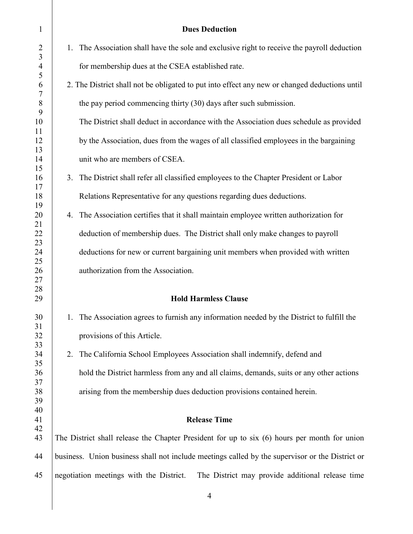| $\mathbf{1}$         |    | <b>Dues Deduction</b>                                                                           |
|----------------------|----|-------------------------------------------------------------------------------------------------|
| $\overline{2}$       |    | 1. The Association shall have the sole and exclusive right to receive the payroll deduction     |
| 3<br>$\overline{4}$  |    | for membership dues at the CSEA established rate.                                               |
| 5<br>6               |    | 2. The District shall not be obligated to put into effect any new or changed deductions until   |
| $\tau$<br>8          |    | the pay period commencing thirty (30) days after such submission.                               |
| 9<br>10              |    | The District shall deduct in accordance with the Association dues schedule as provided          |
| 11<br>12             |    | by the Association, dues from the wages of all classified employees in the bargaining           |
| 13<br>14             |    | unit who are members of CSEA.                                                                   |
| 15<br>16             | 3. | The District shall refer all classified employees to the Chapter President or Labor             |
| 17<br>18             |    | Relations Representative for any questions regarding dues deductions.                           |
| 19<br>20             |    | 4. The Association certifies that it shall maintain employee written authorization for          |
| 21                   |    | deduction of membership dues. The District shall only make changes to payroll                   |
| 22<br>23<br>24<br>25 |    | deductions for new or current bargaining unit members when provided with written                |
| 26<br>27             |    | authorization from the Association.                                                             |
| 28<br>29             |    | <b>Hold Harmless Clause</b>                                                                     |
| 30                   |    | 1. The Association agrees to furnish any information needed by the District to fulfill the      |
| 31<br>32             |    | provisions of this Article.                                                                     |
| 33<br>34             | 2. | The California School Employees Association shall indemnify, defend and                         |
| 35<br>36             |    | hold the District harmless from any and all claims, demands, suits or any other actions         |
| 37<br>38             |    | arising from the membership dues deduction provisions contained herein.                         |
| 39<br>40             |    |                                                                                                 |
| 41<br>42             |    | <b>Release Time</b>                                                                             |
| 43                   |    | The District shall release the Chapter President for up to six (6) hours per month for union    |
| 44                   |    | business. Union business shall not include meetings called by the supervisor or the District or |
| 45                   |    | negotiation meetings with the District.<br>The District may provide additional release time     |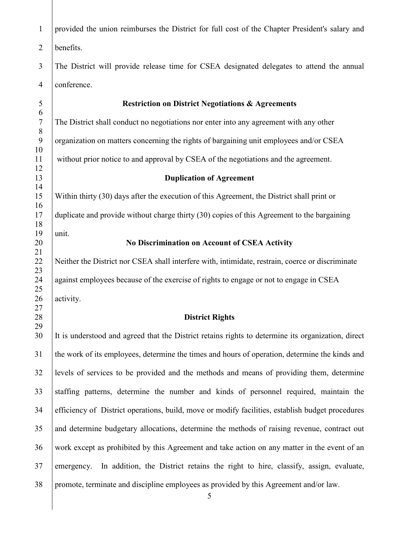| $\mathbf{1}$          | provided the union reimburses the District for full cost of the Chapter President's salary and          |
|-----------------------|---------------------------------------------------------------------------------------------------------|
| $\overline{2}$        | benefits.                                                                                               |
| 3                     | The District will provide release time for CSEA designated delegates to attend the annual               |
| $\overline{4}$        | conference.                                                                                             |
| 5                     | <b>Restriction on District Negotiations &amp; Agreements</b>                                            |
| 6<br>$\boldsymbol{7}$ | The District shall conduct no negotiations nor enter into any agreement with any other                  |
| 8                     |                                                                                                         |
| 9<br>10               | organization on matters concerning the rights of bargaining unit employees and/or CSEA                  |
| 11<br>12              | without prior notice to and approval by CSEA of the negotiations and the agreement.                     |
| 13                    | <b>Duplication of Agreement</b>                                                                         |
| 14<br>15              | Within thirty (30) days after the execution of this Agreement, the District shall print or              |
| 16<br>17              | duplicate and provide without charge thirty (30) copies of this Agreement to the bargaining             |
| 18                    |                                                                                                         |
| 19                    | unit.                                                                                                   |
| 20                    | No Discrimination on Account of CSEA Activity                                                           |
| 21<br>22<br>23        | Neither the District nor CSEA shall interfere with, intimidate, restrain, coerce or discriminate        |
| 24<br>25              | against employees because of the exercise of rights to engage or not to engage in CSEA                  |
| 26<br>27              | activity.                                                                                               |
| 28                    | <b>District Rights</b>                                                                                  |
| 29                    |                                                                                                         |
| 30                    | It is understood and agreed that the District retains rights to determine its organization, direct      |
| 31                    | the work of its employees, determine the times and hours of operation, determine the kinds and          |
| 32                    | levels of services to be provided and the methods and means of providing them, determine                |
| 33                    | staffing patterns, determine the number and kinds of personnel required, maintain the                   |
| 34                    | efficiency of District operations, build, move or modify facilities, establish budget procedures        |
| 35                    | and determine budgetary allocations, determine the methods of raising revenue, contract out             |
| 36                    | work except as prohibited by this Agreement and take action on any matter in the event of an            |
| 37                    | In addition, the District retains the right to hire, classify, assign, evaluate,<br>emergency.          |
| 38                    | promote, terminate and discipline employees as provided by this Agreement and/or law.<br>$\mathfrak{S}$ |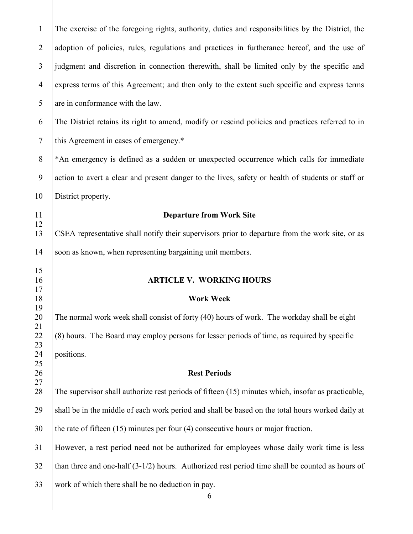| $\mathbf{1}$   | The exercise of the foregoing rights, authority, duties and responsibilities by the District, the  |
|----------------|----------------------------------------------------------------------------------------------------|
| $\overline{2}$ | adoption of policies, rules, regulations and practices in furtherance hereof, and the use of       |
| 3              | judgment and discretion in connection therewith, shall be limited only by the specific and         |
| $\overline{4}$ | express terms of this Agreement; and then only to the extent such specific and express terms       |
| 5              | are in conformance with the law.                                                                   |
| 6              | The District retains its right to amend, modify or rescind policies and practices referred to in   |
| $\tau$         | this Agreement in cases of emergency.*                                                             |
| 8              | *An emergency is defined as a sudden or unexpected occurrence which calls for immediate            |
| 9              | action to avert a clear and present danger to the lives, safety or health of students or staff or  |
| 10             | District property.                                                                                 |
| 11             | <b>Departure from Work Site</b>                                                                    |
| 12<br>13       | CSEA representative shall notify their supervisors prior to departure from the work site, or as    |
|                |                                                                                                    |
| 14             | soon as known, when representing bargaining unit members.                                          |
| 15             |                                                                                                    |
| 16<br>17       | <b>ARTICLE V. WORKING HOURS</b>                                                                    |
| 18             | <b>Work Week</b>                                                                                   |
| 19             |                                                                                                    |
| 20             | The normal work week shall consist of forty (40) hours of work. The workday shall be eight         |
| 21             | (8) hours. The Board may employ persons for lesser periods of time, as required by specific        |
| 22<br>23       |                                                                                                    |
| 24             | positions.                                                                                         |
| 25             |                                                                                                    |
| 26             | <b>Rest Periods</b>                                                                                |
| 27<br>28       | The supervisor shall authorize rest periods of fifteen (15) minutes which, insofar as practicable, |
| 29             | shall be in the middle of each work period and shall be based on the total hours worked daily at   |
| 30             | the rate of fifteen $(15)$ minutes per four $(4)$ consecutive hours or major fraction.             |
| 31             | However, a rest period need not be authorized for employees whose daily work time is less          |
| 32             | than three and one-half $(3-1/2)$ hours. Authorized rest period time shall be counted as hours of  |
| 33             | work of which there shall be no deduction in pay.<br>6                                             |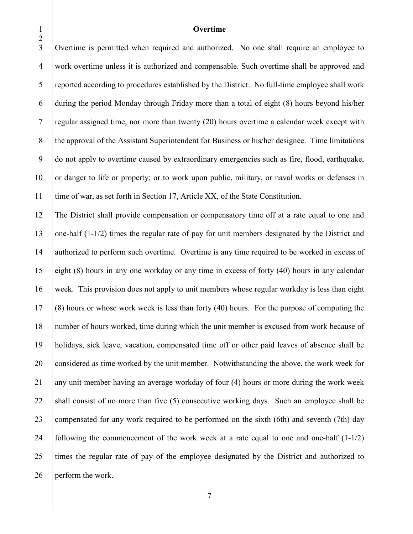#### **Overtime**

 Overtime is permitted when required and authorized. No one shall require an employee to work overtime unless it is authorized and compensable. Such overtime shall be approved and reported according to procedures established by the District. No full-time employee shall work during the period Monday through Friday more than a total of eight (8) hours beyond his/her regular assigned time, nor more than twenty (20) hours overtime a calendar week except with 8 the approval of the Assistant Superintendent for Business or his/her designee. Time limitations do not apply to overtime caused by extraordinary emergencies such as fire, flood, earthquake, 10 or danger to life or property; or to work upon public, military, or naval works or defenses in time of war, as set forth in Section 17, Article XX, of the State Constitution.

 The District shall provide compensation or compensatory time off at a rate equal to one and one-half (1-1/2) times the regular rate of pay for unit members designated by the District and authorized to perform such overtime. Overtime is any time required to be worked in excess of eight (8) hours in any one workday or any time in excess of forty (40) hours in any calendar week. This provision does not apply to unit members whose regular workday is less than eight  $17 \mid (8)$  hours or whose work week is less than forty (40) hours. For the purpose of computing the number of hours worked, time during which the unit member is excused from work because of holidays, sick leave, vacation, compensated time off or other paid leaves of absence shall be 20 considered as time worked by the unit member. Notwithstanding the above, the work week for 21 any unit member having an average workday of four  $(4)$  hours or more during the work week 22 shall consist of no more than five  $(5)$  consecutive working days. Such an employee shall be 23 compensated for any work required to be performed on the sixth (6th) and seventh (7th) day 24 following the commencement of the work week at a rate equal to one and one-half  $(1-1/2)$  times the regular rate of pay of the employee designated by the District and authorized to 26 perform the work.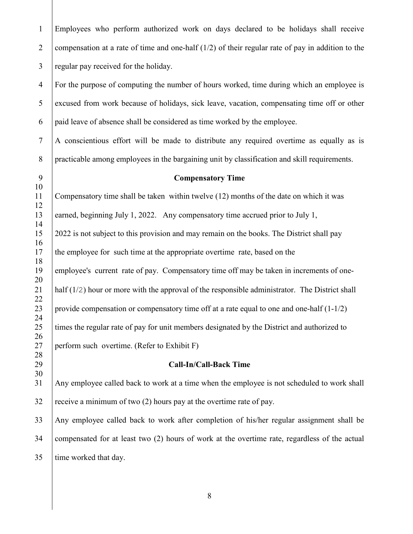Employees who perform authorized work on days declared to be holidays shall receive 2 compensation at a rate of time and one-half  $(1/2)$  of their regular rate of pay in addition to the regular pay received for the holiday.

 For the purpose of computing the number of hours worked, time during which an employee is excused from work because of holidays, sick leave, vacation, compensating time off or other | paid leave of absence shall be considered as time worked by the employee.

7 | A conscientious effort will be made to distribute any required overtime as equally as is practicable among employees in the bargaining unit by classification and skill requirements.

 **Compensatory Time** 

### Compensatory time shall be taken within twelve (12) months of the date on which it was 13 earned, beginning July 1, 2022. Any compensatory time accrued prior to July 1, 2022 is not subject to this provision and may remain on the books. The District shall pay 17 the employee for such time at the appropriate overtime rate, based on the employee's current rate of pay. Compensatory time off may be taken in increments of one- 21 | half  $(1/2)$  hour or more with the approval of the responsible administrator. The District shall 23 provide compensation or compensatory time off at a rate equal to one and one-half  $(1-1/2)$  25 times the regular rate of pay for unit members designated by the District and authorized to 27 | perform such overtime. (Refer to Exhibit F)

#### **Call-In/Call-Back Time**

 Any employee called back to work at a time when the employee is not scheduled to work shall receive a minimum of two (2) hours pay at the overtime rate of pay.

 Any employee called back to work after completion of his/her regular assignment shall be compensated for at least two (2) hours of work at the overtime rate, regardless of the actual time worked that day.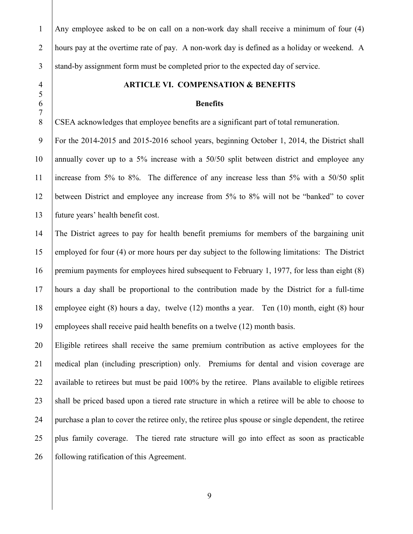Any employee asked to be on call on a non-work day shall receive a minimum of four (4) 2 hours pay at the overtime rate of pay. A non-work day is defined as a holiday or weekend. A 3 stand-by assignment form must be completed prior to the expected day of service. **ARTICLE VI. COMPENSATION & BENEFITS Benefits** CSEA acknowledges that employee benefits are a significant part of total remuneration. For the 2014-2015 and 2015-2016 school years, beginning October 1, 2014, the District shall 10 annually cover up to a 5% increase with a 50/50 split between district and employee any increase from 5% to 8%. The difference of any increase less than 5% with a 50/50 split between District and employee any increase from 5% to 8% will not be "banked" to cover future years' health benefit cost. The District agrees to pay for health benefit premiums for members of the bargaining unit employed for four (4) or more hours per day subject to the following limitations: The District premium payments for employees hired subsequent to February 1, 1977, for less than eight (8) hours a day shall be proportional to the contribution made by the District for a full-time 18 employee eight (8) hours a day, twelve (12) months a year. Ten (10) month, eight (8) hour 19 employees shall receive paid health benefits on a twelve (12) month basis. Eligible retirees shall receive the same premium contribution as active employees for the medical plan (including prescription) only. Premiums for dental and vision coverage are 22 available to retirees but must be paid  $100\%$  by the retiree. Plans available to eligible retirees 23 shall be priced based upon a tiered rate structure in which a retiree will be able to choose to purchase a plan to cover the retiree only, the retiree plus spouse or single dependent, the retiree plus family coverage. The tiered rate structure will go into effect as soon as practicable **following ratification of this Agreement.**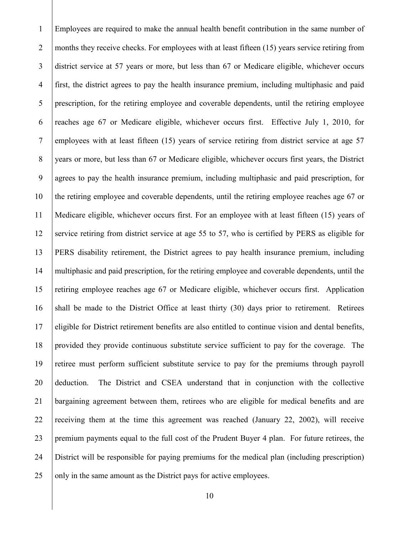Employees are required to make the annual health benefit contribution in the same number of 2 months they receive checks. For employees with at least fifteen (15) years service retiring from district service at 57 years or more, but less than 67 or Medicare eligible, whichever occurs first, the district agrees to pay the health insurance premium, including multiphasic and paid prescription, for the retiring employee and coverable dependents, until the retiring employee reaches age 67 or Medicare eligible, whichever occurs first. Effective July 1, 2010, for employees with at least fifteen (15) years of service retiring from district service at age 57 8 years or more, but less than 67 or Medicare eligible, whichever occurs first years, the District agrees to pay the health insurance premium, including multiphasic and paid prescription, for the retiring employee and coverable dependents, until the retiring employee reaches age 67 or Medicare eligible, whichever occurs first. For an employee with at least fifteen (15) years of 12 service retiring from district service at age 55 to 57, who is certified by PERS as eligible for PERS disability retirement, the District agrees to pay health insurance premium, including multiphasic and paid prescription, for the retiring employee and coverable dependents, until the retiring employee reaches age 67 or Medicare eligible, whichever occurs first. Application 16 shall be made to the District Office at least thirty (30) days prior to retirement. Retirees eligible for District retirement benefits are also entitled to continue vision and dental benefits, provided they provide continuous substitute service sufficient to pay for the coverage. The retiree must perform sufficient substitute service to pay for the premiums through payroll deduction. The District and CSEA understand that in conjunction with the collective bargaining agreement between them, retirees who are eligible for medical benefits and are 22 receiving them at the time this agreement was reached (January 22, 2002), will receive premium payments equal to the full cost of the Prudent Buyer 4 plan. For future retirees, the District will be responsible for paying premiums for the medical plan (including prescription) 25 only in the same amount as the District pays for active employees.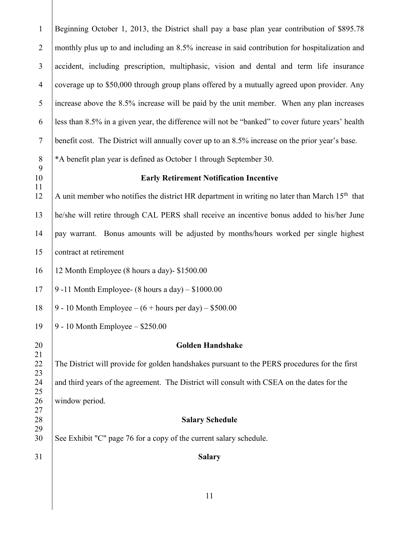| $\mathbf{1}$   | Beginning October 1, 2013, the District shall pay a base plan year contribution of \$895.78                |
|----------------|------------------------------------------------------------------------------------------------------------|
| $\overline{2}$ | monthly plus up to and including an 8.5% increase in said contribution for hospitalization and             |
| $\overline{3}$ | accident, including prescription, multiphasic, vision and dental and term life insurance                   |
| $\overline{4}$ | coverage up to \$50,000 through group plans offered by a mutually agreed upon provider. Any                |
| 5              | increase above the 8.5% increase will be paid by the unit member. When any plan increases                  |
| 6              | less than 8.5% in a given year, the difference will not be "banked" to cover future years' health          |
| $\tau$         | benefit cost. The District will annually cover up to an 8.5% increase on the prior year's base.            |
| $\, 8$         | *A benefit plan year is defined as October 1 through September 30.                                         |
| 9<br>10        | <b>Early Retirement Notification Incentive</b>                                                             |
| 11<br>12       | A unit member who notifies the district HR department in writing no later than March 15 <sup>th</sup> that |
| 13             | he/she will retire through CAL PERS shall receive an incentive bonus added to his/her June                 |
| 14             | pay warrant. Bonus amounts will be adjusted by months/hours worked per single highest                      |
| 15             | contract at retirement                                                                                     |
| 16             | 12 Month Employee (8 hours a day)- \$1500.00                                                               |
| 17             | 9 -11 Month Employee- $(8 \text{ hours a day}) - $1000.00$                                                 |
| 18             | 9 - 10 Month Employee – $(6 + \text{hours per day}) - $500.00$                                             |
| 19             | 9 - 10 Month Employee $-$ \$250.00                                                                         |
| 20             | <b>Golden Handshake</b>                                                                                    |
| 21<br>22<br>23 | The District will provide for golden handshakes pursuant to the PERS procedures for the first              |
| 24<br>25       | and third years of the agreement. The District will consult with CSEA on the dates for the                 |
| 26             | window period.                                                                                             |
| 27<br>28       | <b>Salary Schedule</b>                                                                                     |
| 29             |                                                                                                            |
| 30             | See Exhibit "C" page 76 for a copy of the current salary schedule.                                         |
| 31             | <b>Salary</b>                                                                                              |
|                |                                                                                                            |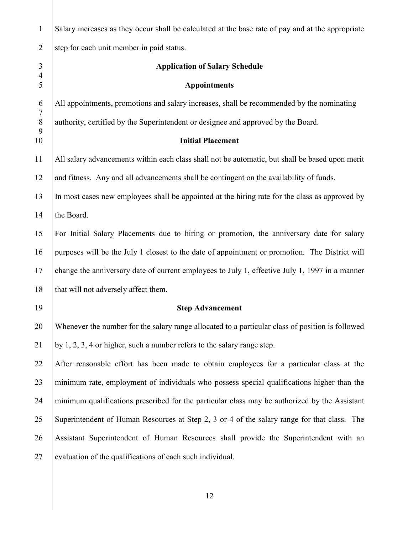| $\mathbf{1}$                     | Salary increases as they occur shall be calculated at the base rate of pay and at the appropriate |
|----------------------------------|---------------------------------------------------------------------------------------------------|
| $\overline{2}$                   | step for each unit member in paid status.                                                         |
| $\mathfrak{Z}$<br>$\overline{4}$ | <b>Application of Salary Schedule</b>                                                             |
| 5                                | <b>Appointments</b>                                                                               |
| 6<br>$\tau$                      | All appointments, promotions and salary increases, shall be recommended by the nominating         |
| $8\,$<br>9                       | authority, certified by the Superintendent or designee and approved by the Board.                 |
| 10                               | <b>Initial Placement</b>                                                                          |
| 11                               | All salary advancements within each class shall not be automatic, but shall be based upon merit   |
| 12                               | and fitness. Any and all advancements shall be contingent on the availability of funds.           |
| 13                               | In most cases new employees shall be appointed at the hiring rate for the class as approved by    |
| 14                               | the Board.                                                                                        |
| 15                               | For Initial Salary Placements due to hiring or promotion, the anniversary date for salary         |
| 16                               | purposes will be the July 1 closest to the date of appointment or promotion. The District will    |
| 17                               | change the anniversary date of current employees to July 1, effective July 1, 1997 in a manner    |
| 18                               | that will not adversely affect them.                                                              |
| 19                               | <b>Step Advancement</b>                                                                           |
| 20                               | Whenever the number for the salary range allocated to a particular class of position is followed  |
| 21                               | by $1, 2, 3, 4$ or higher, such a number refers to the salary range step.                         |
| 22                               | After reasonable effort has been made to obtain employees for a particular class at the           |
| 23                               | minimum rate, employment of individuals who possess special qualifications higher than the        |
| 24                               | minimum qualifications prescribed for the particular class may be authorized by the Assistant     |
| 25                               | Superintendent of Human Resources at Step 2, 3 or 4 of the salary range for that class. The       |
| 26                               | Assistant Superintendent of Human Resources shall provide the Superintendent with an              |
| 27                               | evaluation of the qualifications of each such individual.                                         |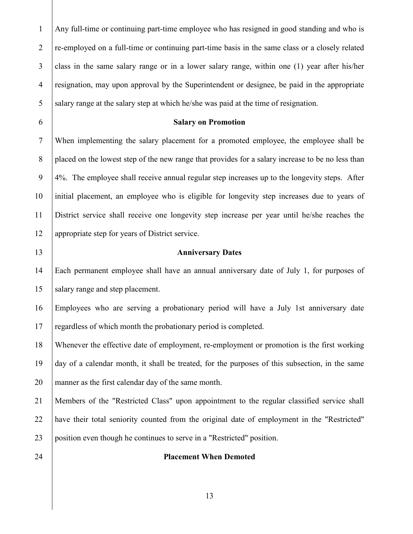Any full-time or continuing part-time employee who has resigned in good standing and who is 2 re-employed on a full-time or continuing part-time basis in the same class or a closely related class in the same salary range or in a lower salary range, within one (1) year after his/her resignation, may upon approval by the Superintendent or designee, be paid in the appropriate 5 salary range at the salary step at which he/she was paid at the time of resignation.

#### **Salary on Promotion**

 When implementing the salary placement for a promoted employee, the employee shall be 8 placed on the lowest step of the new range that provides for a salary increase to be no less than 4%. The employee shall receive annual regular step increases up to the longevity steps. After initial placement, an employee who is eligible for longevity step increases due to years of District service shall receive one longevity step increase per year until he/she reaches the appropriate step for years of District service.

#### **Anniversary Dates**

 Each permanent employee shall have an annual anniversary date of July 1, for purposes of 15 salary range and step placement.

 Employees who are serving a probationary period will have a July 1st anniversary date 17 regardless of which month the probationary period is completed.

 Whenever the effective date of employment, re-employment or promotion is the first working day of a calendar month, it shall be treated, for the purposes of this subsection, in the same manner as the first calendar day of the same month.

 Members of the "Restricted Class" upon appointment to the regular classified service shall have their total seniority counted from the original date of employment in the "Restricted" position even though he continues to serve in a "Restricted" position.

#### **Placement When Demoted**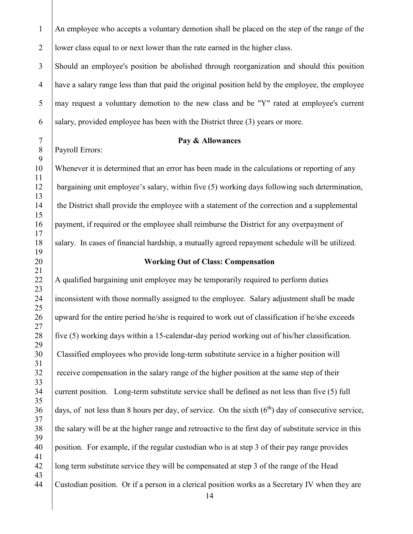1 An employee who accepts a voluntary demotion shall be placed on the step of the range of the 2 lower class equal to or next lower than the rate earned in the higher class.

 Should an employee's position be abolished through reorganization and should this position have a salary range less than that paid the original position held by the employee, the employee may request a voluntary demotion to the new class and be "Y" rated at employee's current 6 salary, provided employee has been with the District three  $(3)$  years or more.

8 | Payroll Errors:

#### **Pay & Allowances**

 Whenever it is determined that an error has been made in the calculations or reporting of any bargaining unit employee's salary, within five (5) working days following such determination, 14 the District shall provide the employee with a statement of the correction and a supplemental payment, if required or the employee shall reimburse the District for any overpayment of 18 Salary. In cases of financial hardship, a mutually agreed repayment schedule will be utilized.

#### **Working Out of Class: Compensation**

 A qualified bargaining unit employee may be temporarily required to perform duties inconsistent with those normally assigned to the employee. Salary adjustment shall be made upward for the entire period he/she is required to work out of classification if he/she exceeds  $\parallel$  five (5) working days within a 15-calendar-day period working out of his/her classification. Classified employees who provide long-term substitute service in a higher position will 32 receive compensation in the salary range of the higher position at the same step of their 34 current position. Long-term substitute service shall be defined as not less than five (5) full days, of not less than 8 hours per day, of service. On the sixth  $(6<sup>th</sup>)$  day of consecutive service, 38 the salary will be at the higher range and retroactive to the first day of substitute service in this position. For example, if the regular custodian who is at step 3 of their pay range provides long term substitute service they will be compensated at step 3 of the range of the Head Custodian position. Or if a person in a clerical position works as a Secretary IV when they are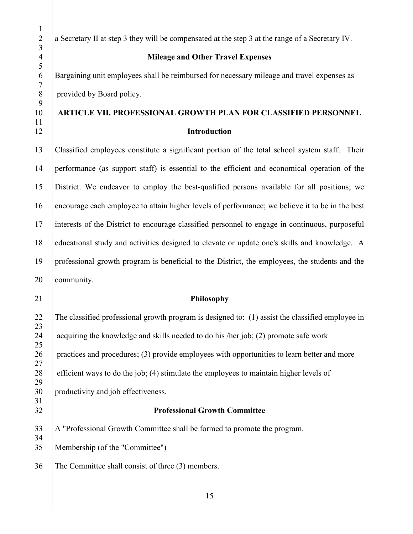2 a Secretary II at step 3 they will be compensated at the step 3 at the range of a Secretary IV.

#### **Mileage and Other Travel Expenses**

 Bargaining unit employees shall be reimbursed for necessary mileage and travel expenses as provided by Board policy.

# **ARTICLE VII. PROFESSIONAL GROWTH PLAN FOR CLASSIFIED PERSONNEL Introduction**

 Classified employees constitute a significant portion of the total school system staff. Their performance (as support staff) is essential to the efficient and economical operation of the District. We endeavor to employ the best-qualified persons available for all positions; we encourage each employee to attain higher levels of performance; we believe it to be in the best interests of the District to encourage classified personnel to engage in continuous, purposeful educational study and activities designed to elevate or update one's skills and knowledge. A professional growth program is beneficial to the District, the employees, the students and the **community**.

#### **Philosophy**

 The classified professional growth program is designed to: (1) assist the classified employee in 24 acquiring the knowledge and skills needed to do his /her job; (2) promote safe work 26 practices and procedures; (3) provide employees with opportunities to learn better and more efficient ways to do the job; (4) stimulate the employees to maintain higher levels of productivity and job effectiveness. **Professional Growth Committee** A "Professional Growth Committee shall be formed to promote the program.

Membership (of the "Committee")

The Committee shall consist of three (3) members.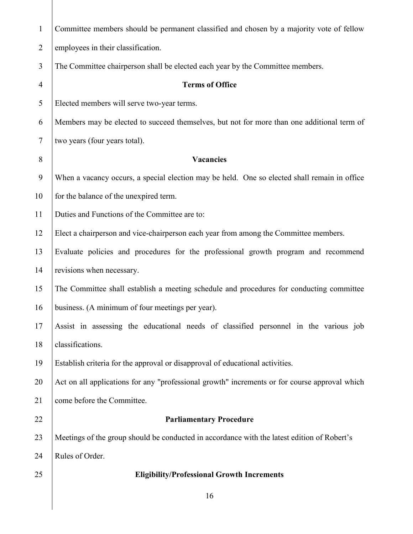| $\mathbf{1}$   | Committee members should be permanent classified and chosen by a majority vote of fellow      |
|----------------|-----------------------------------------------------------------------------------------------|
| $\overline{2}$ | employees in their classification.                                                            |
| 3              | The Committee chairperson shall be elected each year by the Committee members.                |
| $\overline{4}$ | <b>Terms of Office</b>                                                                        |
| 5              | Elected members will serve two-year terms.                                                    |
| 6              | Members may be elected to succeed themselves, but not for more than one additional term of    |
| 7              | two years (four years total).                                                                 |
| 8              | Vacancies                                                                                     |
| 9              | When a vacancy occurs, a special election may be held. One so elected shall remain in office  |
| 10             | for the balance of the unexpired term.                                                        |
| 11             | Duties and Functions of the Committee are to:                                                 |
| 12             | Elect a chairperson and vice-chairperson each year from among the Committee members.          |
| 13             | Evaluate policies and procedures for the professional growth program and recommend            |
| 14             | revisions when necessary.                                                                     |
| 15             | The Committee shall establish a meeting schedule and procedures for conducting committee      |
| 16             | business. (A minimum of four meetings per year).                                              |
| 17             | Assist in assessing the educational needs of classified personnel in the various job          |
| 18             | classifications.                                                                              |
| 19             | Establish criteria for the approval or disapproval of educational activities.                 |
| 20             | Act on all applications for any "professional growth" increments or for course approval which |
| 21             | come before the Committee.                                                                    |
| 22             | <b>Parliamentary Procedure</b>                                                                |
| 23             | Meetings of the group should be conducted in accordance with the latest edition of Robert's   |
| 24             | Rules of Order.                                                                               |
| 25             | <b>Eligibility/Professional Growth Increments</b>                                             |
|                | 16                                                                                            |
|                |                                                                                               |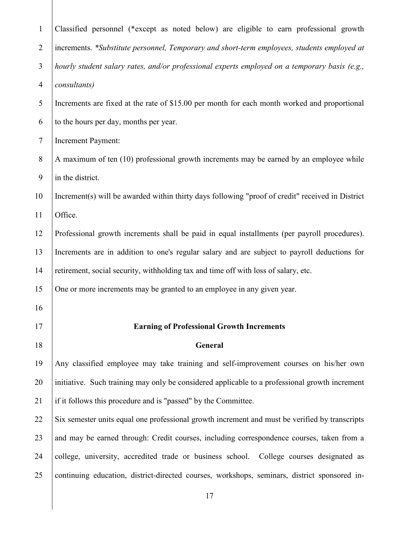| $\mathbf{1}$   | Classified personnel (*except as noted below) are eligible to earn professional growth           |
|----------------|--------------------------------------------------------------------------------------------------|
| $\overline{2}$ | increments. *Substitute personnel, Temporary and short-term employees, students employed at      |
| 3              | hourly student salary rates, and/or professional experts employed on a temporary basis (e.g.,    |
| $\overline{4}$ | consultants)                                                                                     |
| 5              | Increments are fixed at the rate of \$15.00 per month for each month worked and proportional     |
| 6              | to the hours per day, months per year.                                                           |
| $\tau$         | Increment Payment:                                                                               |
| 8              | A maximum of ten (10) professional growth increments may be earned by an employee while          |
| 9              | in the district.                                                                                 |
| 10             | Increment(s) will be awarded within thirty days following "proof of credit" received in District |
| 11             | Office.                                                                                          |
| 12             | Professional growth increments shall be paid in equal installments (per payroll procedures).     |
| 13             | Increments are in addition to one's regular salary and are subject to payroll deductions for     |
| 14             | retirement, social security, withholding tax and time off with loss of salary, etc.              |
| 15             | One or more increments may be granted to an employee in any given year.                          |
| 16             |                                                                                                  |
| 17             | <b>Earning of Professional Growth Increments</b>                                                 |
| 18             | General                                                                                          |
| 19             | Any classified employee may take training and self-improvement courses on his/her own            |
| 20             | initiative. Such training may only be considered applicable to a professional growth increment   |
| 21             | if it follows this procedure and is "passed" by the Committee.                                   |
| 22             | Six semester units equal one professional growth increment and must be verified by transcripts   |
| 23             | and may be earned through: Credit courses, including correspondence courses, taken from a        |
| 24             |                                                                                                  |
|                | college, university, accredited trade or business school. College courses designated as          |
| 25             | continuing education, district-directed courses, workshops, seminars, district sponsored in-     |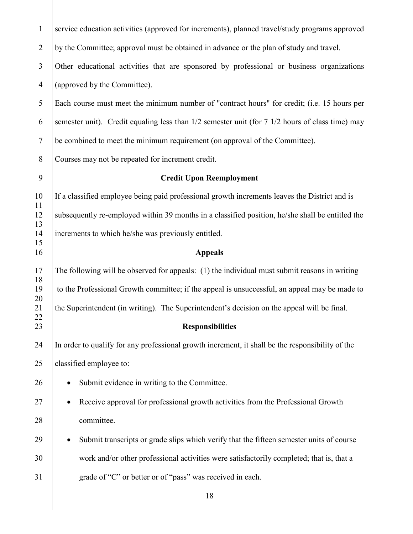| $\mathbf{1}$   | service education activities (approved for increments), planned travel/study programs approved   |
|----------------|--------------------------------------------------------------------------------------------------|
| $\overline{2}$ | by the Committee; approval must be obtained in advance or the plan of study and travel.          |
| 3              | Other educational activities that are sponsored by professional or business organizations        |
| $\overline{4}$ | (approved by the Committee).                                                                     |
| 5              | Each course must meet the minimum number of "contract hours" for credit; (i.e. 15 hours per      |
| 6              | semester unit). Credit equaling less than 1/2 semester unit (for 7 1/2 hours of class time) may  |
| $\tau$         | be combined to meet the minimum requirement (on approval of the Committee).                      |
| 8              | Courses may not be repeated for increment credit.                                                |
| 9              | <b>Credit Upon Reemployment</b>                                                                  |
| 10<br>11       | If a classified employee being paid professional growth increments leaves the District and is    |
| 12<br>13       | subsequently re-employed within 39 months in a classified position, he/she shall be entitled the |
| 14<br>15       | increments to which he/she was previously entitled.                                              |
| 16             | <b>Appeals</b>                                                                                   |
| 17<br>18       | The following will be observed for appeals: (1) the individual must submit reasons in writing    |
| 19<br>20       | to the Professional Growth committee; if the appeal is unsuccessful, an appeal may be made to    |
| 21<br>22       | the Superintendent (in writing). The Superintendent's decision on the appeal will be final.      |
| 23             | <b>Responsibilities</b>                                                                          |
| 24             | In order to qualify for any professional growth increment, it shall be the responsibility of the |
| 25             | classified employee to:                                                                          |
| 26             | Submit evidence in writing to the Committee.                                                     |
| 27             | Receive approval for professional growth activities from the Professional Growth                 |
| 28             | committee.                                                                                       |
| 29             | Submit transcripts or grade slips which verify that the fifteen semester units of course         |
| 30             | work and/or other professional activities were satisfactorily completed; that is, that a         |
| 31             | grade of "C" or better or of "pass" was received in each.                                        |
|                | 18                                                                                               |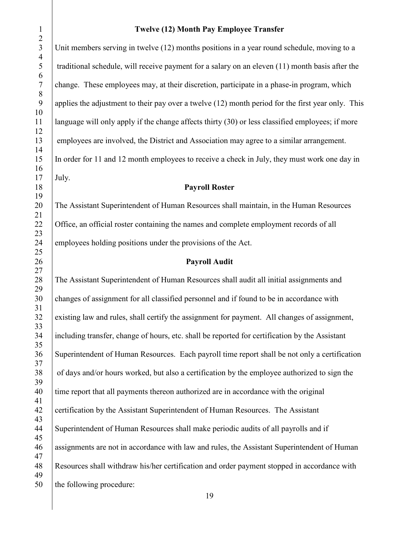3 Unit members serving in twelve (12) months positions in a year round schedule, moving to a traditional schedule, will receive payment for a salary on an eleven (11) month basis after the change. These employees may, at their discretion, participate in a phase-in program, which 9 applies the adjustment to their pay over a twelve (12) month period for the first year only. This language will only apply if the change affects thirty (30) or less classified employees; if more employees are involved, the District and Association may agree to a similar arrangement. In order for 11 and 12 month employees to receive a check in July, they must work one day in July.

### **Payroll Roster**

20 The Assistant Superintendent of Human Resources shall maintain, in the Human Resources 22 Office, an official roster containing the names and complete employment records of all employees holding positions under the provisions of the Act.

#### **Payroll Audit**

 The Assistant Superintendent of Human Resources shall audit all initial assignments and changes of assignment for all classified personnel and if found to be in accordance with existing law and rules, shall certify the assignment for payment. All changes of assignment, including transfer, change of hours, etc. shall be reported for certification by the Assistant Superintendent of Human Resources. Each payroll time report shall be not only a certification 38 of days and/or hours worked, but also a certification by the employee authorized to sign the 40 time report that all payments thereon authorized are in accordance with the original 42 Certification by the Assistant Superintendent of Human Resources. The Assistant Superintendent of Human Resources shall make periodic audits of all payrolls and if assignments are not in accordance with law and rules, the Assistant Superintendent of Human Resources shall withdraw his/her certification and order payment stopped in accordance with 50 the following procedure: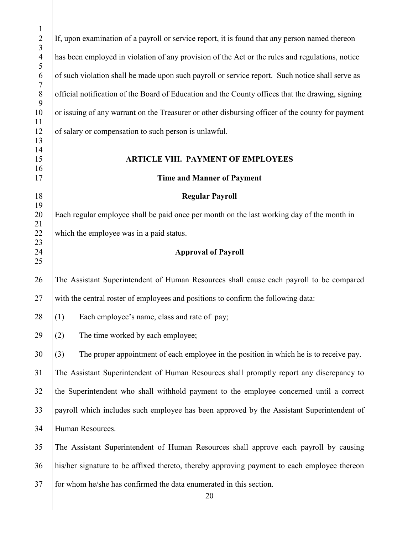| $\mathbf{1}$<br>$\sqrt{2}$            | If, upon examination of a payroll or service report, it is found that any person named thereon   |
|---------------------------------------|--------------------------------------------------------------------------------------------------|
| $\overline{3}$<br>$\overline{4}$<br>5 | has been employed in violation of any provision of the Act or the rules and regulations, notice  |
| 6<br>$\boldsymbol{7}$                 | of such violation shall be made upon such payroll or service report. Such notice shall serve as  |
| $\,8\,$<br>9                          | official notification of the Board of Education and the County offices that the drawing, signing |
| 10<br>11                              | or issuing of any warrant on the Treasurer or other disbursing officer of the county for payment |
| 12<br>13                              | of salary or compensation to such person is unlawful.                                            |
| 14<br>15                              | <b>ARTICLE VIII. PAYMENT OF EMPLOYEES</b>                                                        |
| 16<br>17                              | <b>Time and Manner of Payment</b>                                                                |
| 18                                    | <b>Regular Payroll</b>                                                                           |
| 19<br>20                              | Each regular employee shall be paid once per month on the last working day of the month in       |
| 21<br>22                              | which the employee was in a paid status.                                                         |
| 23                                    |                                                                                                  |
| 24<br>25                              | <b>Approval of Payroll</b>                                                                       |
| 26                                    | The Assistant Superintendent of Human Resources shall cause each payroll to be compared          |
| 27                                    | with the central roster of employees and positions to confirm the following data:                |
| 28                                    | Each employee's name, class and rate of pay;<br>(1)                                              |
| 29                                    | (2)<br>The time worked by each employee;                                                         |
| 30                                    | The proper appointment of each employee in the position in which he is to receive pay.<br>(3)    |
| 31                                    | The Assistant Superintendent of Human Resources shall promptly report any discrepancy to         |
| 32                                    | the Superintendent who shall withhold payment to the employee concerned until a correct          |
| 33                                    | payroll which includes such employee has been approved by the Assistant Superintendent of        |
| 34                                    | Human Resources.                                                                                 |
| 35                                    | The Assistant Superintendent of Human Resources shall approve each payroll by causing            |
| 36                                    | his/her signature to be affixed thereto, thereby approving payment to each employee thereon      |
| 37                                    | for whom he/she has confirmed the data enumerated in this section.                               |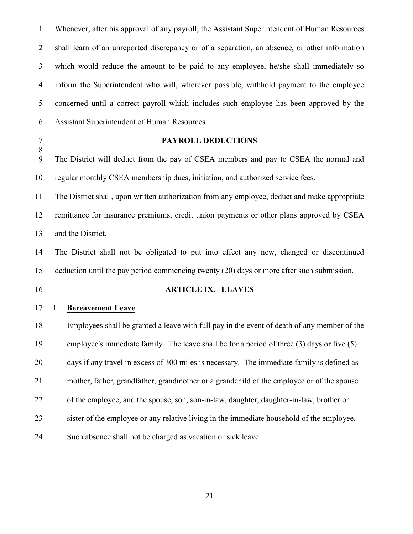Whenever, after his approval of any payroll, the Assistant Superintendent of Human Resources 2 shall learn of an unreported discrepancy or of a separation, an absence, or other information which would reduce the amount to be paid to any employee, he/she shall immediately so inform the Superintendent who will, wherever possible, withhold payment to the employee concerned until a correct payroll which includes such employee has been approved by the Assistant Superintendent of Human Resources.

#### **PAYROLL DEDUCTIONS**

 The District will deduct from the pay of CSEA members and pay to CSEA the normal and 10 regular monthly CSEA membership dues, initiation, and authorized service fees.

 The District shall, upon written authorization from any employee, deduct and make appropriate 12 remittance for insurance premiums, credit union payments or other plans approved by CSEA 13 and the District.

 The District shall not be obligated to put into effect any new, changed or discontinued deduction until the pay period commencing twenty (20) days or more after such submission.

#### **ARTICLE IX. LEAVES**

1. **Bereavement Leave**

 Employees shall be granted a leave with full pay in the event of death of any member of the 19 employee's immediate family. The leave shall be for a period of three (3) days or five (5) 20 days if any travel in excess of 300 miles is necessary. The immediate family is defined as mother, father, grandfather, grandmother or a grandchild of the employee or of the spouse 22 of the employee, and the spouse, son, son-in-law, daughter, daughter-in-law, brother or 23 sister of the employee or any relative living in the immediate household of the employee. 24 Such absence shall not be charged as vacation or sick leave.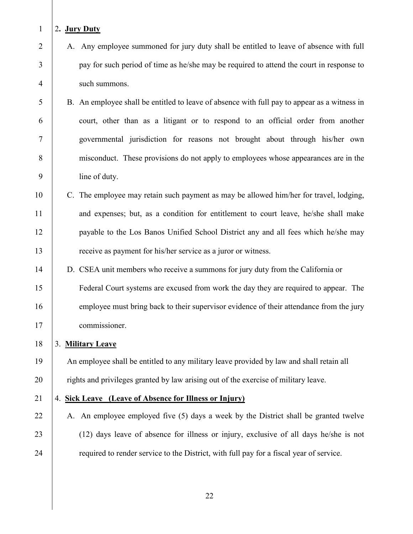#### 2**. Jury Duty**

- 2 A. Any employee summoned for jury duty shall be entitled to leave of absence with full pay for such period of time as he/she may be required to attend the court in response to such summons.
- 5 B. An employee shall be entitled to leave of absence with full pay to appear as a witness in court, other than as a litigant or to respond to an official order from another governmental jurisdiction for reasons not brought about through his/her own misconduct. These provisions do not apply to employees whose appearances are in the line of duty.
- 10 C. The employee may retain such payment as may be allowed him/her for travel, lodging, 11 and expenses; but, as a condition for entitlement to court leave, he/she shall make payable to the Los Banos Unified School District any and all fees which he/she may receive as payment for his/her service as a juror or witness.
- D. CSEA unit members who receive a summons for jury duty from the California or Federal Court systems are excused from work the day they are required to appear. The 16 employee must bring back to their supervisor evidence of their attendance from the jury commissioner.
- 3. **Military Leave**

19 An employee shall be entitled to any military leave provided by law and shall retain all 20 fights and privileges granted by law arising out of the exercise of military leave.

#### 4. **Sick Leave (Leave of Absence for Illness or Injury)**

22 A. An employee employed five (5) days a week by the District shall be granted twelve (12) days leave of absence for illness or injury, exclusive of all days he/she is not **required to render service to the District, with full pay for a fiscal year of service.**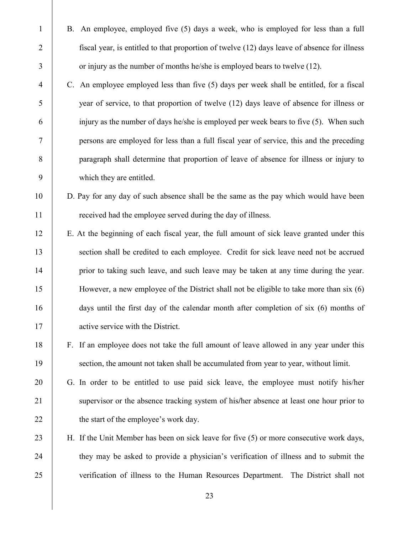B. An employee, employed five (5) days a week, who is employed for less than a full **fiscal year, is entitled to that proportion of twelve (12) days leave of absence for illness** 3 or injury as the number of months he/she is employed bears to twelve (12).

- C. An employee employed less than five (5) days per week shall be entitled, for a fiscal year of service, to that proportion of twelve (12) days leave of absence for illness or injury as the number of days he/she is employed per week bears to five (5). When such persons are employed for less than a full fiscal year of service, this and the preceding paragraph shall determine that proportion of leave of absence for illness or injury to which they are entitled.
- D. Pay for any day of such absence shall be the same as the pay which would have been **Figure 1** received had the employee served during the day of illness.
- E. At the beginning of each fiscal year, the full amount of sick leave granted under this 13 section shall be credited to each employee. Credit for sick leave need not be accrued 14 prior to taking such leave, and such leave may be taken at any time during the year. However, a new employee of the District shall not be eligible to take more than six (6) days until the first day of the calendar month after completion of six (6) months of 17 active service with the District.
- F. If an employee does not take the full amount of leave allowed in any year under this 19 section, the amount not taken shall be accumulated from year to year, without limit.
- G. In order to be entitled to use paid sick leave, the employee must notify his/her supervisor or the absence tracking system of his**/**her absence at least one hour prior to 22 the start of the employee's work day.
- 23 H. If the Unit Member has been on sick leave for five (5) or more consecutive work days, 24 they may be asked to provide a physician's verification of illness and to submit the verification of illness to the Human Resources Department. The District shall not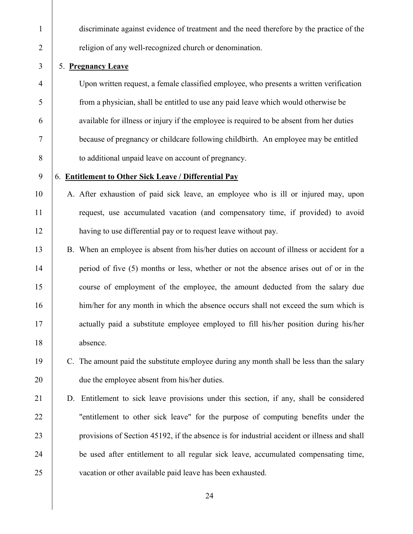discriminate against evidence of treatment and the need therefore by the practice of the 2 | religion of any well-recognized church or denomination.

#### 5. **Pregnancy Leave**

 Upon written request, a female classified employee, who presents a written verification from a physician, shall be entitled to use any paid leave which would otherwise be available for illness or injury if the employee is required to be absent from her duties because of pregnancy or childcare following childbirth. An employee may be entitled **b** to additional unpaid leave on account of pregnancy.

#### 6. **Entitlement to Other Sick Leave / Differential Pay**

- 10 | A. After exhaustion of paid sick leave, an employee who is ill or injured may, upon request, use accumulated vacation (and compensatory time, if provided) to avoid having to use differential pay or to request leave without pay.
- B. When an employee is absent from his/her duties on account of illness or accident for a 14 period of five (5) months or less, whether or not the absence arises out of or in the course of employment of the employee, the amount deducted from the salary due 16 him/her for any month in which the absence occurs shall not exceed the sum which is 17 actually paid a substitute employee employed to fill his/her position during his/her 18 absence.
- 19 C. The amount paid the substitute employee during any month shall be less than the salary **due the employee absent from his/her duties.**
- D. Entitlement to sick leave provisions under this section, if any, shall be considered 22 Tentitlement to other sick leave" for the purpose of computing benefits under the provisions of Section 45192, if the absence is for industrial accident or illness and shall be used after entitlement to all regular sick leave, accumulated compensating time, vacation or other available paid leave has been exhausted.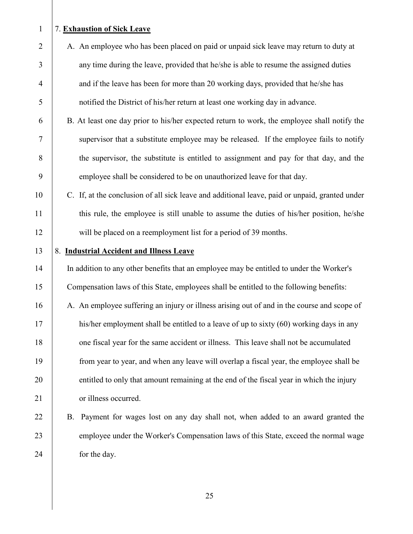#### 1 7. **Exhaustion of Sick Leave**

- 2 A. An employee who has been placed on paid or unpaid sick leave may return to duty at 3 any time during the leave, provided that he/she is able to resume the assigned duties 4 and if the leave has been for more than 20 working days, provided that he/she has 5 notified the District of his/her return at least one working day in advance.
- 6 B. At least one day prior to his/her expected return to work, the employee shall notify the 7 supervisor that a substitute employee may be released. If the employee fails to notify 8 the supervisor, the substitute is entitled to assignment and pay for that day, and the 9 employee shall be considered to be on unauthorized leave for that day.
- 10 C. If, at the conclusion of all sick leave and additional leave, paid or unpaid, granted under 11 this rule, the employee is still unable to assume the duties of his/her position, he/she 12 will be placed on a reemployment list for a period of 39 months.
- 

#### 13 8. Industrial Accident and Illness Leave

14 In addition to any other benefits that an employee may be entitled to under the Worker's 15 Compensation laws of this State, employees shall be entitled to the following benefits:

- 16 A. An employee suffering an injury or illness arising out of and in the course and scope of 17 his/her employment shall be entitled to a leave of up to sixty (60) working days in any 18 one fiscal year for the same accident or illness. This leave shall not be accumulated 19 from year to year, and when any leave will overlap a fiscal year, the employee shall be 20 entitled to only that amount remaining at the end of the fiscal year in which the injury 21 or illness occurred.
- 22 B. Payment for wages lost on any day shall not, when added to an award granted the 23 employee under the Worker's Compensation laws of this State, exceed the normal wage 24 for the day.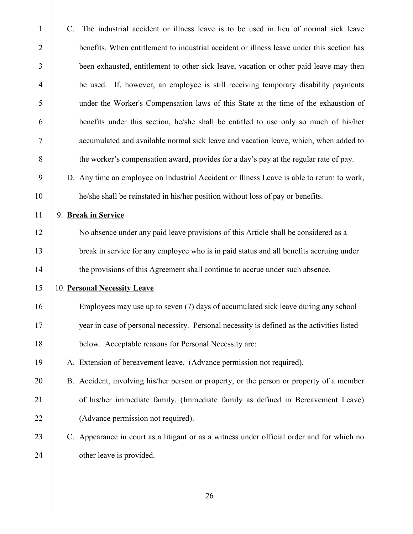| $\mathbf{1}$   | The industrial accident or illness leave is to be used in lieu of normal sick leave<br>C.  |
|----------------|--------------------------------------------------------------------------------------------|
| $\overline{2}$ | benefits. When entitlement to industrial accident or illness leave under this section has  |
| 3              | been exhausted, entitlement to other sick leave, vacation or other paid leave may then     |
| $\overline{4}$ | be used. If, however, an employee is still receiving temporary disability payments         |
| 5              | under the Worker's Compensation laws of this State at the time of the exhaustion of        |
| 6              | benefits under this section, he/she shall be entitled to use only so much of his/her       |
| 7              | accumulated and available normal sick leave and vacation leave, which, when added to       |
| $8\,$          | the worker's compensation award, provides for a day's pay at the regular rate of pay.      |
| 9              | D. Any time an employee on Industrial Accident or Illness Leave is able to return to work, |
| 10             | he/she shall be reinstated in his/her position without loss of pay or benefits.            |
| 11             | 9. Break in Service                                                                        |
| 12             | No absence under any paid leave provisions of this Article shall be considered as a        |
| 13             | break in service for any employee who is in paid status and all benefits accruing under    |
| 14             | the provisions of this Agreement shall continue to accrue under such absence.              |
| 15             | 10. Personal Necessity Leave                                                               |
| 16             | Employees may use up to seven (7) days of accumulated sick leave during any school         |
| 17             | year in case of personal necessity. Personal necessity is defined as the activities listed |
| 18             | below. Acceptable reasons for Personal Necessity are:                                      |
| 19             | A. Extension of bereavement leave. (Advance permission not required).                      |
| 20             | B. Accident, involving his/her person or property, or the person or property of a member   |
| 21             | of his/her immediate family. (Immediate family as defined in Bereavement Leave)            |
| 22             | (Advance permission not required).                                                         |
| 23             | C. Appearance in court as a litigant or as a witness under official order and for which no |
| 24             | other leave is provided.                                                                   |
|                |                                                                                            |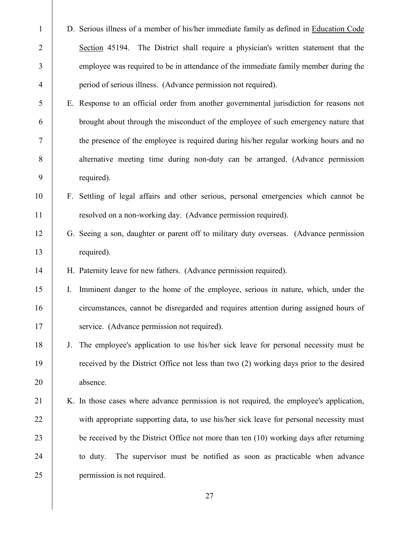| $\mathbf{1}$   |    | D. Serious illness of a member of his/her immediate family as defined in Education Code |
|----------------|----|-----------------------------------------------------------------------------------------|
| $\overline{2}$ |    | Section 45194. The District shall require a physician's written statement that the      |
| 3              |    | employee was required to be in attendance of the immediate family member during the     |
| 4              |    | period of serious illness. (Advance permission not required).                           |
| 5              |    | E. Response to an official order from another governmental jurisdiction for reasons not |
| 6              |    | brought about through the misconduct of the employee of such emergency nature that      |
| 7              |    | the presence of the employee is required during his/her regular working hours and no    |
| 8              |    | alternative meeting time during non-duty can be arranged. (Advance permission           |
| 9              |    | required).                                                                              |
| 10             |    | F. Settling of legal affairs and other serious, personal emergencies which cannot be    |
| 11             |    | resolved on a non-working day. (Advance permission required).                           |
| 12             |    | G. Seeing a son, daughter or parent off to military duty overseas. (Advance permission  |
| 13             |    | required).                                                                              |
|                |    |                                                                                         |
| 14             |    | H. Paternity leave for new fathers. (Advance permission required).                      |
| 15             | Ι. | Imminent danger to the home of the employee, serious in nature, which, under the        |
| 16             |    | circumstances, cannot be disregarded and requires attention during assigned hours of    |
| 17             |    | service. (Advance permission not required).                                             |
| 18             | J. | The employee's application to use his/her sick leave for personal necessity must be     |
| 19             |    | received by the District Office not less than two (2) working days prior to the desired |
| 20             |    | absence.                                                                                |
| 21             |    | K. In those cases where advance permission is not required, the employee's application, |
| 22             |    | with appropriate supporting data, to use his/her sick leave for personal necessity must |
| 23             |    | be received by the District Office not more than ten (10) working days after returning  |
| 24             |    | The supervisor must be notified as soon as practicable when advance<br>to duty.         |
| 25             |    | permission is not required.                                                             |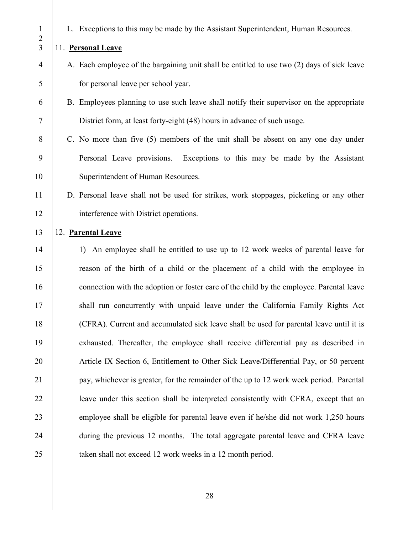L. Exceptions to this may be made by the Assistant Superintendent, Human Resources.

# 11. **Personal Leave**

- A. Each employee of the bargaining unit shall be entitled to use two (2) days of sick leave for personal leave per school year.
- B. Employees planning to use such leave shall notify their supervisor on the appropriate District form, at least forty-eight (48) hours in advance of such usage.
- C. No more than five (5) members of the unit shall be absent on any one day under Personal Leave provisions. Exceptions to this may be made by the Assistant 10 | Superintendent of Human Resources.

# D. Personal leave shall not be used for strikes, work stoppages, picketing or any other interference with District operations.

# 12. **Parental Leave**

 1) An employee shall be entitled to use up to 12 work weeks of parental leave for reason of the birth of a child or the placement of a child with the employee in 16 connection with the adoption or foster care of the child by the employee. Parental leave 17 Shall run concurrently with unpaid leave under the California Family Rights Act (CFRA). Current and accumulated sick leave shall be used for parental leave until it is exhausted. Thereafter, the employee shall receive differential pay as described in 20 Article IX Section 6, Entitlement to Other Sick Leave/Differential Pay, or 50 percent **pay, whichever is greater, for the remainder of the up to 12 work week period. Parental leave under this section shall be interpreted consistently with CFRA, except that an** 23 employee shall be eligible for parental leave even if he/she did not work 1,250 hours 24 during the previous 12 months. The total aggregate parental leave and CFRA leave 25 a taken shall not exceed 12 work weeks in a 12 month period.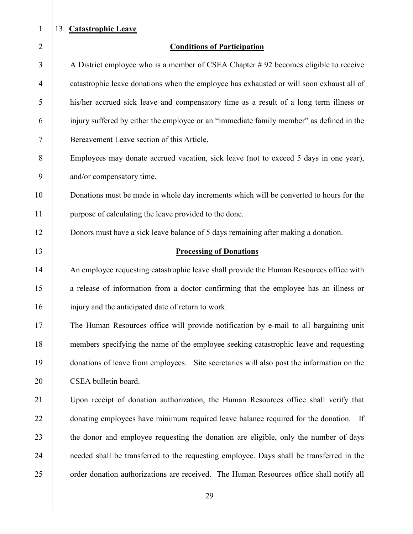#### 13. **Catastrophic Leave**

#### **Conditions of Participation**

 A District employee who is a member of CSEA Chapter # 92 becomes eligible to receive catastrophic leave donations when the employee has exhausted or will soon exhaust all of his/her accrued sick leave and compensatory time as a result of a long term illness or injury suffered by either the employee or an "immediate family member" as defined in the Bereavement Leave section of this Article.

8 Employees may donate accrued vacation, sick leave (not to exceed 5 days in one year), and/or compensatory time.

10 Donations must be made in whole day increments which will be converted to hours for the purpose of calculating the leave provided to the done.

Donors must have a sick leave balance of 5 days remaining after making a donation.

#### **Processing of Donations**

14 An employee requesting catastrophic leave shall provide the Human Resources office with 15 a release of information from a doctor confirming that the employee has an illness or 16 injury and the anticipated date of return to work.

 The Human Resources office will provide notification by e-mail to all bargaining unit members specifying the name of the employee seeking catastrophic leave and requesting donations of leave from employees. Site secretaries will also post the information on the 20 | CSEA bulletin board.

 Upon receipt of donation authorization, the Human Resources office shall verify that **donating employees have minimum required leave balance required for the donation.** If 23 the donor and employee requesting the donation are eligible, only the number of days 24 needed shall be transferred to the requesting employee. Days shall be transferred in the 25 order donation authorizations are received. The Human Resources office shall notify all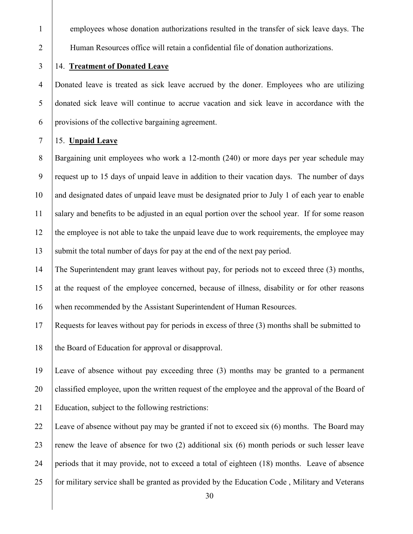1 employees whose donation authorizations resulted in the transfer of sick leave days. The Human Resources office will retain a confidential file of donation authorizations.

# 14. **Treatment of Donated Leave**

 Donated leave is treated as sick leave accrued by the doner. Employees who are utilizing donated sick leave will continue to accrue vacation and sick leave in accordance with the provisions of the collective bargaining agreement.

#### 15. **Unpaid Leave**

 Bargaining unit employees who work a 12-month (240) or more days per year schedule may request up to 15 days of unpaid leave in addition to their vacation days. The number of days and designated dates of unpaid leave must be designated prior to July 1 of each year to enable salary and benefits to be adjusted in an equal portion over the school year. If for some reason the employee is not able to take the unpaid leave due to work requirements, the employee may 13 Submit the total number of days for pay at the end of the next pay period.

 The Superintendent may grant leaves without pay, for periods not to exceed three (3) months, 15 at the request of the employee concerned, because of illness, disability or for other reasons when recommended by the Assistant Superintendent of Human Resources.

Requests for leaves without pay for periods in excess of three (3) months shall be submitted to

18 the Board of Education for approval or disapproval.

 Leave of absence without pay exceeding three (3) months may be granted to a permanent classified employee, upon the written request of the employee and the approval of the Board of Education, subject to the following restrictions:

22 Leave of absence without pay may be granted if not to exceed six  $(6)$  months. The Board may 23 renew the leave of absence for two  $(2)$  additional six  $(6)$  month periods or such lesser leave periods that it may provide, not to exceed a total of eighteen (18) months. Leave of absence for military service shall be granted as provided by the Education Code , Military and Veterans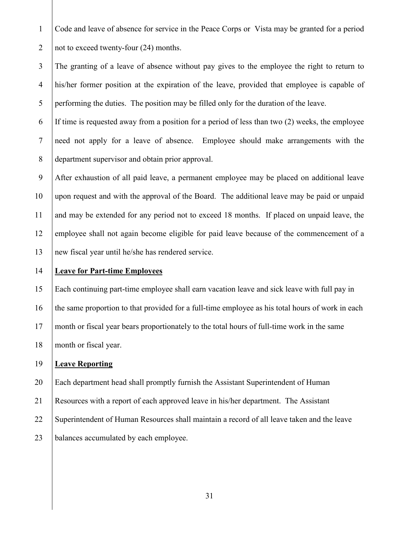Code and leave of absence for service in the Peace Corps or Vista may be granted for a period 2  $\vert$  not to exceed twenty-four (24) months.

 The granting of a leave of absence without pay gives to the employee the right to return to his/her former position at the expiration of the leave, provided that employee is capable of 5 performing the duties. The position may be filled only for the duration of the leave.

 If time is requested away from a position for a period of less than two (2) weeks, the employee need not apply for a leave of absence. Employee should make arrangements with the department supervisor and obtain prior approval.

 After exhaustion of all paid leave, a permanent employee may be placed on additional leave upon request and with the approval of the Board. The additional leave may be paid or unpaid 11 and may be extended for any period not to exceed 18 months. If placed on unpaid leave, the employee shall not again become eligible for paid leave because of the commencement of a new fiscal year until he/she has rendered service.

# **Leave for Part-time Employees**

 Each continuing part-time employee shall earn vacation leave and sick leave with full pay in 16 the same proportion to that provided for a full-time employee as his total hours of work in each month or fiscal year bears proportionately to the total hours of full-time work in the same 18 month or fiscal year.

# **Leave Reporting**

Each department head shall promptly furnish the Assistant Superintendent of Human

Resources with a report of each approved leave in his/her department. The Assistant

Superintendent of Human Resources shall maintain a record of all leave taken and the leave

**balances accumulated by each employee.**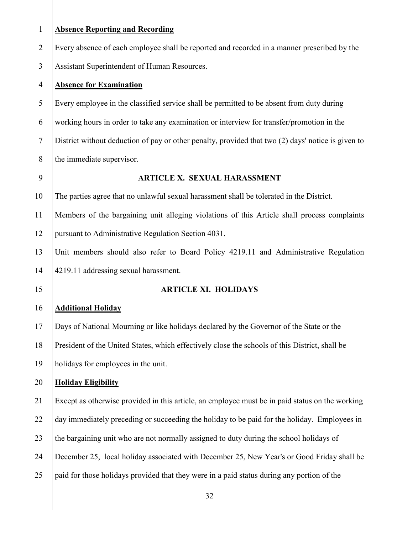| $\mathbf{1}$   | <b>Absence Reporting and Recording</b>                                                             |
|----------------|----------------------------------------------------------------------------------------------------|
| $\overline{2}$ | Every absence of each employee shall be reported and recorded in a manner prescribed by the        |
| 3              | Assistant Superintendent of Human Resources.                                                       |
| 4              | <b>Absence for Examination</b>                                                                     |
| 5              | Every employee in the classified service shall be permitted to be absent from duty during          |
| 6              | working hours in order to take any examination or interview for transfer/promotion in the          |
| $\tau$         | District without deduction of pay or other penalty, provided that two (2) days' notice is given to |
| 8              | the immediate supervisor.                                                                          |
| 9              | <b>ARTICLE X. SEXUAL HARASSMENT</b>                                                                |
| 10             | The parties agree that no unlawful sexual harassment shall be tolerated in the District.           |
| 11             | Members of the bargaining unit alleging violations of this Article shall process complaints        |
| 12             | pursuant to Administrative Regulation Section 4031.                                                |
| 13             | Unit members should also refer to Board Policy 4219.11 and Administrative Regulation               |
| 14             | 4219.11 addressing sexual harassment.                                                              |
| 15             | <b>ARTICLE XI. HOLIDAYS</b>                                                                        |
| 16             | <b>Additional Holiday</b>                                                                          |
| 17             | Days of National Mourning or like holidays declared by the Governor of the State or the            |
| 18             | President of the United States, which effectively close the schools of this District, shall be     |
| 19             | holidays for employees in the unit.                                                                |
| 20             | <b>Holiday Eligibility</b>                                                                         |
| 21             | Except as otherwise provided in this article, an employee must be in paid status on the working    |
| 22             | day immediately preceding or succeeding the holiday to be paid for the holiday. Employees in       |
| 23             | the bargaining unit who are not normally assigned to duty during the school holidays of            |
| 24             | December 25, local holiday associated with December 25, New Year's or Good Friday shall be         |
| 25             | paid for those holidays provided that they were in a paid status during any portion of the         |
|                |                                                                                                    |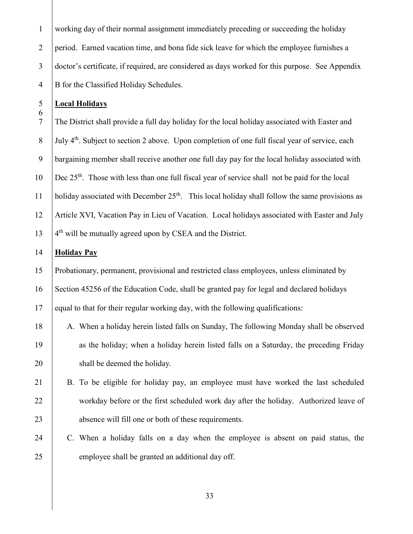working day of their normal assignment immediately preceding or succeeding the holiday 2 period. Earned vacation time, and bona fide sick leave for which the employee furnishes a doctor's certificate, if required, are considered as days worked for this purpose. See Appendix B for the Classified Holiday Schedules.

#### **Local Holidays**

 The District shall provide a full day holiday for the local holiday associated with Easter and  $\frac{1}{8}$  July 4<sup>th</sup>. Subject to section 2 above. Upon completion of one full fiscal year of service, each bargaining member shall receive another one full day pay for the local holiday associated with  $\vert$  Dec 25<sup>th</sup>. Those with less than one full fiscal year of service shall not be paid for the local 11 | holiday associated with December  $25<sup>th</sup>$ . This local holiday shall follow the same provisions as Article XVI, Vacation Pay in Lieu of Vacation. Local holidays associated with Easter and July |  $4<sup>th</sup>$  will be mutually agreed upon by CSEA and the District.

#### **Holiday Pay**

 Probationary, permanent, provisional and restricted class employees, unless eliminated by Section 45256 of the Education Code, shall be granted pay for legal and declared holidays equal to that for their regular working day, with the following qualifications:

18 A. When a holiday herein listed falls on Sunday, The following Monday shall be observed 19 as the holiday; when a holiday herein listed falls on a Saturday, the preceding Friday 20 shall be deemed the holiday.

# B. To be eligible for holiday pay, an employee must have worked the last scheduled 22 workday before or the first scheduled work day after the holiday. Authorized leave of 23 absence will fill one or both of these requirements.

 C. When a holiday falls on a day when the employee is absent on paid status, the 25 employee shall be granted an additional day off.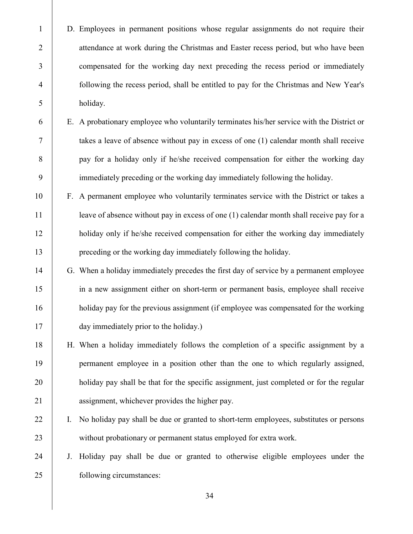D. Employees in permanent positions whose regular assignments do not require their 2 attendance at work during the Christmas and Easter recess period, but who have been compensated for the working day next preceding the recess period or immediately following the recess period, shall be entitled to pay for the Christmas and New Year's holiday.

- E. A probationary employee who voluntarily terminates his/her service with the District or takes a leave of absence without pay in excess of one (1) calendar month shall receive **pay for a holiday only if he/she received compensation for either the working day** immediately preceding or the working day immediately following the holiday.
- F. A permanent employee who voluntarily terminates service with the District or takes a 11 | leave of absence without pay in excess of one (1) calendar month shall receive pay for a 12 holiday only if he/she received compensation for either the working day immediately preceding or the working day immediately following the holiday.
- G. When a holiday immediately precedes the first day of service by a permanent employee in a new assignment either on short-term or permanent basis, employee shall receive 16 holiday pay for the previous assignment (if employee was compensated for the working 17 day immediately prior to the holiday.)
- H. When a holiday immediately follows the completion of a specific assignment by a permanent employee in a position other than the one to which regularly assigned, 20 holiday pay shall be that for the specific assignment, just completed or for the regular 21 assignment, whichever provides the higher pay.
- 22 | I. No holiday pay shall be due or granted to short-term employees, substitutes or persons 23 without probationary or permanent status employed for extra work.
- J. Holiday pay shall be due or granted to otherwise eligible employees under the following circumstances: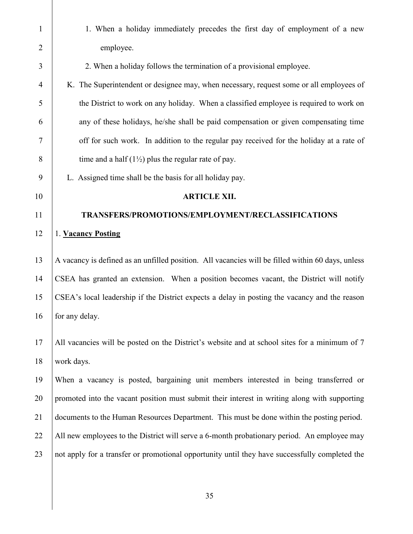1 1. When a holiday immediately precedes the first day of employment of a new 2 employee. 3 2. When a holiday follows the termination of a provisional employee. 4 K. The Superintendent or designee may, when necessary, request some or all employees of 5 the District to work on any holiday. When a classified employee is required to work on 6 any of these holidays, he/she shall be paid compensation or given compensating time 7 off for such work. In addition to the regular pay received for the holiday at a rate of 8 time and a half  $(1\frac{1}{2})$  plus the regular rate of pay. 9 L. Assigned time shall be the basis for all holiday pay. 10 **ARTICLE XII.**  11 **TRANSFERS/PROMOTIONS/EMPLOYMENT/RECLASSIFICATIONS** 12 1. **Vacancy Posting** 13 A vacancy is defined as an unfilled position. All vacancies will be filled within 60 days, unless 14 CSEA has granted an extension. When a position becomes vacant, the District will notify 15 CSEA's local leadership if the District expects a delay in posting the vacancy and the reason 16 for any delay. 17 All vacancies will be posted on the District's website and at school sites for a minimum of 7 18 work days. 19 When a vacancy is posted, bargaining unit members interested in being transferred or 20 promoted into the vacant position must submit their interest in writing along with supporting 21 documents to the Human Resources Department. This must be done within the posting period. 22 All new employees to the District will serve a 6-month probationary period. An employee may 23 not apply for a transfer or promotional opportunity until they have successfully completed the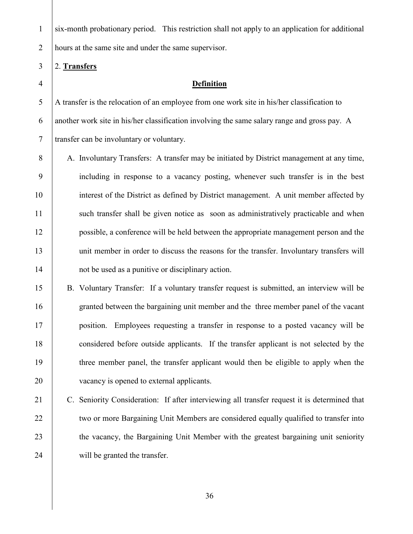six-month probationary period. This restriction shall not apply to an application for additional 2 hours at the same site and under the same supervisor.

#### 2. **Transfers**

#### **Definition**

 A transfer is the relocation of an employee from one work site in his/her classification to another work site in his/her classification involving the same salary range and gross pay. A transfer can be involuntary or voluntary.

8 A. Involuntary Transfers: A transfer may be initiated by District management at any time, including in response to a vacancy posting, whenever such transfer is in the best interest of the District as defined by District management. A unit member affected by 11 such transfer shall be given notice as soon as administratively practicable and when possible, a conference will be held between the appropriate management person and the 13 unit member in order to discuss the reasons for the transfer. Involuntary transfers will 14 not be used as a punitive or disciplinary action.

 B. Voluntary Transfer: If a voluntary transfer request is submitted, an interview will be granted between the bargaining unit member and the three member panel of the vacant position. Employees requesting a transfer in response to a posted vacancy will be considered before outside applicants. If the transfer applicant is not selected by the three member panel, the transfer applicant would then be eligible to apply when the 20 vacancy is opened to external applicants.

 C. Seniority Consideration: If after interviewing all transfer request it is determined that 22 two or more Bargaining Unit Members are considered equally qualified to transfer into 23 the vacancy, the Bargaining Unit Member with the greatest bargaining unit seniority 24 will be granted the transfer.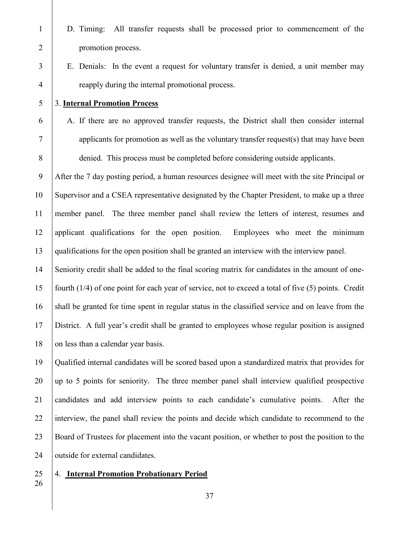D. Timing: All transfer requests shall be processed prior to commencement of the promotion process. E. Denials: In the event a request for voluntary transfer is denied, a unit member may reapply during the internal promotional process. 3. **Internal Promotion Process** A. If there are no approved transfer requests, the District shall then consider internal applicants for promotion as well as the voluntary transfer request(s) that may have been denied. This process must be completed before considering outside applicants. After the 7 day posting period, a human resources designee will meet with the site Principal or Supervisor and a CSEA representative designated by the Chapter President, to make up a three member panel. The three member panel shall review the letters of interest, resumes and applicant qualifications for the open position. Employees who meet the minimum qualifications for the open position shall be granted an interview with the interview panel. Seniority credit shall be added to the final scoring matrix for candidates in the amount of one- fourth (1/4) of one point for each year of service, not to exceed a total of five (5) points. Credit shall be granted for time spent in regular status in the classified service and on leave from the District. A full year's credit shall be granted to employees whose regular position is assigned 18 on less than a calendar year basis. Qualified internal candidates will be scored based upon a standardized matrix that provides for up to 5 points for seniority. The three member panel shall interview qualified prospective

 candidates and add interview points to each candidate's cumulative points. After the 22 interview, the panel shall review the points and decide which candidate to recommend to the Board of Trustees for placement into the vacant position, or whether to post the position to the 24 | outside for external candidates.

# 4. **Internal Promotion Probationary Period**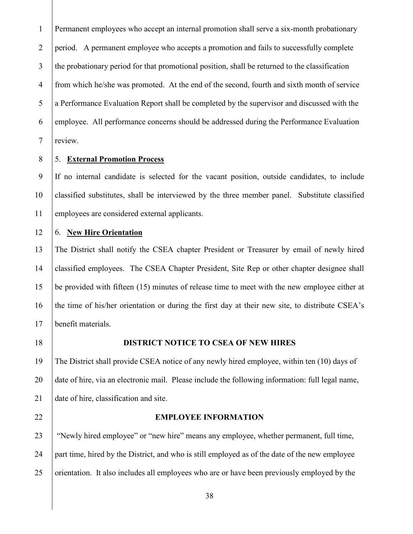Permanent employees who accept an internal promotion shall serve a six-month probationary 2 period. A permanent employee who accepts a promotion and fails to successfully complete 3 the probationary period for that promotional position, shall be returned to the classification from which he/she was promoted. At the end of the second, fourth and sixth month of service a Performance Evaluation Report shall be completed by the supervisor and discussed with the employee. All performance concerns should be addressed during the Performance Evaluation review.

#### 5. **External Promotion Process**

 If no internal candidate is selected for the vacant position, outside candidates, to include classified substitutes, shall be interviewed by the three member panel. Substitute classified employees are considered external applicants.

# 6. **New Hire Orientation**

 The District shall notify the CSEA chapter President or Treasurer by email of newly hired classified employees. The CSEA Chapter President, Site Rep or other chapter designee shall be provided with fifteen (15) minutes of release time to meet with the new employee either at 16 the time of his/her orientation or during the first day at their new site, to distribute CSEA's benefit materials.

#### **DISTRICT NOTICE TO CSEA OF NEW HIRES**

 The District shall provide CSEA notice of any newly hired employee, within ten (10) days of 20 date of hire, via an electronic mail. Please include the following information: full legal name, 21 date of hire, classification and site.

#### **EMPLOYEE INFORMATION**

 "Newly hired employee" or "new hire" means any employee, whether permanent, full time, part time, hired by the District, and who is still employed as of the date of the new employee 25 orientation. It also includes all employees who are or have been previously employed by the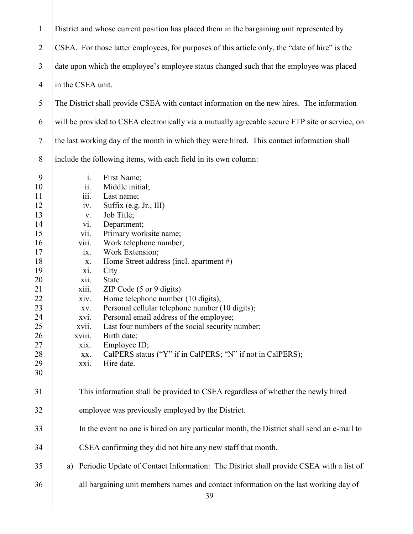| $\mathbf{1}$   | District and whose current position has placed them in the bargaining unit represented by       |  |  |  |  |  |  |
|----------------|-------------------------------------------------------------------------------------------------|--|--|--|--|--|--|
| $\overline{2}$ | CSEA. For those latter employees, for purposes of this article only, the "date of hire" is the  |  |  |  |  |  |  |
| 3              | date upon which the employee's employee status changed such that the employee was placed        |  |  |  |  |  |  |
| $\overline{4}$ | in the CSEA unit.                                                                               |  |  |  |  |  |  |
| 5              | The District shall provide CSEA with contact information on the new hires. The information      |  |  |  |  |  |  |
| 6              | will be provided to CSEA electronically via a mutually agreeable secure FTP site or service, on |  |  |  |  |  |  |
| $\overline{7}$ | the last working day of the month in which they were hired. This contact information shall      |  |  |  |  |  |  |
| 8              | include the following items, with each field in its own column:                                 |  |  |  |  |  |  |
| 9              | i.<br>First Name;                                                                               |  |  |  |  |  |  |
| 10             | Middle initial;<br>$\dddot{11}$ .                                                               |  |  |  |  |  |  |
| 11             | iii.<br>Last name;                                                                              |  |  |  |  |  |  |
| 12             | Suffix (e.g. Jr., III)<br>iv.                                                                   |  |  |  |  |  |  |
| 13             | Job Title;<br>$\mathbf{V}$ .                                                                    |  |  |  |  |  |  |
| 14             | Department;<br>vi.                                                                              |  |  |  |  |  |  |
| 15             | Primary worksite name;<br>$\overline{\text{vii}}$ .                                             |  |  |  |  |  |  |
| 16             | viii.<br>Work telephone number;                                                                 |  |  |  |  |  |  |
| 17             | Work Extension;<br>ix.                                                                          |  |  |  |  |  |  |
| 18             | Home Street address (incl. apartment #)<br>X.                                                   |  |  |  |  |  |  |
| 19             | xi.<br>City                                                                                     |  |  |  |  |  |  |
| 20             | State<br>xii.                                                                                   |  |  |  |  |  |  |
| 21             | xiii.<br>ZIP Code $(5 \text{ or } 9 \text{ digits})$                                            |  |  |  |  |  |  |
| 22             | Home telephone number (10 digits);<br>xiv.                                                      |  |  |  |  |  |  |
| 23             | Personal cellular telephone number (10 digits);<br>XV.                                          |  |  |  |  |  |  |
| 24             | Personal email address of the employee;<br>xvi.                                                 |  |  |  |  |  |  |
| 25             | Last four numbers of the social security number;<br>XVII.                                       |  |  |  |  |  |  |
| 26             | xviii.<br>Birth date;                                                                           |  |  |  |  |  |  |
| 27             | Employee ID;<br>xix.                                                                            |  |  |  |  |  |  |
| 28             | CalPERS status ("Y" if in CalPERS; "N" if not in CalPERS);<br>XX.                               |  |  |  |  |  |  |
| 29             | Hire date.<br>xxi.                                                                              |  |  |  |  |  |  |
| 30             |                                                                                                 |  |  |  |  |  |  |
| 31             | This information shall be provided to CSEA regardless of whether the newly hired                |  |  |  |  |  |  |
| 32             | employee was previously employed by the District.                                               |  |  |  |  |  |  |
| 33             | In the event no one is hired on any particular month, the District shall send an e-mail to      |  |  |  |  |  |  |
| 34             | CSEA confirming they did not hire any new staff that month.                                     |  |  |  |  |  |  |
| 35             | Periodic Update of Contact Information: The District shall provide CSEA with a list of<br>a)    |  |  |  |  |  |  |
| 36             | all bargaining unit members names and contact information on the last working day of<br>39      |  |  |  |  |  |  |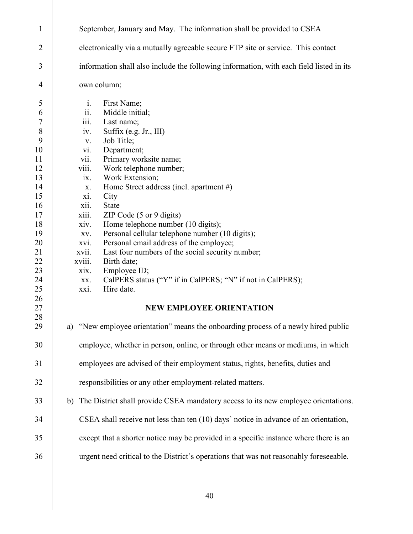| 1                                                                                                                                                                          | September, January and May. The information shall be provided to CSEA                                                                                                                                                                                                                                                                                                                                                                                                                                                                                                                                                                                                                                                                                                                                                                                                                                                                                                                       |  |  |  |  |  |  |
|----------------------------------------------------------------------------------------------------------------------------------------------------------------------------|---------------------------------------------------------------------------------------------------------------------------------------------------------------------------------------------------------------------------------------------------------------------------------------------------------------------------------------------------------------------------------------------------------------------------------------------------------------------------------------------------------------------------------------------------------------------------------------------------------------------------------------------------------------------------------------------------------------------------------------------------------------------------------------------------------------------------------------------------------------------------------------------------------------------------------------------------------------------------------------------|--|--|--|--|--|--|
| $\overline{2}$                                                                                                                                                             | electronically via a mutually agreeable secure FTP site or service. This contact                                                                                                                                                                                                                                                                                                                                                                                                                                                                                                                                                                                                                                                                                                                                                                                                                                                                                                            |  |  |  |  |  |  |
| 3                                                                                                                                                                          | information shall also include the following information, with each field listed in its                                                                                                                                                                                                                                                                                                                                                                                                                                                                                                                                                                                                                                                                                                                                                                                                                                                                                                     |  |  |  |  |  |  |
| $\overline{4}$                                                                                                                                                             | own column;                                                                                                                                                                                                                                                                                                                                                                                                                                                                                                                                                                                                                                                                                                                                                                                                                                                                                                                                                                                 |  |  |  |  |  |  |
| 5<br>6<br>$\boldsymbol{7}$<br>$\,$ $\,$<br>9<br>10<br>11<br>12<br>13<br>14<br>15<br>16<br>17<br>18<br>19<br>20<br>21<br>22<br>23<br>24<br>25<br>26<br>27<br>28<br>29<br>30 | First Name;<br>$\mathbf{i}$ .<br>Middle initial;<br>11.<br>iii.<br>Last name;<br>Suffix (e.g. Jr., III)<br>iv.<br>Job Title;<br>V.<br>Department;<br>vi.<br>Primary worksite name;<br>V11.<br>Work telephone number;<br>viii.<br>Work Extension;<br>1X.<br>Home Street address (incl. apartment #)<br>X.<br>City<br>xi.<br><b>State</b><br>X11.<br>ZIP Code $(5 \text{ or } 9 \text{ digits})$<br>xiii.<br>Home telephone number (10 digits);<br>xiv.<br>Personal cellular telephone number (10 digits);<br>XV.<br>Personal email address of the employee;<br>XVI.<br>Last four numbers of the social security number;<br>XV11.<br>Birth date;<br>xviii.<br>Employee ID;<br>xix.<br>CalPERS status ("Y" if in CalPERS; "N" if not in CalPERS);<br>XX.<br>Hire date.<br>xxi.<br><b>NEW EMPLOYEE ORIENTATION</b><br>"New employee orientation" means the onboarding process of a newly hired public<br>a)<br>employee, whether in person, online, or through other means or mediums, in which |  |  |  |  |  |  |
| 31                                                                                                                                                                         | employees are advised of their employment status, rights, benefits, duties and                                                                                                                                                                                                                                                                                                                                                                                                                                                                                                                                                                                                                                                                                                                                                                                                                                                                                                              |  |  |  |  |  |  |
| 32                                                                                                                                                                         | responsibilities or any other employment-related matters.                                                                                                                                                                                                                                                                                                                                                                                                                                                                                                                                                                                                                                                                                                                                                                                                                                                                                                                                   |  |  |  |  |  |  |
| 33                                                                                                                                                                         | b)                                                                                                                                                                                                                                                                                                                                                                                                                                                                                                                                                                                                                                                                                                                                                                                                                                                                                                                                                                                          |  |  |  |  |  |  |
|                                                                                                                                                                            | The District shall provide CSEA mandatory access to its new employee orientations.                                                                                                                                                                                                                                                                                                                                                                                                                                                                                                                                                                                                                                                                                                                                                                                                                                                                                                          |  |  |  |  |  |  |
| 34                                                                                                                                                                         | CSEA shall receive not less than ten (10) days' notice in advance of an orientation,                                                                                                                                                                                                                                                                                                                                                                                                                                                                                                                                                                                                                                                                                                                                                                                                                                                                                                        |  |  |  |  |  |  |
| 35                                                                                                                                                                         | except that a shorter notice may be provided in a specific instance where there is an                                                                                                                                                                                                                                                                                                                                                                                                                                                                                                                                                                                                                                                                                                                                                                                                                                                                                                       |  |  |  |  |  |  |
| 36                                                                                                                                                                         | urgent need critical to the District's operations that was not reasonably foreseeable.                                                                                                                                                                                                                                                                                                                                                                                                                                                                                                                                                                                                                                                                                                                                                                                                                                                                                                      |  |  |  |  |  |  |
|                                                                                                                                                                            |                                                                                                                                                                                                                                                                                                                                                                                                                                                                                                                                                                                                                                                                                                                                                                                                                                                                                                                                                                                             |  |  |  |  |  |  |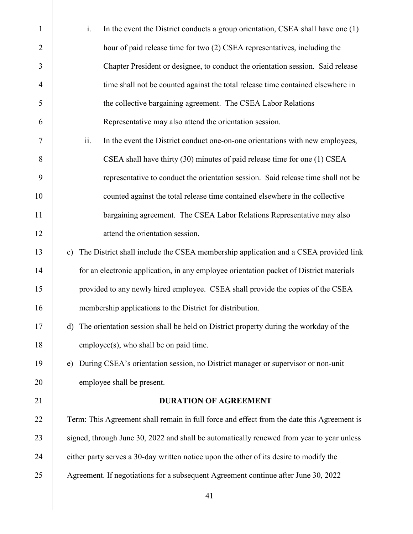| $\mathbf{1}$   | i.            | In the event the District conducts a group orientation, CSEA shall have one (1)            |
|----------------|---------------|--------------------------------------------------------------------------------------------|
| $\overline{2}$ |               | hour of paid release time for two (2) CSEA representatives, including the                  |
| 3              |               | Chapter President or designee, to conduct the orientation session. Said release            |
| $\overline{4}$ |               | time shall not be counted against the total release time contained elsewhere in            |
| 5              |               | the collective bargaining agreement. The CSEA Labor Relations                              |
| 6              |               | Representative may also attend the orientation session.                                    |
| 7              | ii.           | In the event the District conduct one-on-one orientations with new employees,              |
| 8              |               | CSEA shall have thirty (30) minutes of paid release time for one (1) CSEA                  |
| 9              |               | representative to conduct the orientation session. Said release time shall not be          |
| 10             |               | counted against the total release time contained elsewhere in the collective               |
| 11             |               | bargaining agreement. The CSEA Labor Relations Representative may also                     |
| 12             |               | attend the orientation session.                                                            |
| 13             | $\mathbf{c})$ | The District shall include the CSEA membership application and a CSEA provided link        |
| 14             |               | for an electronic application, in any employee orientation packet of District materials    |
| 15             |               | provided to any newly hired employee. CSEA shall provide the copies of the CSEA            |
| 16             |               | membership applications to the District for distribution.                                  |
| 17             | $\mathbf{d}$  | The orientation session shall be held on District property during the workday of the       |
| 18             |               | employee(s), who shall be on paid time.                                                    |
| 19             | e)            | During CSEA's orientation session, no District manager or supervisor or non-unit           |
| 20             |               | employee shall be present.                                                                 |
| 21             |               | <b>DURATION OF AGREEMENT</b>                                                               |
| 22             |               | Term: This Agreement shall remain in full force and effect from the date this Agreement is |
| 23             |               | signed, through June 30, 2022 and shall be automatically renewed from year to year unless  |
| 24             |               | either party serves a 30-day written notice upon the other of its desire to modify the     |
| 25             |               | Agreement. If negotiations for a subsequent Agreement continue after June 30, 2022         |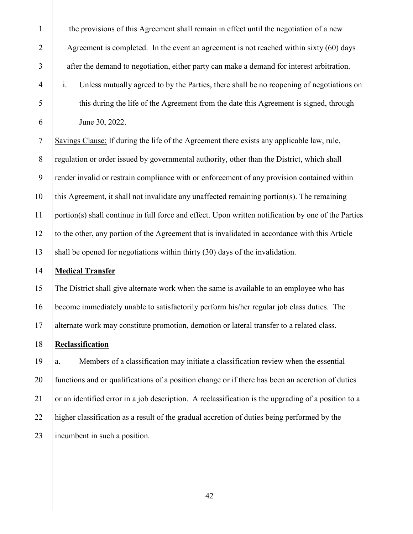| $\mathbf{1}$   | the provisions of this Agreement shall remain in effect until the negotiation of a new                     |
|----------------|------------------------------------------------------------------------------------------------------------|
| $\overline{2}$ | Agreement is completed. In the event an agreement is not reached within sixty $(60)$ days                  |
| 3              | after the demand to negotiation, either party can make a demand for interest arbitration.                  |
| $\overline{4}$ | $\mathbf{i}$ .<br>Unless mutually agreed to by the Parties, there shall be no reopening of negotiations on |
| 5              | this during the life of the Agreement from the date this Agreement is signed, through                      |
| 6              | June 30, 2022.                                                                                             |
| $\tau$         | Savings Clause: If during the life of the Agreement there exists any applicable law, rule,                 |
| 8              | regulation or order issued by governmental authority, other than the District, which shall                 |
| 9              | render invalid or restrain compliance with or enforcement of any provision contained within                |
| 10             | this Agreement, it shall not invalidate any unaffected remaining portion(s). The remaining                 |
| 11             | portion(s) shall continue in full force and effect. Upon written notification by one of the Parties        |
| 12             | to the other, any portion of the Agreement that is invalidated in accordance with this Article             |
| 13             | shall be opened for negotiations within thirty (30) days of the invalidation.                              |
| 14             | <b>Medical Transfer</b>                                                                                    |
| 15             | The District shall give alternate work when the same is available to an employee who has                   |
| 16             | become immediately unable to satisfactorily perform his/her regular job class duties. The                  |
| 17             | alternate work may constitute promotion, demotion or lateral transfer to a related class.                  |
| 18             | Reclassification                                                                                           |
| 19             | Members of a classification may initiate a classification review when the essential<br>a.                  |
| 20             | functions and or qualifications of a position change or if there has been an accretion of duties           |
| 21             | or an identified error in a job description. A reclassification is the upgrading of a position to a        |
| 22             | higher classification as a result of the gradual accretion of duties being performed by the                |
| 23             | incumbent in such a position.                                                                              |
|                |                                                                                                            |
|                |                                                                                                            |
|                | $\Lambda$                                                                                                  |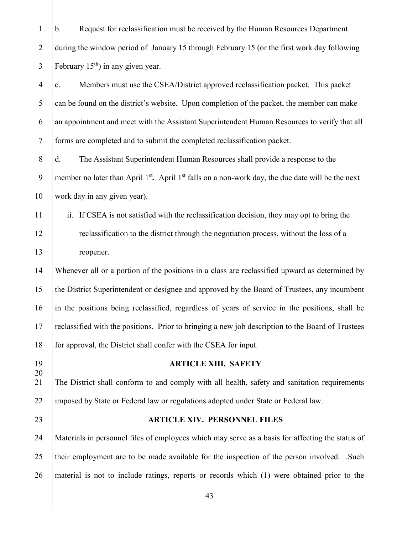b. Request for reclassification must be received by the Human Resources Department 2 during the window period of January 15 through February 15 (or the first work day following  $\overline{3}$  | February 15<sup>th</sup>) in any given year.  $\frac{4}{c}$  c. Members must use the CSEA/District approved reclassification packet. This packet can be found on the district's website. Upon completion of the packet, the member can make an appointment and meet with the Assistant Superintendent Human Resources to verify that all forms are completed and to submit the completed reclassification packet. 8 d. The Assistant Superintendent Human Resources shall provide a response to the 9 member no later than April 1<sup>st</sup>. April 1<sup>st</sup> falls on a non-work day, the due date will be the next work day in any given year). ii. If CSEA is not satisfied with the reclassification decision, they may opt to bring the **Figure 12** reclassification to the district through the negotiation process, without the loss of a 13 reopener. Whenever all or a portion of the positions in a class are reclassified upward as determined by the District Superintendent or designee and approved by the Board of Trustees, any incumbent in the positions being reclassified, regardless of years of service in the positions, shall be reclassified with the positions. Prior to bringing a new job description to the Board of Trustees 18 for approval, the District shall confer with the CSEA for input. **ARTICLE XIII. SAFETY** The District shall conform to and comply with all health, safety and sanitation requirements 22 imposed by State or Federal law or regulations adopted under State or Federal law. **ARTICLE XIV. PERSONNEL FILES** Materials in personnel files of employees which may serve as a basis for affecting the status of 25 their employment are to be made available for the inspection of the person involved. .Such material is not to include ratings, reports or records which (1) were obtained prior to the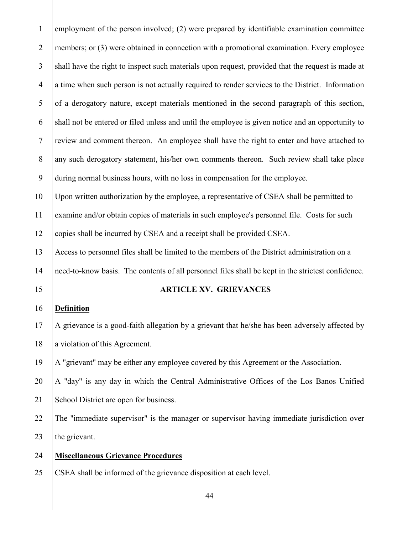| $\mathbf{1}$   | employment of the person involved; (2) were prepared by identifiable examination committee         |
|----------------|----------------------------------------------------------------------------------------------------|
| $\overline{2}$ | members; or (3) were obtained in connection with a promotional examination. Every employee         |
| $\overline{3}$ | shall have the right to inspect such materials upon request, provided that the request is made at  |
| $\overline{4}$ | a time when such person is not actually required to render services to the District. Information   |
| 5              | of a derogatory nature, except materials mentioned in the second paragraph of this section,        |
| 6              | shall not be entered or filed unless and until the employee is given notice and an opportunity to  |
| $\tau$         | review and comment thereon. An employee shall have the right to enter and have attached to         |
| $8\,$          | any such derogatory statement, his/her own comments thereon. Such review shall take place          |
| 9              | during normal business hours, with no loss in compensation for the employee.                       |
| 10             | Upon written authorization by the employee, a representative of CSEA shall be permitted to         |
| 11             | examine and/or obtain copies of materials in such employee's personnel file. Costs for such        |
| 12             | copies shall be incurred by CSEA and a receipt shall be provided CSEA.                             |
| 13             | Access to personnel files shall be limited to the members of the District administration on a      |
| 14             | need-to-know basis. The contents of all personnel files shall be kept in the strictest confidence. |
| 15             | <b>ARTICLE XV. GRIEVANCES</b>                                                                      |
| 16             | <b>Definition</b>                                                                                  |
| 17             | A grievance is a good-faith allegation by a grievant that he/she has been adversely affected by    |
| 18             | a violation of this Agreement.                                                                     |
| 19             | A "grievant" may be either any employee covered by this Agreement or the Association.              |
| 20             | A "day" is any day in which the Central Administrative Offices of the Los Banos Unified            |
| 21             | School District are open for business.                                                             |
| 22             | The "immediate supervisor" is the manager or supervisor having immediate jurisdiction over         |
| 23             | the grievant.                                                                                      |
| 24             | <b>Miscellaneous Grievance Procedures</b>                                                          |
| 25             | CSEA shall be informed of the grievance disposition at each level.                                 |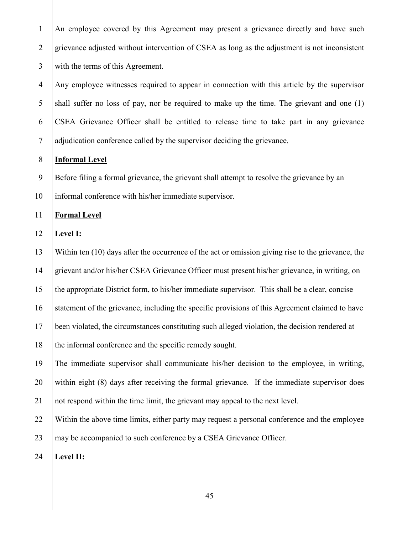An employee covered by this Agreement may present a grievance directly and have such 2 grievance adjusted without intervention of CSEA as long as the adjustment is not inconsistent with the terms of this Agreement.

4 Any employee witnesses required to appear in connection with this article by the supervisor shall suffer no loss of pay, nor be required to make up the time. The grievant and one (1) CSEA Grievance Officer shall be entitled to release time to take part in any grievance adjudication conference called by the supervisor deciding the grievance.

#### **Informal Level**

Before filing a formal grievance, the grievant shall attempt to resolve the grievance by an

informal conference with his/her immediate supervisor.

**Formal Level**

**Level I:**

 Within ten (10) days after the occurrence of the act or omission giving rise to the grievance, the grievant and/or his/her CSEA Grievance Officer must present his/her grievance, in writing, on the appropriate District form, to his/her immediate supervisor. This shall be a clear, concise

statement of the grievance, including the specific provisions of this Agreement claimed to have

been violated, the circumstances constituting such alleged violation, the decision rendered at

18 the informal conference and the specific remedy sought.

The immediate supervisor shall communicate his/her decision to the employee, in writing,

within eight (8) days after receiving the formal grievance. If the immediate supervisor does

not respond within the time limit, the grievant may appeal to the next level.

 Within the above time limits, either party may request a personal conference and the employee 23 may be accompanied to such conference by a CSEA Grievance Officer.

**Level II:**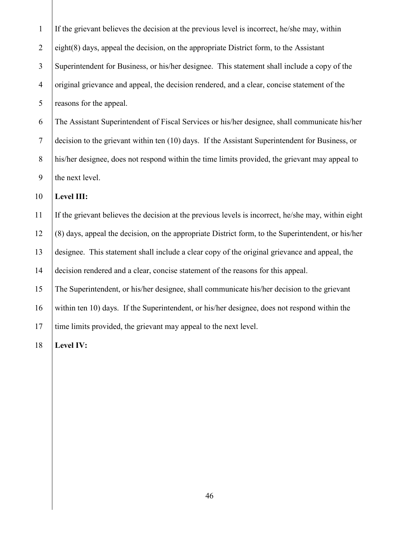| $\mathbf{1}$   | If the grievant believes the decision at the previous level is incorrect, he/she may, within        |
|----------------|-----------------------------------------------------------------------------------------------------|
| $\overline{2}$ | $eighth(8)$ days, appeal the decision, on the appropriate District form, to the Assistant           |
| $\mathfrak{Z}$ | Superintendent for Business, or his/her designee. This statement shall include a copy of the        |
| $\overline{4}$ | original grievance and appeal, the decision rendered, and a clear, concise statement of the         |
| 5              | reasons for the appeal.                                                                             |
| 6              | The Assistant Superintendent of Fiscal Services or his/her designee, shall communicate his/her      |
| $\tau$         | decision to the grievant within ten (10) days. If the Assistant Superintendent for Business, or     |
| 8              | his/her designee, does not respond within the time limits provided, the grievant may appeal to      |
| 9              | the next level.                                                                                     |
|                |                                                                                                     |
| 10             | Level III:                                                                                          |
| 11             | If the grievant believes the decision at the previous levels is incorrect, he/she may, within eight |
| 12             | (8) days, appeal the decision, on the appropriate District form, to the Superintendent, or his/her  |
| 13             | designee. This statement shall include a clear copy of the original grievance and appeal, the       |
| 14             | decision rendered and a clear, concise statement of the reasons for this appeal.                    |
| 15             | The Superintendent, or his/her designee, shall communicate his/her decision to the grievant         |
| 16             | within ten 10) days. If the Superintendent, or his/her designee, does not respond within the        |
| 17             | time limits provided, the grievant may appeal to the next level.                                    |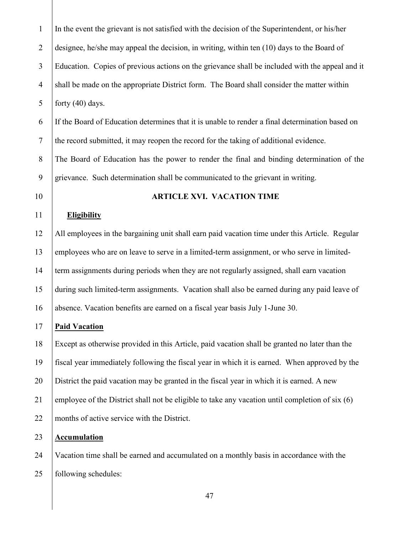In the event the grievant is not satisfied with the decision of the Superintendent, or his/her 2 designee, he/she may appeal the decision, in writing, within ten  $(10)$  days to the Board of Education. Copies of previous actions on the grievance shall be included with the appeal and it 4 shall be made on the appropriate District form. The Board shall consider the matter within 5 forty  $(40)$  days.

 If the Board of Education determines that it is unable to render a final determination based on the record submitted, it may reopen the record for the taking of additional evidence. The Board of Education has the power to render the final and binding determination of the

grievance. Such determination shall be communicated to the grievant in writing.

#### **ARTICLE XVI. VACATION TIME**

#### **Eligibility**

 All employees in the bargaining unit shall earn paid vacation time under this Article. Regular employees who are on leave to serve in a limited-term assignment, or who serve in limited- term assignments during periods when they are not regularly assigned, shall earn vacation during such limited-term assignments. Vacation shall also be earned during any paid leave of absence. Vacation benefits are earned on a fiscal year basis July 1-June 30.

# **Paid Vacation**

 Except as otherwise provided in this Article, paid vacation shall be granted no later than the fiscal year immediately following the fiscal year in which it is earned. When approved by the District the paid vacation may be granted in the fiscal year in which it is earned. A new 21 employee of the District shall not be eligible to take any vacation until completion of six  $(6)$ 22 months of active service with the District.

# **Accumulation**

 Vacation time shall be earned and accumulated on a monthly basis in accordance with the 25 | following schedules: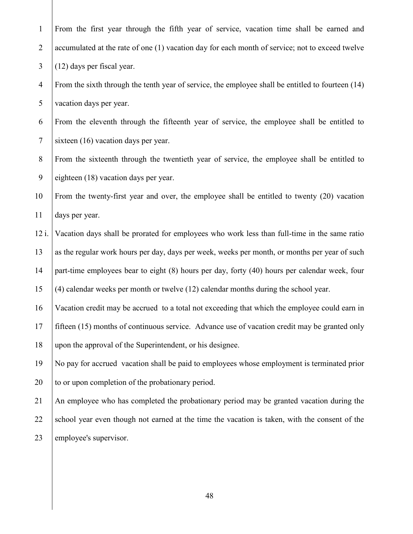| $\mathbf{1}$   | From the first year through the fifth year of service, vacation time shall be earned and          |
|----------------|---------------------------------------------------------------------------------------------------|
| $\overline{2}$ | accumulated at the rate of one (1) vacation day for each month of service; not to exceed twelve   |
| $\mathfrak{Z}$ | (12) days per fiscal year.                                                                        |
| $\overline{4}$ | From the sixth through the tenth year of service, the employee shall be entitled to fourteen (14) |
| $\mathfrak{S}$ | vacation days per year.                                                                           |
| 6              | From the eleventh through the fifteenth year of service, the employee shall be entitled to        |
| $\tau$         | sixteen (16) vacation days per year.                                                              |
| $8\,$          | From the sixteenth through the twentieth year of service, the employee shall be entitled to       |
| 9              | eighteen (18) vacation days per year.                                                             |
| 10             | From the twenty-first year and over, the employee shall be entitled to twenty (20) vacation       |
| 11             | days per year.                                                                                    |
| $12$ i.        | Vacation days shall be prorated for employees who work less than full-time in the same ratio      |
| 13             | as the regular work hours per day, days per week, weeks per month, or months per year of such     |
| 14             | part-time employees bear to eight (8) hours per day, forty (40) hours per calendar week, four     |
| 15             | (4) calendar weeks per month or twelve (12) calendar months during the school year.               |
| 16             | Vacation credit may be accrued to a total not exceeding that which the employee could earn in     |
| 17             | fifteen (15) months of continuous service. Advance use of vacation credit may be granted only     |
| 18             | upon the approval of the Superintendent, or his designee.                                         |
| 19             | No pay for accrued vacation shall be paid to employees whose employment is terminated prior       |
| 20             | to or upon completion of the probationary period.                                                 |
| 21             | An employee who has completed the probationary period may be granted vacation during the          |
| 22             | school year even though not earned at the time the vacation is taken, with the consent of the     |
| 23             | employee's supervisor.                                                                            |
|                |                                                                                                   |
|                |                                                                                                   |
|                | 48                                                                                                |
|                |                                                                                                   |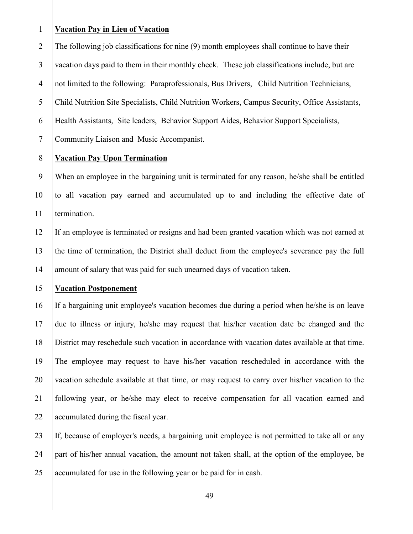#### **Vacation Pay in Lieu of Vacation**

2 The following job classifications for nine (9) month employees shall continue to have their vacation days paid to them in their monthly check. These job classifications include, but are not limited to the following: Paraprofessionals, Bus Drivers, Child Nutrition Technicians, Child Nutrition Site Specialists, Child Nutrition Workers, Campus Security, Office Assistants, Health Assistants, Site leaders, Behavior Support Aides, Behavior Support Specialists, Community Liaison and Music Accompanist.

#### **Vacation Pay Upon Termination**

 When an employee in the bargaining unit is terminated for any reason, he/she shall be entitled to all vacation pay earned and accumulated up to and including the effective date of 11 termination.

 If an employee is terminated or resigns and had been granted vacation which was not earned at the time of termination, the District shall deduct from the employee's severance pay the full 14 amount of salary that was paid for such unearned days of vacation taken.

#### **Vacation Postponement**

 If a bargaining unit employee's vacation becomes due during a period when he/she is on leave due to illness or injury, he/she may request that his/her vacation date be changed and the District may reschedule such vacation in accordance with vacation dates available at that time. The employee may request to have his/her vacation rescheduled in accordance with the vacation schedule available at that time, or may request to carry over his/her vacation to the following year, or he/she may elect to receive compensation for all vacation earned and 22 accumulated during the fiscal year.

 If, because of employer's needs, a bargaining unit employee is not permitted to take all or any part of his/her annual vacation, the amount not taken shall, at the option of the employee, be 25 accumulated for use in the following year or be paid for in cash.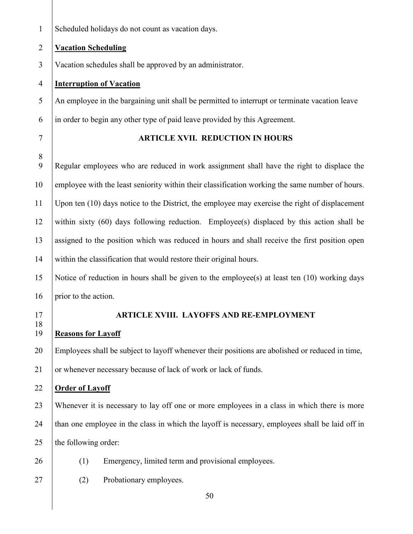Scheduled holidays do not count as vacation days.

#### **Vacation Scheduling**

Vacation schedules shall be approved by an administrator.

#### **Interruption of Vacation**

 An employee in the bargaining unit shall be permitted to interrupt or terminate vacation leave in order to begin any other type of paid leave provided by this Agreement.

# **ARTICLE XVII. REDUCTION IN HOURS**

 Regular employees who are reduced in work assignment shall have the right to displace the 10 employee with the least seniority within their classification working the same number of hours. Upon ten (10) days notice to the District, the employee may exercise the right of displacement 12 within sixty  $(60)$  days following reduction. Employee(s) displaced by this action shall be assigned to the position which was reduced in hours and shall receive the first position open 14 within the classification that would restore their original hours.

 Notice of reduction in hours shall be given to the employee(s) at least ten (10) working days 16 | prior to the action.

#### **ARTICLE XVIII. LAYOFFS AND RE-EMPLOYMENT**

#### **Reasons for Layoff**

Employees shall be subject to layoff whenever their positions are abolished or reduced in time,

21 or whenever necessary because of lack of work or lack of funds.

# **Order of Layoff**

 Whenever it is necessary to lay off one or more employees in a class in which there is more 24 than one employee in the class in which the layoff is necessary, employees shall be laid off in 25  $\vert$  the following order:

- 
- (1) Emergency, limited term and provisional employees.
- 
- 27 (2) Probationary employees.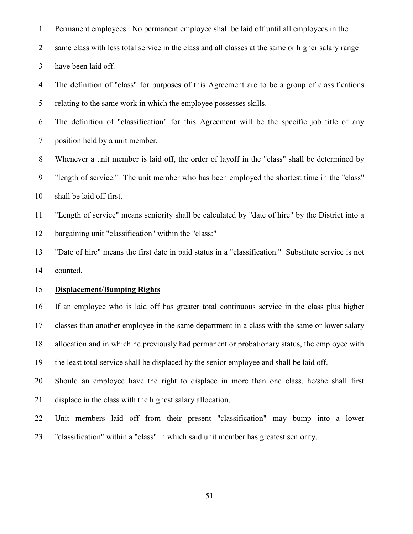| $\mathbf{1}$   | Permanent employees. No permanent employee shall be laid off until all employees in the             |  |  |  |  |
|----------------|-----------------------------------------------------------------------------------------------------|--|--|--|--|
| $\overline{2}$ | same class with less total service in the class and all classes at the same or higher salary range  |  |  |  |  |
| $\mathfrak{Z}$ | have been laid off.                                                                                 |  |  |  |  |
| $\overline{4}$ | The definition of "class" for purposes of this Agreement are to be a group of classifications       |  |  |  |  |
| 5              | relating to the same work in which the employee possesses skills.                                   |  |  |  |  |
| 6              | The definition of "classification" for this Agreement will be the specific job title of any         |  |  |  |  |
| $\tau$         | position held by a unit member.                                                                     |  |  |  |  |
| $8\,$          | Whenever a unit member is laid off, the order of layoff in the "class" shall be determined by       |  |  |  |  |
| 9              | "length of service." The unit member who has been employed the shortest time in the "class"         |  |  |  |  |
| 10             | shall be laid off first.                                                                            |  |  |  |  |
| 11             | "Length of service" means seniority shall be calculated by "date of hire" by the District into a    |  |  |  |  |
| 12             | bargaining unit "classification" within the "class:"                                                |  |  |  |  |
| 13             | "Date of hire" means the first date in paid status in a "classification." Substitute service is not |  |  |  |  |
| 14             | counted.                                                                                            |  |  |  |  |
| 15             | <b>Displacement/Bumping Rights</b>                                                                  |  |  |  |  |
| 16             | If an employee who is laid off has greater total continuous service in the class plus higher        |  |  |  |  |
| 17             | classes than another employee in the same department in a class with the same or lower salary       |  |  |  |  |
| 18             | allocation and in which he previously had permanent or probationary status, the employee with       |  |  |  |  |
| 19             | the least total service shall be displaced by the senior employee and shall be laid off.            |  |  |  |  |
| 20             | Should an employee have the right to displace in more than one class, he/she shall first            |  |  |  |  |
| 21             | displace in the class with the highest salary allocation.                                           |  |  |  |  |
| 22             | Unit members laid off from their present "classification" may bump into a lower                     |  |  |  |  |
| 23             | "classification" within a "class" in which said unit member has greatest seniority.                 |  |  |  |  |
|                |                                                                                                     |  |  |  |  |
|                |                                                                                                     |  |  |  |  |
|                | 51                                                                                                  |  |  |  |  |
|                |                                                                                                     |  |  |  |  |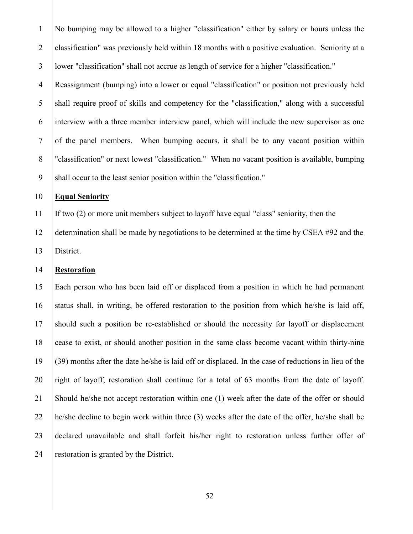No bumping may be allowed to a higher "classification" either by salary or hours unless the classification" was previously held within 18 months with a positive evaluation. Seniority at a lower "classification" shall not accrue as length of service for a higher "classification."

 Reassignment (bumping) into a lower or equal "classification" or position not previously held shall require proof of skills and competency for the "classification," along with a successful interview with a three member interview panel, which will include the new supervisor as one of the panel members. When bumping occurs, it shall be to any vacant position within 8 "classification" or next lowest "classification." When no vacant position is available, bumping 9 Shall occur to the least senior position within the "classification."

#### **Equal Seniority**

If two (2) or more unit members subject to layoff have equal "class" seniority, then the

 determination shall be made by negotiations to be determined at the time by CSEA #92 and the District.

# **Restoration**

 Each person who has been laid off or displaced from a position in which he had permanent 16 status shall, in writing, be offered restoration to the position from which he/she is laid off, should such a position be re-established or should the necessity for layoff or displacement cease to exist, or should another position in the same class become vacant within thirty-nine (39) months after the date he/she is laid off or displaced. In the case of reductions in lieu of the right of layoff, restoration shall continue for a total of 63 months from the date of layoff. Should he/she not accept restoration within one (1) week after the date of the offer or should he/she decline to begin work within three (3) weeks after the date of the offer, he/she shall be declared unavailable and shall forfeit his/her right to restoration unless further offer of restoration is granted by the District.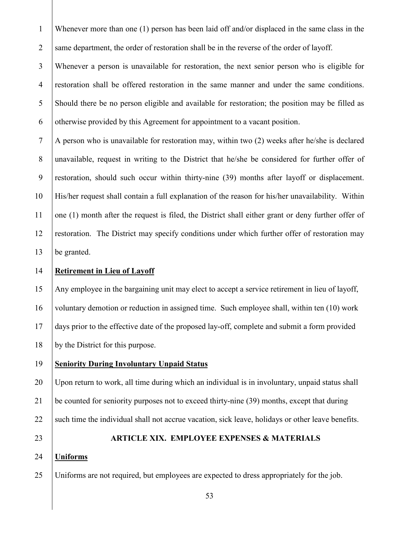Whenever more than one (1) person has been laid off and/or displaced in the same class in the 2 same department, the order of restoration shall be in the reverse of the order of layoff.

 Whenever a person is unavailable for restoration, the next senior person who is eligible for restoration shall be offered restoration in the same manner and under the same conditions. Should there be no person eligible and available for restoration; the position may be filled as 6 otherwise provided by this Agreement for appointment to a vacant position.

 | A person who is unavailable for restoration may, within two (2) weeks after he/she is declared unavailable, request in writing to the District that he/she be considered for further offer of restoration, should such occur within thirty-nine (39) months after layoff or displacement. His/her request shall contain a full explanation of the reason for his/her unavailability.Within one (1) month after the request is filed, the District shall either grant or deny further offer of 12 restoration. The District may specify conditions under which further offer of restoration may be granted.

# **Retirement in Lieu of Layoff**

 Any employee in the bargaining unit may elect to accept a service retirement in lieu of layoff, voluntary demotion or reduction in assigned time. Such employee shall, within ten (10) work days prior to the effective date of the proposed lay-off, complete and submit a form provided by the District for this purpose.

**Seniority During Involuntary Unpaid Status**

 Upon return to work, all time during which an individual is in involuntary, unpaid status shall be counted for seniority purposes not to exceed thirty-nine (39) months, except that during 22 Such time the individual shall not accrue vacation, sick leave, holidays or other leave benefits.

#### **ARTICLE XIX. EMPLOYEE EXPENSES & MATERIALS**

#### **Uniforms**

Uniforms are not required, but employees are expected to dress appropriately for the job.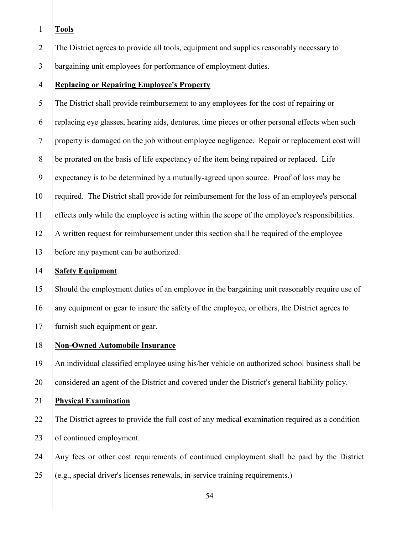- **Tools**
- The District agrees to provide all tools, equipment and supplies reasonably necessary to
- bargaining unit employees for performance of employment duties.
- **Replacing or Repairing Employee's Property**

 The District shall provide reimbursement to any employees for the cost of repairing or replacing eye glasses, hearing aids, dentures, time pieces or other personal effects when such property is damaged on the job without employee negligence. Repair or replacement cost will be prorated on the basis of life expectancy of the item being repaired or replaced. Life expectancy is to be determined by a mutually-agreed upon source. Proof of loss may be required. The District shall provide for reimbursement for the loss of an employee's personal effects only while the employee is acting within the scope of the employee's responsibilities. A written request for reimbursement under this section shall be required of the employee before any payment can be authorized.

# **Safety Equipment**

 Should the employment duties of an employee in the bargaining unit reasonably require use of 16 any equipment or gear to insure the safety of the employee, or others, the District agrees to furnish such equipment or gear.

**Non-Owned Automobile Insurance**

 An individual classified employee using his/her vehicle on authorized school business shall be considered an agent of the District and covered under the District's general liability policy.

- **Physical Examination**
- The District agrees to provide the full cost of any medical examination required as a condition 23 of continued employment.
- Any fees or other cost requirements of continued employment shall be paid by the District
- (e.g., special driver's licenses renewals, in-service training requirements.)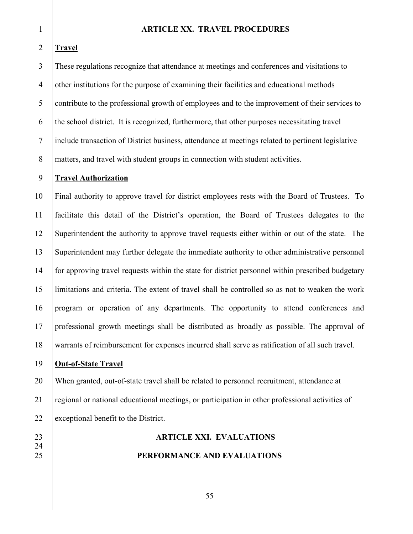#### **ARTICLE XX. TRAVEL PROCEDURES**

#### **Travel**

 These regulations recognize that attendance at meetings and conferences and visitations to other institutions for the purpose of examining their facilities and educational methods contribute to the professional growth of employees and to the improvement of their services to the school district. It is recognized, furthermore, that other purposes necessitating travel include transaction of District business, attendance at meetings related to pertinent legislative 8 matters, and travel with student groups in connection with student activities.

#### **Travel Authorization**

 Final authority to approve travel for district employees rests with the Board of Trustees. To facilitate this detail of the District's operation, the Board of Trustees delegates to the Superintendent the authority to approve travel requests either within or out of the state. The Superintendent may further delegate the immediate authority to other administrative personnel for approving travel requests within the state for district personnel within prescribed budgetary limitations and criteria. The extent of travel shall be controlled so as not to weaken the work program or operation of any departments. The opportunity to attend conferences and professional growth meetings shall be distributed as broadly as possible. The approval of warrants of reimbursement for expenses incurred shall serve as ratification of all such travel.

# **Out-of-State Travel**

 When granted, out-of-state travel shall be related to personnel recruitment, attendance at regional or national educational meetings, or participation in other professional activities of 22 exceptional benefit to the District.

 **ARTICLE XXI. EVALUATIONS** 

# **PERFORMANCE AND EVALUATIONS**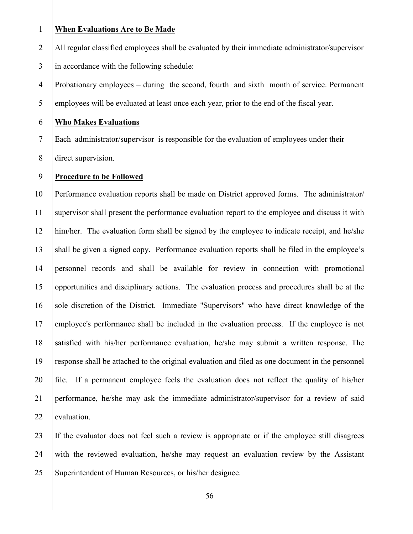#### **When Evaluations Are to Be Made**

2 All regular classified employees shall be evaluated by their immediate administrator/supervisor

3 in accordance with the following schedule:

 Probationary employees – during the second, fourth and sixth month of service. Permanent employees will be evaluated at least once each year, prior to the end of the fiscal year.

# **Who Makes Evaluations**

Each administrator/supervisor is responsible for the evaluation of employees under their

direct supervision.

#### **Procedure to be Followed**

 Performance evaluation reports shall be made on District approved forms. The administrator/ supervisor shall present the performance evaluation report to the employee and discuss it with him/her. The evaluation form shall be signed by the employee to indicate receipt, and he/she shall be given a signed copy. Performance evaluation reports shall be filed in the employee's personnel records and shall be available for review in connection with promotional opportunities and disciplinary actions. The evaluation process and procedures shall be at the 16 sole discretion of the District. Immediate "Supervisors" who have direct knowledge of the employee's performance shall be included in the evaluation process. If the employee is not satisfied with his/her performance evaluation, he/she may submit a written response. The response shall be attached to the original evaluation and filed as one document in the personnel file.If a permanent employee feels the evaluation does not reflect the quality of his/her performance, he/she may ask the immediate administrator/supervisor for a review of said 22 evaluation.

 If the evaluator does not feel such a review is appropriate or if the employee still disagrees with the reviewed evaluation, he/she may request an evaluation review by the Assistant 25 Superintendent of Human Resources, or his/her designee.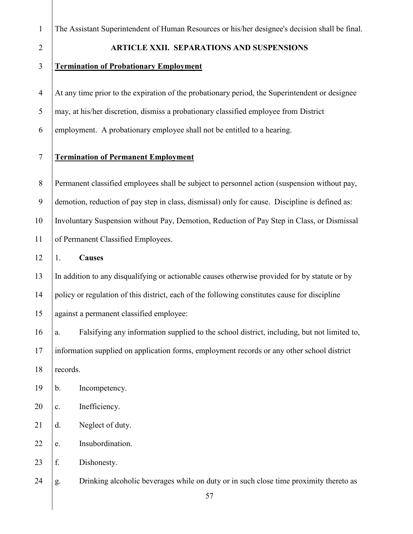| The Assistant Superintendent of Human Resources or his/her designee's decision shall be final. |  |  |  |  |
|------------------------------------------------------------------------------------------------|--|--|--|--|
|                                                                                                |  |  |  |  |

#### **ARTICLE XXII. SEPARATIONS AND SUSPENSIONS**

#### **Termination of Probationary Employment**

At any time prior to the expiration of the probationary period, the Superintendent or designee

may, at his/her discretion, dismiss a probationary classified employee from District

employment. A probationary employee shall not be entitled to a hearing.

# **Termination of Permanent Employment**

 Permanent classified employees shall be subject to personnel action (suspension without pay, demotion, reduction of pay step in class, dismissal) only for cause. Discipline is defined as: Involuntary Suspension without Pay, Demotion, Reduction of Pay Step in Class, or Dismissal 11 of Permanent Classified Employees.

1. **Causes**

 In addition to any disqualifying or actionable causes otherwise provided for by statute or by policy or regulation of this district, each of the following constitutes cause for discipline against a permanent classified employee:

 a. Falsifying any information supplied to the school district, including, but not limited to, information supplied on application forms, employment records or any other school district 18 records.

b. Incompetency.

20 c. Inefficiency.

21 d. Neglect of duty.

22 e. Insubordination.

23 f. Dishonesty.

g. Drinking alcoholic beverages while on duty or in such close time proximity thereto as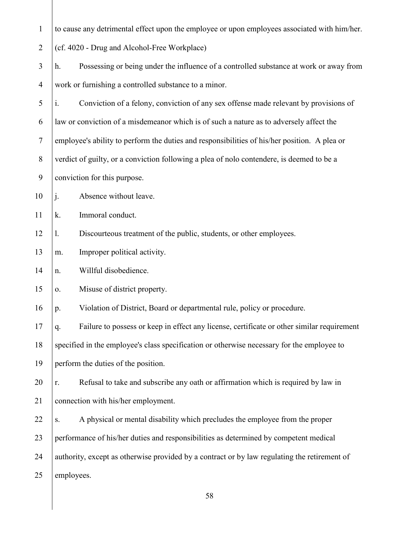| $\mathbf{1}$   | to cause any detrimental effect upon the employee or upon employees associated with him/her.           |  |  |  |  |  |
|----------------|--------------------------------------------------------------------------------------------------------|--|--|--|--|--|
| $\overline{2}$ | (cf. 4020 - Drug and Alcohol-Free Workplace)                                                           |  |  |  |  |  |
| 3              | Possessing or being under the influence of a controlled substance at work or away from<br>h.           |  |  |  |  |  |
| $\overline{4}$ | work or furnishing a controlled substance to a minor.                                                  |  |  |  |  |  |
| 5              | Conviction of a felony, conviction of any sex offense made relevant by provisions of<br>$\mathbf{i}$ . |  |  |  |  |  |
| 6              | law or conviction of a misdemeanor which is of such a nature as to adversely affect the                |  |  |  |  |  |
| $\tau$         | employee's ability to perform the duties and responsibilities of his/her position. A plea or           |  |  |  |  |  |
| 8              | verdict of guilty, or a conviction following a plea of nolo contendere, is deemed to be a              |  |  |  |  |  |
| 9              | conviction for this purpose.                                                                           |  |  |  |  |  |
| 10             | $\mathbf{j}$ .<br>Absence without leave.                                                               |  |  |  |  |  |
| 11             | Immoral conduct.<br>k.                                                                                 |  |  |  |  |  |
| 12             | Discourteous treatment of the public, students, or other employees.<br>1.                              |  |  |  |  |  |
| 13             | Improper political activity.<br>m.                                                                     |  |  |  |  |  |
| 14             | Willful disobedience.<br>n.                                                                            |  |  |  |  |  |
| 15             | Misuse of district property.<br>0.                                                                     |  |  |  |  |  |
| 16             | Violation of District, Board or departmental rule, policy or procedure.<br>p.                          |  |  |  |  |  |
| 17             | Failure to possess or keep in effect any license, certificate or other similar requirement<br>q.       |  |  |  |  |  |
| 18             | specified in the employee's class specification or otherwise necessary for the employee to             |  |  |  |  |  |
| 19             | perform the duties of the position.                                                                    |  |  |  |  |  |
| 20             | Refusal to take and subscribe any oath or affirmation which is required by law in<br>r.                |  |  |  |  |  |
| 21             | connection with his/her employment.                                                                    |  |  |  |  |  |
| 22             | A physical or mental disability which precludes the employee from the proper<br>S.                     |  |  |  |  |  |
| 23             | performance of his/her duties and responsibilities as determined by competent medical                  |  |  |  |  |  |
| 24             | authority, except as otherwise provided by a contract or by law regulating the retirement of           |  |  |  |  |  |

25 employees.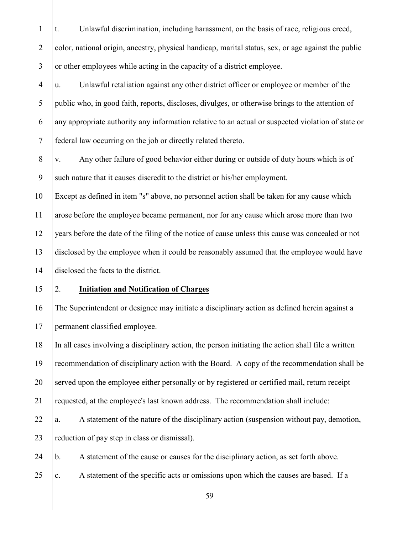t. Unlawful discrimination, including harassment, on the basis of race, religious creed, 2 color, national origin, ancestry, physical handicap, marital status, sex, or age against the public 3 or other employees while acting in the capacity of a district employee.

 $\frac{4}{u}$ . Unlawful retaliation against any other district officer or employee or member of the public who, in good faith, reports, discloses, divulges, or otherwise brings to the attention of any appropriate authority any information relative to an actual or suspected violation of state or federal law occurring on the job or directly related thereto.

 $8 \mid v$ . Any other failure of good behavior either during or outside of duty hours which is of 9 Such nature that it causes discredit to the district or his/her employment.

 Except as defined in item "s" above, no personnel action shall be taken for any cause which arose before the employee became permanent, nor for any cause which arose more than two years before the date of the filing of the notice of cause unless this cause was concealed or not disclosed by the employee when it could be reasonably assumed that the employee would have disclosed the facts to the district.

# 2. **Initiation and Notification of Charges**

 The Superintendent or designee may initiate a disciplinary action as defined herein against a permanent classified employee.

 In all cases involving a disciplinary action, the person initiating the action shall file a written recommendation of disciplinary action with the Board. A copy of the recommendation shall be served upon the employee either personally or by registered or certified mail, return receipt requested, at the employee's last known address. The recommendation shall include:

22  $|a. \text{ A statement of the nature of the disciplinary action (suspension without pay, demotion,$ 23  $\vert$  reduction of pay step in class or dismissal).

24 b. A statement of the cause or causes for the disciplinary action, as set forth above.

25  $\vert$  c. A statement of the specific acts or omissions upon which the causes are based. If a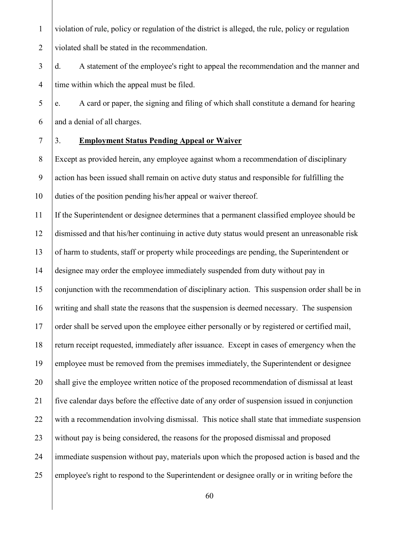violation of rule, policy or regulation of the district is alleged, the rule, policy or regulation violated shall be stated in the recommendation.

3 d. A statement of the employee's right to appeal the recommendation and the manner and 4 time within which the appeal must be filed.

 $\frac{1}{2}$  e. A card or paper, the signing and filing of which shall constitute a demand for hearing and a denial of all charges.

# 3. **Employment Status Pending Appeal or Waiver**

 Except as provided herein, any employee against whom a recommendation of disciplinary action has been issued shall remain on active duty status and responsible for fulfilling the duties of the position pending his/her appeal or waiver thereof.

 If the Superintendent or designee determines that a permanent classified employee should be dismissed and that his/her continuing in active duty status would present an unreasonable risk of harm to students, staff or property while proceedings are pending, the Superintendent or designee may order the employee immediately suspended from duty without pay in conjunction with the recommendation of disciplinary action. This suspension order shall be in writing and shall state the reasons that the suspension is deemed necessary. The suspension 17 order shall be served upon the employee either personally or by registered or certified mail, return receipt requested, immediately after issuance. Except in cases of emergency when the 19 employee must be removed from the premises immediately, the Superintendent or designee 20 shall give the employee written notice of the proposed recommendation of dismissal at least five calendar days before the effective date of any order of suspension issued in conjunction with a recommendation involving dismissal. This notice shall state that immediate suspension 23 without pay is being considered, the reasons for the proposed dismissal and proposed immediate suspension without pay, materials upon which the proposed action is based and the 25 employee's right to respond to the Superintendent or designee orally or in writing before the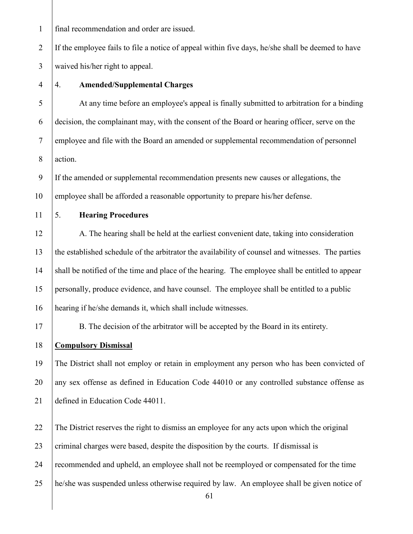final recommendation and order are issued.

2 If the employee fails to file a notice of appeal within five days, he/she shall be deemed to have waived his/her right to appeal.

# 4. **Amended/Supplemental Charges**

 At any time before an employee's appeal is finally submitted to arbitration for a binding decision, the complainant may, with the consent of the Board or hearing officer, serve on the employee and file with the Board an amended or supplemental recommendation of personnel action.

 If the amended or supplemental recommendation presents new causes or allegations, the 10 employee shall be afforded a reasonable opportunity to prepare his/her defense.

# 5. **Hearing Procedures**

12 A. The hearing shall be held at the earliest convenient date, taking into consideration the established schedule of the arbitrator the availability of counsel and witnesses. The parties shall be notified of the time and place of the hearing. The employee shall be entitled to appear personally, produce evidence, and have counsel. The employee shall be entitled to a public hearing if he/she demands it, which shall include witnesses.

B. The decision of the arbitrator will be accepted by the Board in its entirety.

#### **Compulsory Dismissal**

 The District shall not employ or retain in employment any person who has been convicted of 20 any sex offense as defined in Education Code 44010 or any controlled substance offense as defined in Education Code 44011.

The District reserves the right to dismiss an employee for any acts upon which the original

23 criminal charges were based, despite the disposition by the courts. If dismissal is

recommended and upheld, an employee shall not be reemployed or compensated for the time

he/she was suspended unless otherwise required by law. An employee shall be given notice of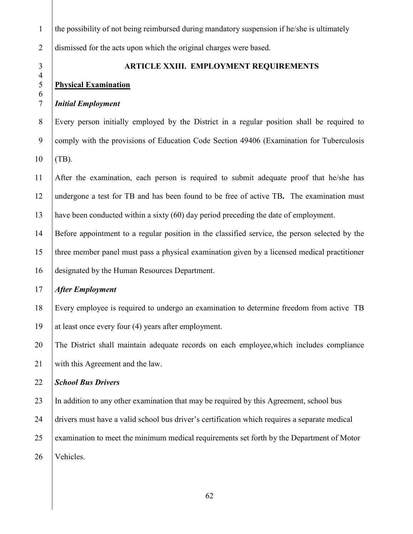| $\mathbf{1}$        | the possibility of not being reimbursed during mandatory suspension if he/she is ultimately    |
|---------------------|------------------------------------------------------------------------------------------------|
| $\overline{2}$      | dismissed for the acts upon which the original charges were based.                             |
| $\mathfrak{Z}$      | ARTICLE XXIII. EMPLOYMENT REQUIREMENTS                                                         |
| $\overline{4}$<br>5 | <b>Physical Examination</b>                                                                    |
| 6<br>$\overline{7}$ | <b>Initial Employment</b>                                                                      |
| $8\,$               | Every person initially employed by the District in a regular position shall be required to     |
| 9                   | comply with the provisions of Education Code Section 49406 (Examination for Tuberculosis       |
| 10                  | $(TB)$ .                                                                                       |
| 11                  | After the examination, each person is required to submit adequate proof that he/she has        |
| 12                  | undergone a test for TB and has been found to be free of active TB. The examination must       |
| 13                  | have been conducted within a sixty (60) day period preceding the date of employment.           |
| 14                  | Before appointment to a regular position in the classified service, the person selected by the |
| 15                  | three member panel must pass a physical examination given by a licensed medical practitioner   |
| 16                  | designated by the Human Resources Department.                                                  |
| 17                  | <b>After Employment</b>                                                                        |
| 18                  | Every employee is required to undergo an examination to determine freedom from active TB       |
| 19                  | at least once every four (4) years after employment.                                           |
| 20                  | The District shall maintain adequate records on each employee, which includes compliance       |
| 21                  | with this Agreement and the law.                                                               |
| 22                  | <b>School Bus Drivers</b>                                                                      |
| 23                  | In addition to any other examination that may be required by this Agreement, school bus        |
| 24                  | drivers must have a valid school bus driver's certification which requires a separate medical  |
| 25                  | examination to meet the minimum medical requirements set forth by the Department of Motor      |
| 26                  | Vehicles.                                                                                      |
|                     |                                                                                                |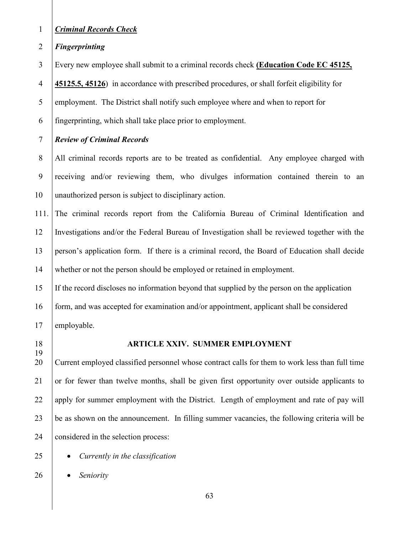# *Criminal Records Check*

*Fingerprinting*

Every new employee shall submit to a criminal records check **(Education Code EC 45125,** 

**45125.5, 45126**) in accordance with prescribed procedures, or shall forfeit eligibility for

5 employment. The District shall notify such employee where and when to report for

fingerprinting, which shall take place prior to employment.

# *Review of Criminal Records*

8 All criminal records reports are to be treated as confidential. Any employee charged with receiving and/or reviewing them, who divulges information contained therein to an unauthorized person is subject to disciplinary action.

111. The criminal records report from the California Bureau of Criminal Identification and Investigations and/or the Federal Bureau of Investigation shall be reviewed together with the person's application form. If there is a criminal record, the Board of Education shall decide 14 whether or not the person should be employed or retained in employment.

If the record discloses no information beyond that supplied by the person on the application

 form, and was accepted for examination and/or appointment, applicant shall be considered 17 employable.

# **ARTICLE XXIV. SUMMER EMPLOYMENT**

 Current employed classified personnel whose contract calls for them to work less than full time or for fewer than twelve months, shall be given first opportunity over outside applicants to 22 apply for summer employment with the District. Length of employment and rate of pay will be as shown on the announcement. In filling summer vacancies, the following criteria will be 24 considered in the selection process:

- *Currently in the classification*
- *Seniority*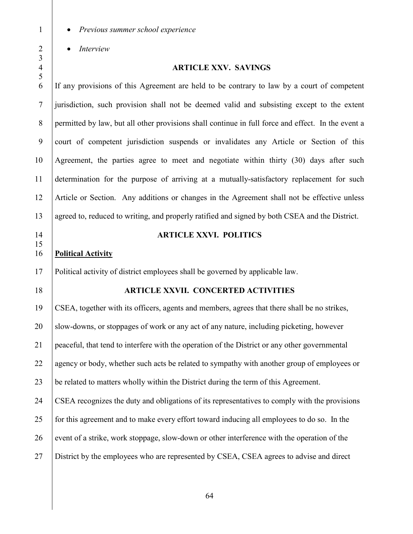• *Previous summer school experience*

• *Interview*

# 

#### **ARTICLE XXV. SAVINGS**

 If any provisions of this Agreement are held to be contrary to law by a court of competent jurisdiction, such provision shall not be deemed valid and subsisting except to the extent permitted by law, but all other provisions shall continue in full force and effect. In the event a court of competent jurisdiction suspends or invalidates any Article or Section of this Agreement, the parties agree to meet and negotiate within thirty (30) days after such determination for the purpose of arriving at a mutually-satisfactory replacement for such Article or Section. Any additions or changes in the Agreement shall not be effective unless 13 agreed to, reduced to writing, and properly ratified and signed by both CSEA and the District. **ARTICLE XXVI. POLITICS Political Activity** Political activity of district employees shall be governed by applicable law. **ARTICLE XXVII. CONCERTED ACTIVITIES** CSEA, together with its officers, agents and members, agrees that there shall be no strikes, 20 Slow-downs, or stoppages of work or any act of any nature, including picketing, however peaceful, that tend to interfere with the operation of the District or any other governmental 22 agency or body, whether such acts be related to sympathy with another group of employees or be related to matters wholly within the District during the term of this Agreement. CSEA recognizes the duty and obligations of its representatives to comply with the provisions 25 for this agreement and to make every effort toward inducing all employees to do so. In the event of a strike, work stoppage, slow-down or other interference with the operation of the District by the employees who are represented by CSEA, CSEA agrees to advise and direct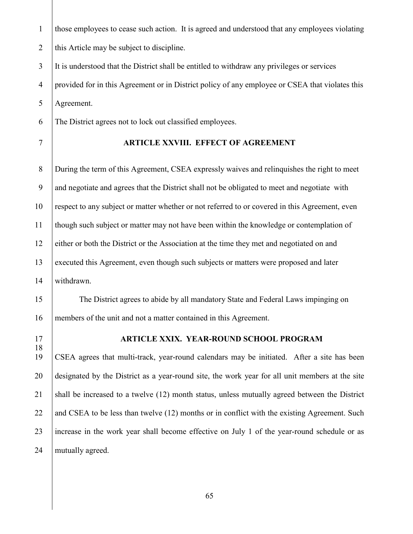those employees to cease such action. It is agreed and understood that any employees violating 2 this Article may be subject to discipline.

3 It is understood that the District shall be entitled to withdraw any privileges or services

4 provided for in this Agreement or in District policy of any employee or CSEA that violates this Agreement.

The District agrees not to lock out classified employees.

# **ARTICLE XXVIII. EFFECT OF AGREEMENT**

8 During the term of this Agreement, CSEA expressly waives and relinquishes the right to meet and negotiate and agrees that the District shall not be obligated to meet and negotiate with respect to any subject or matter whether or not referred to or covered in this Agreement, even though such subject or matter may not have been within the knowledge or contemplation of either or both the District or the Association at the time they met and negotiated on and executed this Agreement, even though such subjects or matters were proposed and later withdrawn.

15 The District agrees to abide by all mandatory State and Federal Laws impinging on 16 members of the unit and not a matter contained in this Agreement.

# **ARTICLE XXIX. YEAR-ROUND SCHOOL PROGRAM**

 CSEA agrees that multi-track, year-round calendars may be initiated. After a site has been designated by the District as a year-round site, the work year for all unit members at the site shall be increased to a twelve (12) month status, unless mutually agreed between the District 22 and CSEA to be less than twelve  $(12)$  months or in conflict with the existing Agreement. Such 23 increase in the work year shall become effective on July 1 of the year-round schedule or as 24 | mutually agreed.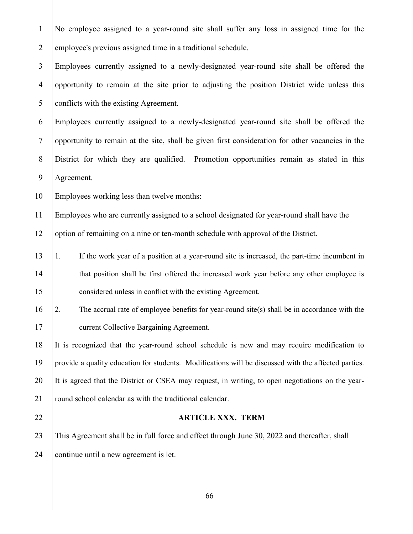No employee assigned to a year-round site shall suffer any loss in assigned time for the 2 employee's previous assigned time in a traditional schedule.

 Employees currently assigned to a newly-designated year-round site shall be offered the opportunity to remain at the site prior to adjusting the position District wide unless this conflicts with the existing Agreement.

 Employees currently assigned to a newly-designated year-round site shall be offered the opportunity to remain at the site, shall be given first consideration for other vacancies in the District for which they are qualified. Promotion opportunities remain as stated in this Agreement.

Employees working less than twelve months:

Employees who are currently assigned to a school designated for year-round shall have the

12 option of remaining on a nine or ten-month schedule with approval of the District.

- 1. If the work year of a position at a year-round site is increased, the part-time incumbent in 14 that position shall be first offered the increased work year before any other employee is **considered unless in conflict with the existing Agreement.**
- 2. The accrual rate of employee benefits for year-round site(s) shall be in accordance with the **current Collective Bargaining Agreement.**

 It is recognized that the year-round school schedule is new and may require modification to provide a quality education for students. Modifications will be discussed with the affected parties. It is agreed that the District or CSEA may request, in writing, to open negotiations on the year-21 | round school calendar as with the traditional calendar.

#### **ARTICLE XXX. TERM**

 This Agreement shall be in full force and effect through June 30, 2022 and thereafter, shall 24 continue until a new agreement is let.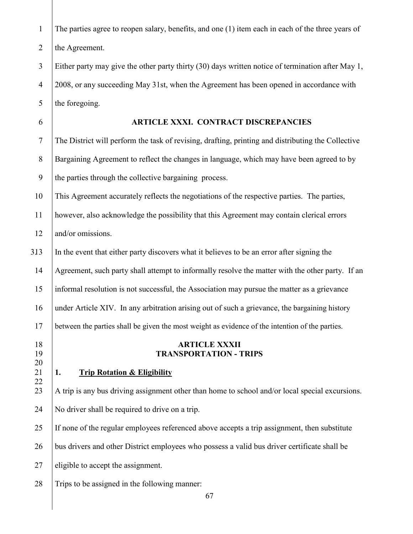| $\mathbf{1}$   | The parties agree to reopen salary, benefits, and one (1) item each in each of the three years of  |
|----------------|----------------------------------------------------------------------------------------------------|
| $\overline{2}$ | the Agreement.                                                                                     |
| $\overline{3}$ | Either party may give the other party thirty (30) days written notice of termination after May 1,  |
| $\overline{4}$ | 2008, or any succeeding May 31st, when the Agreement has been opened in accordance with            |
| 5              | the foregoing.                                                                                     |
| 6              | ARTICLE XXXI. CONTRACT DISCREPANCIES                                                               |
| $\tau$         | The District will perform the task of revising, drafting, printing and distributing the Collective |
| $8\,$          | Bargaining Agreement to reflect the changes in language, which may have been agreed to by          |
| 9              | the parties through the collective bargaining process.                                             |
| $10\,$         | This Agreement accurately reflects the negotiations of the respective parties. The parties,        |
| 11             | however, also acknowledge the possibility that this Agreement may contain clerical errors          |
| 12             | and/or omissions.                                                                                  |
| 313            | In the event that either party discovers what it believes to be an error after signing the         |
| 14             | Agreement, such party shall attempt to informally resolve the matter with the other party. If an   |
| 15             | informal resolution is not successful, the Association may pursue the matter as a grievance        |
| 16             | under Article XIV. In any arbitration arising out of such a grievance, the bargaining history      |
| 17             | between the parties shall be given the most weight as evidence of the intention of the parties.    |
| 18<br>19       | <b>ARTICLE XXXII</b><br><b>TRANSPORTATION - TRIPS</b>                                              |
| 20             |                                                                                                    |
| 21<br>22       | <b>Trip Rotation &amp; Eligibility</b><br>1.                                                       |
| 23             | A trip is any bus driving assignment other than home to school and/or local special excursions.    |
| 24             | No driver shall be required to drive on a trip.                                                    |
| 25             | If none of the regular employees referenced above accepts a trip assignment, then substitute       |
| 26             | bus drivers and other District employees who possess a valid bus driver certificate shall be       |
| 27             | eligible to accept the assignment.                                                                 |
| 28             | Trips to be assigned in the following manner:                                                      |
|                | 67                                                                                                 |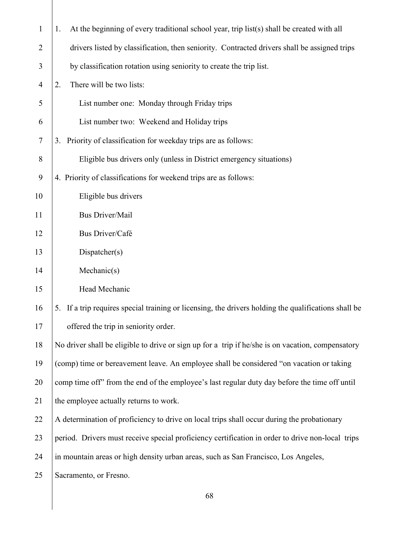| $\mathbf{1}$   | At the beginning of every traditional school year, trip list(s) shall be created with all<br>1.         |
|----------------|---------------------------------------------------------------------------------------------------------|
| $\overline{2}$ | drivers listed by classification, then seniority. Contracted drivers shall be assigned trips            |
| 3              | by classification rotation using seniority to create the trip list.                                     |
| $\overline{4}$ | There will be two lists:<br>2.                                                                          |
| 5              | List number one: Monday through Friday trips                                                            |
| 6              | List number two: Weekend and Holiday trips                                                              |
| $\tau$         | Priority of classification for weekday trips are as follows:<br>3.                                      |
| 8              | Eligible bus drivers only (unless in District emergency situations)                                     |
| 9              | 4. Priority of classifications for weekend trips are as follows:                                        |
| 10             | Eligible bus drivers                                                                                    |
| 11             | <b>Bus Driver/Mail</b>                                                                                  |
| 12             | Bus Driver/Café                                                                                         |
| 13             | Dispatcher(s)                                                                                           |
| 14             | Mechanic(s)                                                                                             |
| 15             | Head Mechanic                                                                                           |
| 16             | If a trip requires special training or licensing, the drivers holding the qualifications shall be<br>5. |
| 17             | offered the trip in seniority order.                                                                    |
| 18             | No driver shall be eligible to drive or sign up for a trip if he/she is on vacation, compensatory       |
| 19             | (comp) time or bereavement leave. An employee shall be considered "on vacation or taking                |
| 20             | comp time off" from the end of the employee's last regular duty day before the time off until           |
| 21             | the employee actually returns to work.                                                                  |
| 22             | A determination of proficiency to drive on local trips shall occur during the probationary              |
| 23             | period. Drivers must receive special proficiency certification in order to drive non-local trips        |
| 24             | in mountain areas or high density urban areas, such as San Francisco, Los Angeles,                      |
| 25             | Sacramento, or Fresno.                                                                                  |
|                |                                                                                                         |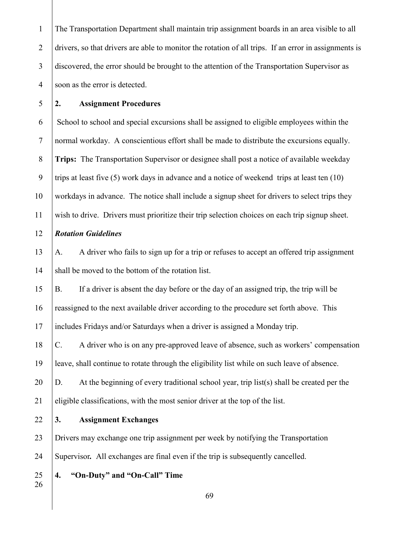The Transportation Department shall maintain trip assignment boards in an area visible to all 2 drivers, so that drivers are able to monitor the rotation of all trips. If an error in assignments is 3 discovered, the error should be brought to the attention of the Transportation Supervisor as 4 soon as the error is detected.

# **2. Assignment Procedures**

 $6 \mid$  School to school and special excursions shall be assigned to eligible employees within the normal workday. A conscientious effort shall be made to distribute the excursions equally. **Trips:**The Transportation Supervisor or designee shall post a notice of available weekday 9 trips at least five (5) work days in advance and a notice of weekend trips at least ten  $(10)$  workdays in advance. The notice shall include a signup sheet for drivers to select trips they wish to drive. Drivers must prioritize their trip selection choices on each trip signup sheet.

# *Rotation Guidelines*

 A. A driver who fails to sign up for a trip or refuses to accept an offered trip assignment 14 shall be moved to the bottom of the rotation list.

B. If a driver is absent the day before or the day of an assigned trip, the trip will be

reassigned to the next available driver according to the procedure set forth above. This

includes Fridays and/or Saturdays when a driver is assigned a Monday trip.

 C. A driver who is on any pre-approved leave of absence, such as workers' compensation leave, shall continue to rotate through the eligibility list while on such leave of absence.

20  $|D.$  At the beginning of every traditional school year, trip list(s) shall be created per the eligible classifications, with the most senior driver at the top of the list.

**3. Assignment Exchanges**

 Drivers may exchange one trip assignment per week by notifying the Transportation Supervisor*.* All exchanges are final even if the trip is subsequently cancelled.

**4. "On-Duty" and "On-Call" Time**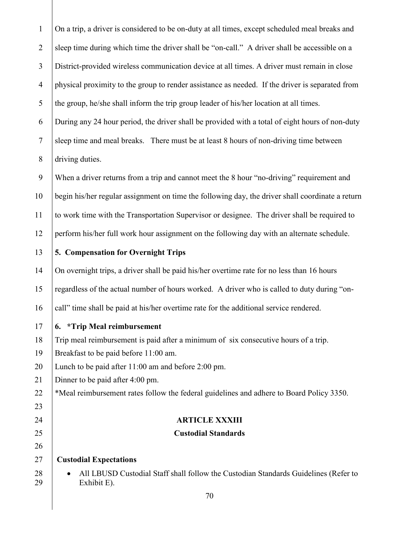On a trip, a driver is considered to be on-duty at all times, except scheduled meal breaks and 2 sleep time during which time the driver shall be "on-call." A driver shall be accessible on a District-provided wireless communication device at all times. A driver must remain in close physical proximity to the group to render assistance as needed. If the driver is separated from 5 the group, he/she shall inform the trip group leader of his/her location at all times. During any 24 hour period, the driver shall be provided with a total of eight hours of non-duty sleep time and meal breaks. There must be at least 8 hours of non-driving time between 8 driving duties. When a driver returns from a trip and cannot meet the 8 hour "no-driving" requirement and begin his/her regular assignment on time the following day, the driver shall coordinate a return to work time with the Transportation Supervisor or designee. The driver shall be required to perform his/her full work hour assignment on the following day with an alternate schedule. **5. Compensation for Overnight Trips** 14 On overnight trips, a driver shall be paid his/her overtime rate for no less than 16 hours regardless of the actual number of hours worked. A driver who is called to duty during "on-16 call" time shall be paid at his/her overtime rate for the additional service rendered. **6. \*Trip Meal reimbursement** Trip meal reimbursement is paid after a minimum of six consecutive hours of a trip. Breakfast to be paid before 11:00 am. Lunch to be paid after 11:00 am and before 2:00 pm. 21 Dinner to be paid after 4:00 pm. 22 <sup>\*</sup>Meal reimbursement rates follow the federal guidelines and adhere to Board Policy 3350. **ARTICLE XXXIII Custodial Standards Custodial Expectations •** All LBUSD Custodial Staff shall follow the Custodian Standards Guidelines (Refer to Exhibit E).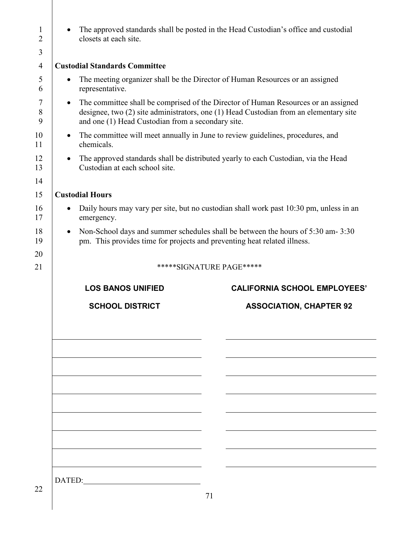| $\mathbf{1}$<br>$\overline{2}$ | closets at each site.                                                                                                     | The approved standards shall be posted in the Head Custodian's office and custodial                                                                                         |  |  |
|--------------------------------|---------------------------------------------------------------------------------------------------------------------------|-----------------------------------------------------------------------------------------------------------------------------------------------------------------------------|--|--|
| 3                              |                                                                                                                           |                                                                                                                                                                             |  |  |
| $\overline{4}$                 | <b>Custodial Standards Committee</b>                                                                                      |                                                                                                                                                                             |  |  |
| 5<br>6                         | representative.                                                                                                           | The meeting organizer shall be the Director of Human Resources or an assigned                                                                                               |  |  |
| 7<br>8<br>9                    | $\bullet$<br>and one (1) Head Custodian from a secondary site.                                                            | The committee shall be comprised of the Director of Human Resources or an assigned<br>designee, two (2) site administrators, one (1) Head Custodian from an elementary site |  |  |
| 10<br>11                       | The committee will meet annually in June to review guidelines, procedures, and<br>$\bullet$<br>chemicals.                 |                                                                                                                                                                             |  |  |
| 12<br>13                       | The approved standards shall be distributed yearly to each Custodian, via the Head<br>٠<br>Custodian at each school site. |                                                                                                                                                                             |  |  |
| 14                             |                                                                                                                           |                                                                                                                                                                             |  |  |
| 15                             | <b>Custodial Hours</b>                                                                                                    |                                                                                                                                                                             |  |  |
| 16<br>17                       | emergency.                                                                                                                | Daily hours may vary per site, but no custodian shall work past 10:30 pm, unless in an                                                                                      |  |  |
| 18<br>19                       | $\bullet$<br>pm. This provides time for projects and preventing heat related illness.                                     | Non-School days and summer schedules shall be between the hours of 5:30 am-3:30                                                                                             |  |  |
| 20                             |                                                                                                                           |                                                                                                                                                                             |  |  |
| 21                             |                                                                                                                           | *****SIGNATURE PAGE*****                                                                                                                                                    |  |  |
|                                |                                                                                                                           |                                                                                                                                                                             |  |  |
|                                | <b>LOS BANOS UNIFIED</b>                                                                                                  | <b>CALIFORNIA SCHOOL EMPLOYEES'</b>                                                                                                                                         |  |  |
|                                | <b>SCHOOL DISTRICT</b>                                                                                                    | <b>ASSOCIATION, CHAPTER 92</b>                                                                                                                                              |  |  |
|                                |                                                                                                                           |                                                                                                                                                                             |  |  |
|                                |                                                                                                                           |                                                                                                                                                                             |  |  |
|                                |                                                                                                                           |                                                                                                                                                                             |  |  |
|                                |                                                                                                                           |                                                                                                                                                                             |  |  |
|                                |                                                                                                                           |                                                                                                                                                                             |  |  |
|                                |                                                                                                                           |                                                                                                                                                                             |  |  |
|                                |                                                                                                                           |                                                                                                                                                                             |  |  |
|                                |                                                                                                                           |                                                                                                                                                                             |  |  |
|                                | DATED:                                                                                                                    |                                                                                                                                                                             |  |  |
| 22                             |                                                                                                                           | 71                                                                                                                                                                          |  |  |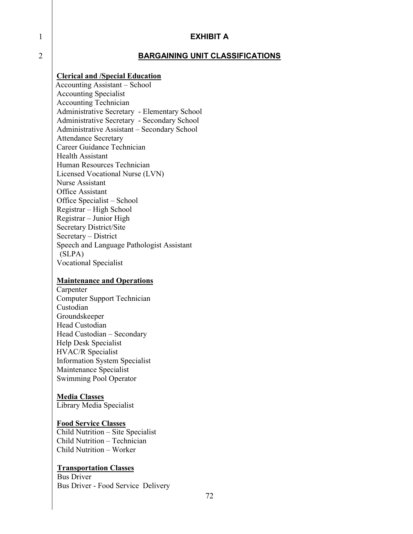#### 1 **EXHIBIT A**

### 2 **BARGAINING UNIT CLASSIFICATIONS**

#### **Clerical and /Special Education**

 Accounting Assistant – School Accounting Specialist Accounting Technician Administrative Secretary - Elementary School Administrative Secretary - Secondary School Administrative Assistant – Secondary School Attendance Secretary Career Guidance Technician Health Assistant Human Resources Technician Licensed Vocational Nurse (LVN) Nurse Assistant Office Assistant Office Specialist – School Registrar – High School Registrar – Junior High Secretary District/Site Secretary – District Speech and Language Pathologist Assistant (SLPA) Vocational Specialist

# **Maintenance and Operations**

 Carpenter Computer Support Technician Custodian Groundskeeper Head Custodian Head Custodian – Secondary Help Desk Specialist HVAC/R Specialist Information System Specialist Maintenance Specialist Swimming Pool Operator

#### **Media Classes**

Library Media Specialist

#### **Food Service Classes**

Child Nutrition – Site Specialist Child Nutrition – Technician Child Nutrition – Worker

#### **Transportation Classes**

Bus Driver Bus Driver - Food Service Delivery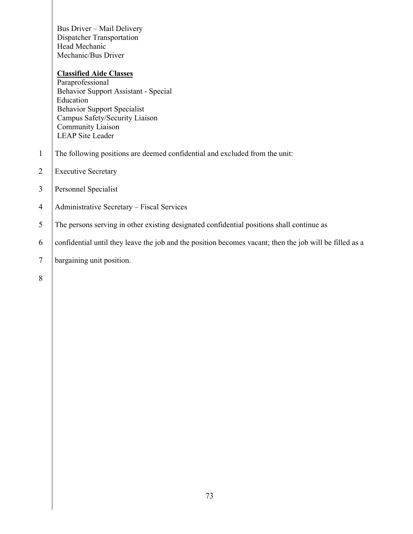Bus Driver – Mail Delivery Dispatcher Transportation Head Mechanic Mechanic/Bus Driver

# **Classified Aide Classes**

Paraprofessional Behavior Support Assistant - Special Education Behavior Support Specialist Campus Safety/Security Liaison Community Liaison LEAP Site Leader

- 1 The following positions are deemed confidential and excluded from the unit:
- 2 Executive Secretary
- 3 Personnel Specialist
- 4 Administrative Secretary Fiscal Services
- 5 The persons serving in other existing designated confidential positions shall continue as
- 6 confidential until they leave the job and the position becomes vacant; then the job will be filled as a
- 7 bargaining unit position.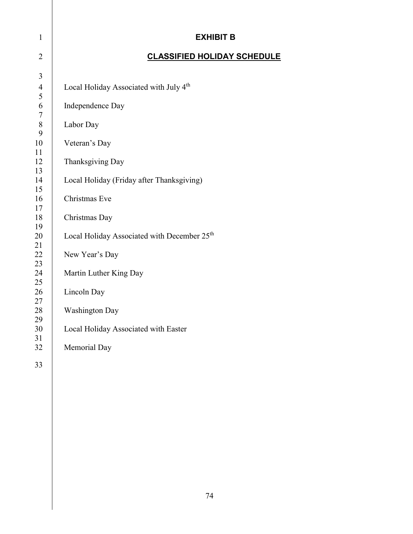| $\mathbf{1}$     | <b>EXHIBIT B</b>                                        |
|------------------|---------------------------------------------------------|
| $\overline{2}$   | <b>CLASSIFIED HOLIDAY SCHEDULE</b>                      |
| $\overline{3}$   |                                                         |
| $\overline{4}$   | Local Holiday Associated with July 4 <sup>th</sup>      |
| 5<br>6<br>$\tau$ | Independence Day                                        |
| $8\,$<br>9       | Labor Day                                               |
| 10<br>11         | Veteran's Day                                           |
| 12<br>13         | Thanksgiving Day                                        |
| 14<br>15         | Local Holiday (Friday after Thanksgiving)               |
| 16<br>17         | Christmas Eve                                           |
| 18<br>19         | Christmas Day                                           |
| 20<br>21         | Local Holiday Associated with December 25 <sup>th</sup> |
| 22<br>23         | New Year's Day                                          |
| 24<br>25         | Martin Luther King Day                                  |
| 26<br>27         | Lincoln Day                                             |
| 28<br>29         | <b>Washington Day</b>                                   |
| 30<br>31         | Local Holiday Associated with Easter                    |
| 32               | Memorial Day                                            |
| 33               |                                                         |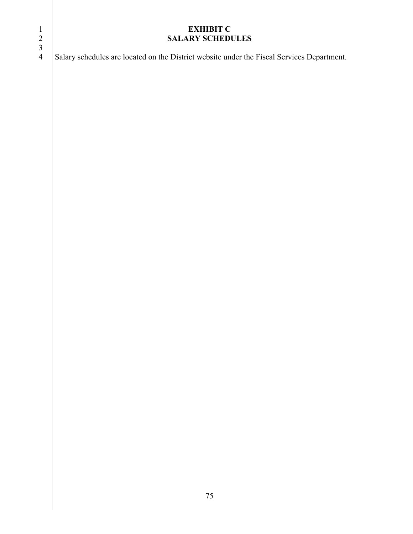# **EXHIBIT C SALARY SCHEDULES**  $\begin{array}{c} 1 \\ 2 \\ 3 \\ 4 \end{array}$ Salary schedules are located on the District website under the Fiscal Services Department.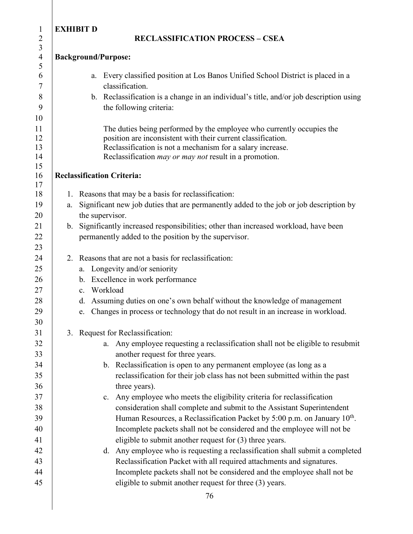# 1 **EXHIBIT D**

### 2 **RECLASSIFICATION PROCESS – CSEA**

# 4 **Background/Purpose:**

- 6 a. Every classified position at Los Banos Unified School District is placed in a 7 classification.
- 8 b. Reclassification is a change in an individual's title, and/or job description using 9 the following criteria:

11 The duties being performed by the employee who currently occupies the **position are inconsistent with their current classification.**  Reclassification is not a mechanism for a salary increase. Reclassification *may or may not* result in a promotion.

# 16 **Reclassification Criteria:**

- 18 1. Reasons that may be a basis for reclassification: 19 a. Significant new job duties that are permanently added to the job or job description by 20 the supervisor.
- 21 b. Significantly increased responsibilities; other than increased workload, have been 22 **permanently added to the position by the supervisor.**
- 24  $\vert$  2. Reasons that are not a basis for reclassification:
- 25 a. Longevity and/or seniority
- 26 b. Excellence in work performance
- 27 c. Workload
- 28 d. Assuming duties on one's own behalf without the knowledge of management
- 29 e. Changes in process or technology that do not result in an increase in workload.

# 31 | 3. Request for Reclassification:

- 32 <br>a. Any employee requesting a reclassification shall not be eligible to resubmit 33 another request for three years.
- 34 b. Reclassification is open to any permanent employee (as long as a 35 reclassification for their job class has not been submitted within the past 36 three years).
- 37 <br>
27 **c.** Any employee who meets the eligibility criteria for reclassification 38 <br>Consideration shall complete and submit to the Assistant Superintendent  $\parallel$  Human Resources, a Reclassification Packet by 5:00 p.m. on January 10<sup>th</sup>. 40 Incomplete packets shall not be considered and the employee will not be 41 eligible to submit another request for (3) three years.
- 42 d. Any employee who is requesting a reclassification shall submit a completed 43 | Reclassification Packet with all required attachments and signatures. 44 Incomplete packets shall not be considered and the employee shall not be 45 eligible to submit another request for three (3) years.

3

5

10

15

17

23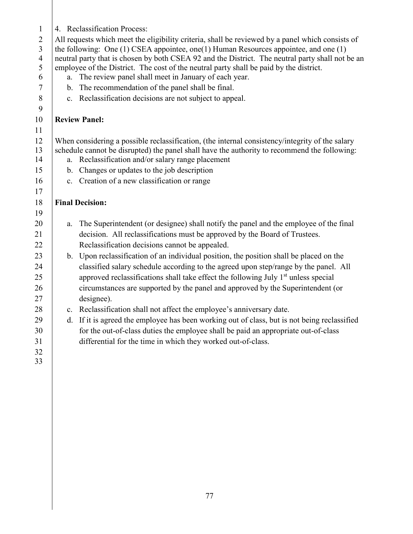| $\mathbf{1}$   |                                                                                             | 4. Reclassification Process:                                                                                                                   |  |
|----------------|---------------------------------------------------------------------------------------------|------------------------------------------------------------------------------------------------------------------------------------------------|--|
| $\overline{2}$ |                                                                                             | All requests which meet the eligibility criteria, shall be reviewed by a panel which consists of                                               |  |
| 3              | the following: One $(1)$ CSEA appointee, one $(1)$ Human Resources appointee, and one $(1)$ |                                                                                                                                                |  |
| $\overline{4}$ |                                                                                             | neutral party that is chosen by both CSEA 92 and the District. The neutral party shall not be an                                               |  |
| 5<br>6         | a.                                                                                          | employee of the District. The cost of the neutral party shall be paid by the district.<br>The review panel shall meet in January of each year. |  |
| $\tau$         |                                                                                             | b. The recommendation of the panel shall be final.                                                                                             |  |
| 8              |                                                                                             | c. Reclassification decisions are not subject to appeal.                                                                                       |  |
| 9              |                                                                                             |                                                                                                                                                |  |
| 10             |                                                                                             | <b>Review Panel:</b>                                                                                                                           |  |
| 11             |                                                                                             |                                                                                                                                                |  |
| 12             |                                                                                             | When considering a possible reclassification, (the internal consistency/integrity of the salary                                                |  |
| 13             |                                                                                             | schedule cannot be disrupted) the panel shall have the authority to recommend the following:                                                   |  |
| 14             |                                                                                             | a. Reclassification and/or salary range placement                                                                                              |  |
| 15             |                                                                                             | b. Changes or updates to the job description                                                                                                   |  |
| 16             |                                                                                             | c. Creation of a new classification or range                                                                                                   |  |
| 17             |                                                                                             |                                                                                                                                                |  |
| 18             |                                                                                             | <b>Final Decision:</b>                                                                                                                         |  |
| 19             |                                                                                             |                                                                                                                                                |  |
| 20             | a.                                                                                          | The Superintendent (or designee) shall notify the panel and the employee of the final                                                          |  |
| 21             |                                                                                             | decision. All reclassifications must be approved by the Board of Trustees.                                                                     |  |
| 22             |                                                                                             | Reclassification decisions cannot be appealed.                                                                                                 |  |
| 23             |                                                                                             | b. Upon reclassification of an individual position, the position shall be placed on the                                                        |  |
| 24             |                                                                                             | classified salary schedule according to the agreed upon step/range by the panel. All                                                           |  |
| 25             |                                                                                             | approved reclassifications shall take effect the following July 1 <sup>st</sup> unless special                                                 |  |
| 26             |                                                                                             | circumstances are supported by the panel and approved by the Superintendent (or                                                                |  |
| 27             |                                                                                             | designee).                                                                                                                                     |  |
| 28             |                                                                                             | c. Reclassification shall not affect the employee's anniversary date.                                                                          |  |
| 29             |                                                                                             | d. If it is agreed the employee has been working out of class, but is not being reclassified                                                   |  |
| 30             |                                                                                             | for the out-of-class duties the employee shall be paid an appropriate out-of-class                                                             |  |
| 31             |                                                                                             | differential for the time in which they worked out-of-class.                                                                                   |  |
| 32             |                                                                                             |                                                                                                                                                |  |
| 33             |                                                                                             |                                                                                                                                                |  |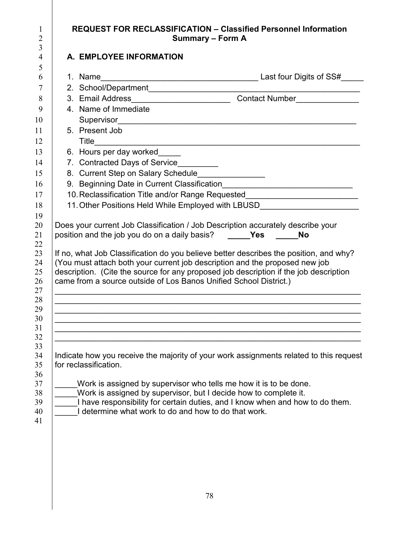| A. EMPLOYEE INFORMATION                                           |                                                                                                                                                                                                                                                                    |
|-------------------------------------------------------------------|--------------------------------------------------------------------------------------------------------------------------------------------------------------------------------------------------------------------------------------------------------------------|
|                                                                   |                                                                                                                                                                                                                                                                    |
|                                                                   |                                                                                                                                                                                                                                                                    |
|                                                                   |                                                                                                                                                                                                                                                                    |
| 4. Name of Immediate                                              |                                                                                                                                                                                                                                                                    |
|                                                                   |                                                                                                                                                                                                                                                                    |
| 5. Present Job                                                    |                                                                                                                                                                                                                                                                    |
|                                                                   |                                                                                                                                                                                                                                                                    |
| 6. Hours per day worked                                           |                                                                                                                                                                                                                                                                    |
| 7. Contracted Days of Service_________                            |                                                                                                                                                                                                                                                                    |
| 8. Current Step on Salary Schedule_______________                 |                                                                                                                                                                                                                                                                    |
|                                                                   |                                                                                                                                                                                                                                                                    |
|                                                                   | 10. Reclassification Title and/or Range Requested_______________________________                                                                                                                                                                                   |
|                                                                   | 11. Other Positions Held While Employed with LBUSD______________________________                                                                                                                                                                                   |
|                                                                   | Does your current Job Classification / Job Description accurately describe your<br>position and the job you do on a daily basis? ______Yes ______No                                                                                                                |
| came from a source outside of Los Banos Unified School District.) | (You must attach both your current job description and the proposed new job                                                                                                                                                                                        |
|                                                                   | If no, what Job Classification do you believe better describes the position, and why?<br>description. (Cite the source for any proposed job description if the job description<br>,我们也不能在这里的人,我们也不能在这里的人,我们也不能在这里的人,我们也不能在这里的人,我们也不能在这里的人,我们也不能在这里的人,我们也不能在这里的人,我们 |
|                                                                   |                                                                                                                                                                                                                                                                    |
| for reclassification.                                             | Indicate how you receive the majority of your work assignments related to this request                                                                                                                                                                             |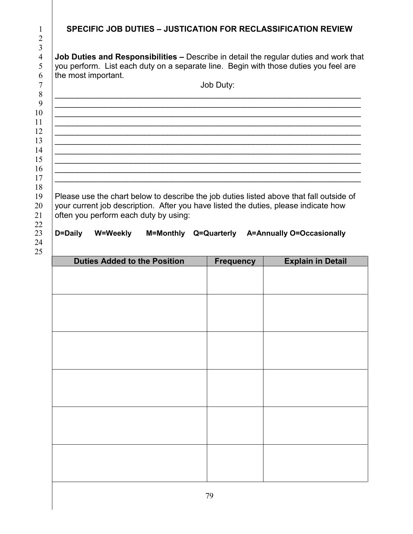| 1                                                        | <b>SPECIFIC JOB DUTIES - JUSTICATION FOR RECLASSIFICATION REVIEW</b>                                                                                                                                                     |
|----------------------------------------------------------|--------------------------------------------------------------------------------------------------------------------------------------------------------------------------------------------------------------------------|
| 2                                                        |                                                                                                                                                                                                                          |
| 3<br>$\overline{4}$<br>5<br>6<br>7<br>8<br>9<br>10<br>11 | <b>Job Duties and Responsibilities –</b> Describe in detail the regular duties and work that<br>you perform. List each duty on a separate line. Begin with those duties you feel are<br>the most important.<br>Job Duty: |
| 12<br>13<br>14<br>15<br>16<br>17                         |                                                                                                                                                                                                                          |
| 18<br>19<br>20<br>21<br>22                               | Please use the chart below to describe the job duties listed above that fall outside of<br>your current job description. After you have listed the duties, please indicate how<br>often you perform each duty by using:  |
| 23<br>24<br>25                                           | D=Daily<br>W=Weekly<br>M=Monthly<br>Q=Quarterly<br><b>A=Annually O=Occasionally</b>                                                                                                                                      |

| <b>Duties Added to the Position</b> | <b>Frequency</b> | <b>Explain in Detail</b> |
|-------------------------------------|------------------|--------------------------|
|                                     |                  |                          |
|                                     |                  |                          |
|                                     |                  |                          |
|                                     |                  |                          |
|                                     |                  |                          |
|                                     |                  |                          |
|                                     |                  |                          |
|                                     |                  |                          |
|                                     |                  |                          |
|                                     |                  |                          |
|                                     |                  |                          |
|                                     |                  |                          |
|                                     |                  |                          |
|                                     |                  |                          |
|                                     |                  |                          |
|                                     |                  |                          |
|                                     |                  |                          |
|                                     |                  |                          |
|                                     |                  |                          |
|                                     |                  |                          |
|                                     |                  |                          |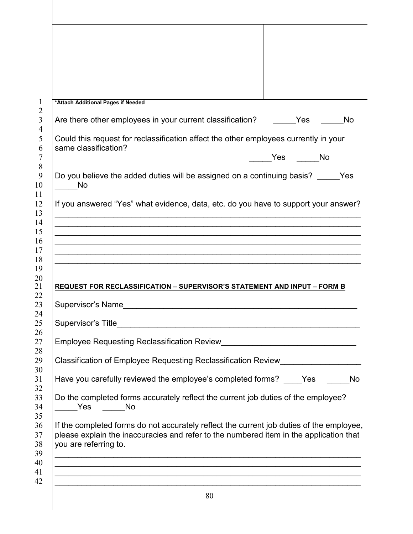| *Attach Additional Pages if Needed<br>Are there other employees in your current classification? Yes<br>Could this request for reclassification affect the other employees currently in your<br>same classification?<br>Do you believe the added duties will be assigned on a continuing basis? Yes<br>No<br>If you answered "Yes" what evidence, data, etc. do you have to support your answer?<br>,我们也不能在这里的人,我们也不能在这里的人,我们也不能在这里的人,我们也不能在这里的人,我们也不能在这里的人,我们也不能在这里的人,我们也不能在这里的人,我们也 | Yes | No |    |
|--------------------------------------------------------------------------------------------------------------------------------------------------------------------------------------------------------------------------------------------------------------------------------------------------------------------------------------------------------------------------------------------------------------------------------------------------------------------------------------|-----|----|----|
|                                                                                                                                                                                                                                                                                                                                                                                                                                                                                      |     |    |    |
|                                                                                                                                                                                                                                                                                                                                                                                                                                                                                      |     |    |    |
|                                                                                                                                                                                                                                                                                                                                                                                                                                                                                      |     |    |    |
|                                                                                                                                                                                                                                                                                                                                                                                                                                                                                      |     |    | No |
|                                                                                                                                                                                                                                                                                                                                                                                                                                                                                      |     |    |    |
|                                                                                                                                                                                                                                                                                                                                                                                                                                                                                      |     |    |    |
|                                                                                                                                                                                                                                                                                                                                                                                                                                                                                      |     |    |    |
|                                                                                                                                                                                                                                                                                                                                                                                                                                                                                      |     |    |    |
|                                                                                                                                                                                                                                                                                                                                                                                                                                                                                      |     |    |    |
|                                                                                                                                                                                                                                                                                                                                                                                                                                                                                      |     |    |    |
|                                                                                                                                                                                                                                                                                                                                                                                                                                                                                      |     |    |    |
|                                                                                                                                                                                                                                                                                                                                                                                                                                                                                      |     |    |    |
|                                                                                                                                                                                                                                                                                                                                                                                                                                                                                      |     |    |    |
|                                                                                                                                                                                                                                                                                                                                                                                                                                                                                      |     |    |    |
|                                                                                                                                                                                                                                                                                                                                                                                                                                                                                      |     |    |    |
|                                                                                                                                                                                                                                                                                                                                                                                                                                                                                      |     |    |    |
| <b>REQUEST FOR RECLASSIFICATION - SUPERVISOR'S STATEMENT AND INPUT - FORM B</b>                                                                                                                                                                                                                                                                                                                                                                                                      |     |    |    |
| Supervisor's Name <b>Example 2018</b>                                                                                                                                                                                                                                                                                                                                                                                                                                                |     |    |    |
|                                                                                                                                                                                                                                                                                                                                                                                                                                                                                      |     |    |    |
| Supervisor's Title                                                                                                                                                                                                                                                                                                                                                                                                                                                                   |     |    |    |
|                                                                                                                                                                                                                                                                                                                                                                                                                                                                                      |     |    |    |
| Classification of Employee Requesting Reclassification Review___________________                                                                                                                                                                                                                                                                                                                                                                                                     |     |    |    |
|                                                                                                                                                                                                                                                                                                                                                                                                                                                                                      |     |    |    |
| Have you carefully reviewed the employee's completed forms? Yes                                                                                                                                                                                                                                                                                                                                                                                                                      |     |    | No |
| Do the completed forms accurately reflect the current job duties of the employee?                                                                                                                                                                                                                                                                                                                                                                                                    |     |    |    |
| Yes No                                                                                                                                                                                                                                                                                                                                                                                                                                                                               |     |    |    |
|                                                                                                                                                                                                                                                                                                                                                                                                                                                                                      |     |    |    |
| please explain the inaccuracies and refer to the numbered item in the application that                                                                                                                                                                                                                                                                                                                                                                                               |     |    |    |
| you are referring to.                                                                                                                                                                                                                                                                                                                                                                                                                                                                |     |    |    |
| ,我们也不能在这里的时候,我们也不能在这里的时候,我们也不能在这里的时候,我们也不能会不能在这里的时候,我们也不能会不能会不能会不能会不能会不能会不能会不能会不                                                                                                                                                                                                                                                                                                                                                                                                     |     |    |    |
|                                                                                                                                                                                                                                                                                                                                                                                                                                                                                      |     |    |    |
| If the completed forms do not accurately reflect the current job duties of the employee,                                                                                                                                                                                                                                                                                                                                                                                             |     |    |    |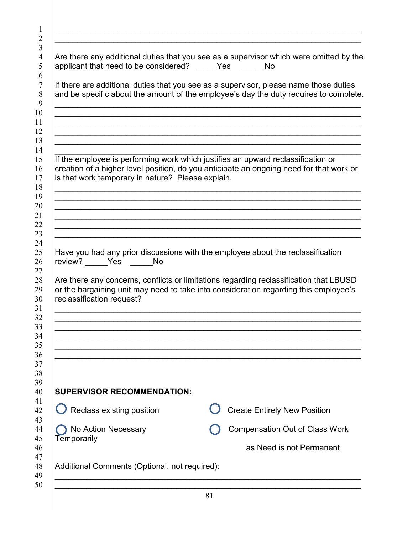| applicant that need to be considered? Yes No      | Are there any additional duties that you see as a supervisor which were omitted by the                                                                                                                                                                            |
|---------------------------------------------------|-------------------------------------------------------------------------------------------------------------------------------------------------------------------------------------------------------------------------------------------------------------------|
|                                                   | If there are additional duties that you see as a supervisor, please name those duties<br>and be specific about the amount of the employee's day the duty requires to complete.                                                                                    |
| is that work temporary in nature? Please explain. | If the employee is performing work which justifies an upward reclassification or<br>creation of a higher level position, do you anticipate an ongoing need for that work or                                                                                       |
|                                                   |                                                                                                                                                                                                                                                                   |
| review? _____Yes No<br>reclassification request?  | Have you had any prior discussions with the employee about the reclassification<br>Are there any concerns, conflicts or limitations regarding reclassification that LBUSD<br>or the bargaining unit may need to take into consideration regarding this employee's |
|                                                   |                                                                                                                                                                                                                                                                   |
| <b>SUPERVISOR RECOMMENDATION:</b>                 |                                                                                                                                                                                                                                                                   |
| $\bigcup$ Reclass existing position               | <b>Create Entirely New Position</b>                                                                                                                                                                                                                               |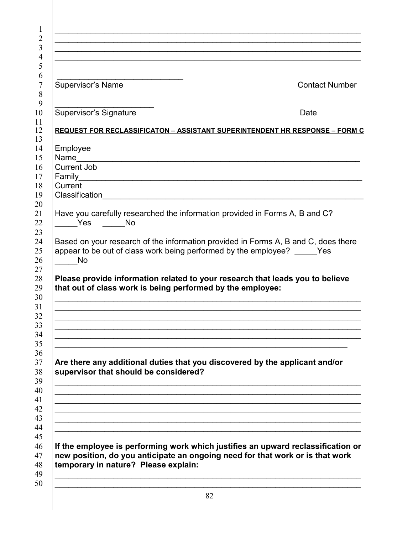| <b>Supervisor's Name</b> | <b>Contact Number</b>                                                                                                                                                                                                                                                                                                                                                                                                                                                                                                                                                                                                                                                                                                                             |
|--------------------------|---------------------------------------------------------------------------------------------------------------------------------------------------------------------------------------------------------------------------------------------------------------------------------------------------------------------------------------------------------------------------------------------------------------------------------------------------------------------------------------------------------------------------------------------------------------------------------------------------------------------------------------------------------------------------------------------------------------------------------------------------|
|                          |                                                                                                                                                                                                                                                                                                                                                                                                                                                                                                                                                                                                                                                                                                                                                   |
|                          | Date                                                                                                                                                                                                                                                                                                                                                                                                                                                                                                                                                                                                                                                                                                                                              |
|                          |                                                                                                                                                                                                                                                                                                                                                                                                                                                                                                                                                                                                                                                                                                                                                   |
|                          |                                                                                                                                                                                                                                                                                                                                                                                                                                                                                                                                                                                                                                                                                                                                                   |
| Employee                 |                                                                                                                                                                                                                                                                                                                                                                                                                                                                                                                                                                                                                                                                                                                                                   |
|                          |                                                                                                                                                                                                                                                                                                                                                                                                                                                                                                                                                                                                                                                                                                                                                   |
|                          |                                                                                                                                                                                                                                                                                                                                                                                                                                                                                                                                                                                                                                                                                                                                                   |
|                          |                                                                                                                                                                                                                                                                                                                                                                                                                                                                                                                                                                                                                                                                                                                                                   |
|                          |                                                                                                                                                                                                                                                                                                                                                                                                                                                                                                                                                                                                                                                                                                                                                   |
|                          |                                                                                                                                                                                                                                                                                                                                                                                                                                                                                                                                                                                                                                                                                                                                                   |
|                          | Have you carefully researched the information provided in Forms A, B and C?                                                                                                                                                                                                                                                                                                                                                                                                                                                                                                                                                                                                                                                                       |
|                          |                                                                                                                                                                                                                                                                                                                                                                                                                                                                                                                                                                                                                                                                                                                                                   |
|                          |                                                                                                                                                                                                                                                                                                                                                                                                                                                                                                                                                                                                                                                                                                                                                   |
|                          |                                                                                                                                                                                                                                                                                                                                                                                                                                                                                                                                                                                                                                                                                                                                                   |
|                          |                                                                                                                                                                                                                                                                                                                                                                                                                                                                                                                                                                                                                                                                                                                                                   |
|                          |                                                                                                                                                                                                                                                                                                                                                                                                                                                                                                                                                                                                                                                                                                                                                   |
|                          | Please provide information related to your research that leads you to believe                                                                                                                                                                                                                                                                                                                                                                                                                                                                                                                                                                                                                                                                     |
|                          |                                                                                                                                                                                                                                                                                                                                                                                                                                                                                                                                                                                                                                                                                                                                                   |
|                          |                                                                                                                                                                                                                                                                                                                                                                                                                                                                                                                                                                                                                                                                                                                                                   |
|                          |                                                                                                                                                                                                                                                                                                                                                                                                                                                                                                                                                                                                                                                                                                                                                   |
|                          |                                                                                                                                                                                                                                                                                                                                                                                                                                                                                                                                                                                                                                                                                                                                                   |
|                          |                                                                                                                                                                                                                                                                                                                                                                                                                                                                                                                                                                                                                                                                                                                                                   |
|                          |                                                                                                                                                                                                                                                                                                                                                                                                                                                                                                                                                                                                                                                                                                                                                   |
|                          |                                                                                                                                                                                                                                                                                                                                                                                                                                                                                                                                                                                                                                                                                                                                                   |
|                          | Are there any additional duties that you discovered by the applicant and/or                                                                                                                                                                                                                                                                                                                                                                                                                                                                                                                                                                                                                                                                       |
|                          |                                                                                                                                                                                                                                                                                                                                                                                                                                                                                                                                                                                                                                                                                                                                                   |
|                          |                                                                                                                                                                                                                                                                                                                                                                                                                                                                                                                                                                                                                                                                                                                                                   |
|                          |                                                                                                                                                                                                                                                                                                                                                                                                                                                                                                                                                                                                                                                                                                                                                   |
|                          |                                                                                                                                                                                                                                                                                                                                                                                                                                                                                                                                                                                                                                                                                                                                                   |
|                          |                                                                                                                                                                                                                                                                                                                                                                                                                                                                                                                                                                                                                                                                                                                                                   |
|                          |                                                                                                                                                                                                                                                                                                                                                                                                                                                                                                                                                                                                                                                                                                                                                   |
|                          |                                                                                                                                                                                                                                                                                                                                                                                                                                                                                                                                                                                                                                                                                                                                                   |
|                          |                                                                                                                                                                                                                                                                                                                                                                                                                                                                                                                                                                                                                                                                                                                                                   |
|                          | new position, do you anticipate an ongoing need for that work or is that work                                                                                                                                                                                                                                                                                                                                                                                                                                                                                                                                                                                                                                                                     |
|                          |                                                                                                                                                                                                                                                                                                                                                                                                                                                                                                                                                                                                                                                                                                                                                   |
|                          |                                                                                                                                                                                                                                                                                                                                                                                                                                                                                                                                                                                                                                                                                                                                                   |
|                          |                                                                                                                                                                                                                                                                                                                                                                                                                                                                                                                                                                                                                                                                                                                                                   |
|                          |                                                                                                                                                                                                                                                                                                                                                                                                                                                                                                                                                                                                                                                                                                                                                   |
|                          | <b>Supervisor's Signature</b><br><b>REQUEST FOR RECLASSIFICATON - ASSISTANT SUPERINTENDENT HR RESPONSE - FORM C</b><br>Name<br><b>Current Job</b><br>Family<br><u> 1989 - Johann John Stone, mars eta bainar eta bainar eta baina eta baina eta baina eta baina eta baina eta b</u><br>Current<br>Classification<br>Yes<br><b>No</b><br>Based on your research of the information provided in Forms A, B and C, does there<br>appear to be out of class work being performed by the employee? Yes<br><b>No</b><br>that out of class work is being performed by the employee:<br>supervisor that should be considered?<br>If the employee is performing work which justifies an upward reclassification or<br>temporary in nature? Please explain: |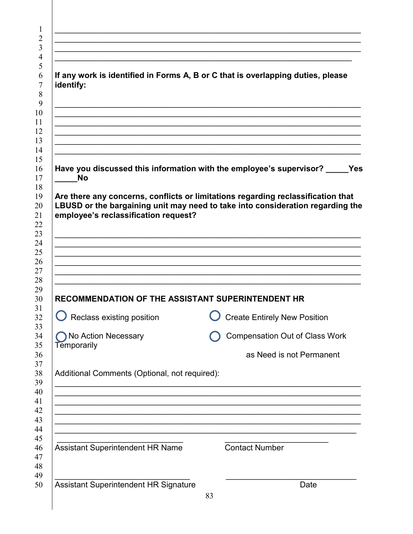| identify:                                                                        | If any work is identified in Forms A, B or C that is overlapping duties, please                                                                                    |
|----------------------------------------------------------------------------------|--------------------------------------------------------------------------------------------------------------------------------------------------------------------|
|                                                                                  |                                                                                                                                                                    |
|                                                                                  |                                                                                                                                                                    |
| Have you discussed this information with the employee's supervisor?<br><b>No</b> |                                                                                                                                                                    |
| employee's reclassification request?                                             | Are there any concerns, conflicts or limitations regarding reclassification that<br>LBUSD or the bargaining unit may need to take into consideration regarding the |
|                                                                                  |                                                                                                                                                                    |
|                                                                                  |                                                                                                                                                                    |
|                                                                                  |                                                                                                                                                                    |
| RECOMMENDATION OF THE ASSISTANT SUPERINTENDENT HR                                |                                                                                                                                                                    |
| $\bigcup$ Reclass existing position                                              | <b>Create Entirely New Position</b>                                                                                                                                |
| No Action Necessary<br>Temporarily                                               | <b>Compensation Out of Class Work</b>                                                                                                                              |
|                                                                                  | as Need is not Permanent                                                                                                                                           |
| Additional Comments (Optional, not required):                                    |                                                                                                                                                                    |
|                                                                                  |                                                                                                                                                                    |
|                                                                                  |                                                                                                                                                                    |
|                                                                                  |                                                                                                                                                                    |
| <b>Assistant Superintendent HR Name</b>                                          | <b>Contact Number</b>                                                                                                                                              |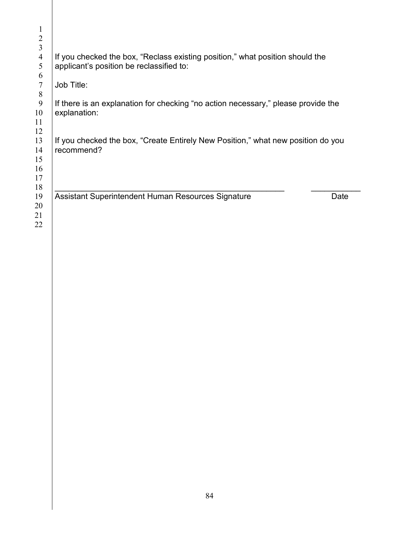| 1<br>$\overline{2}$ |                                                                                                |
|---------------------|------------------------------------------------------------------------------------------------|
| 3                   |                                                                                                |
| $\overline{4}$      | If you checked the box, "Reclass existing position," what position should the                  |
| 5                   | applicant's position be reclassified to:                                                       |
| 6                   |                                                                                                |
| $\tau$              | Job Title:                                                                                     |
| 8                   |                                                                                                |
| 9                   | If there is an explanation for checking "no action necessary," please provide the              |
| 10                  | explanation:                                                                                   |
| 11                  |                                                                                                |
| 12                  |                                                                                                |
| 13<br>14            | If you checked the box, "Create Entirely New Position," what new position do you<br>recommend? |
| 15                  |                                                                                                |
| 16                  |                                                                                                |
| 17                  |                                                                                                |
| 18                  |                                                                                                |
| 19                  | Assistant Superintendent Human Resources Signature<br>Date                                     |
| 20                  |                                                                                                |
| 21                  |                                                                                                |
| 22                  |                                                                                                |
|                     |                                                                                                |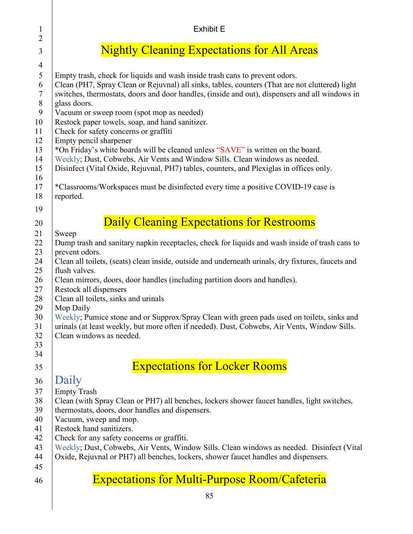| 1<br>$\overline{2}$                                                                                    | <b>Exhibit E</b>                                                                                                                                                                                                                                                                                                                                                                                                                                                                                                                                                                                                                                                                                                                                                                                                                    |
|--------------------------------------------------------------------------------------------------------|-------------------------------------------------------------------------------------------------------------------------------------------------------------------------------------------------------------------------------------------------------------------------------------------------------------------------------------------------------------------------------------------------------------------------------------------------------------------------------------------------------------------------------------------------------------------------------------------------------------------------------------------------------------------------------------------------------------------------------------------------------------------------------------------------------------------------------------|
| 3                                                                                                      | <b>Nightly Cleaning Expectations for All Areas</b>                                                                                                                                                                                                                                                                                                                                                                                                                                                                                                                                                                                                                                                                                                                                                                                  |
| $\overline{4}$<br>5<br>6<br>$\tau$<br>$8\,$<br>9<br>10<br>11<br>12<br>13<br>14<br>15<br>16<br>17<br>18 | Empty trash, check for liquids and wash inside trash cans to prevent odors.<br>Clean (PH7, Spray Clean or Rejuvnal) all sinks, tables, counters (That are not cluttered) light<br>switches, thermostats, doors and door handles, (inside and out), dispensers and all windows in<br>glass doors.<br>Vacuum or sweep room (spot mop as needed)<br>Restock paper towels, soap, and hand sanitizer.<br>Check for safety concerns or graffiti<br>Empty pencil sharpener<br>*On Friday's white boards will be cleaned unless "SAVE" is written on the board.<br>Weekly; Dust, Cobwebs, Air Vents and Window Sills. Clean windows as needed.<br>Disinfect (Vital Oxide, Rejuvnal, PH7) tables, counters, and Plexiglas in offices only.<br>*Classrooms/Workspaces must be disinfected every time a positive COVID-19 case is<br>reported. |
| 19                                                                                                     |                                                                                                                                                                                                                                                                                                                                                                                                                                                                                                                                                                                                                                                                                                                                                                                                                                     |
| 20<br>21                                                                                               | <b>Daily Cleaning Expectations for Restrooms</b><br>Sweep                                                                                                                                                                                                                                                                                                                                                                                                                                                                                                                                                                                                                                                                                                                                                                           |
| 22<br>23<br>24<br>25<br>26<br>27<br>28<br>29<br>30<br>31<br>32<br>33<br>34                             | Dump trash and sanitary napkin receptacles, check for liquids and wash inside of trash cans to<br>prevent odors.<br>Clean all toilets, (seats) clean inside, outside and underneath urinals, dry fixtures, faucets and<br>flush valves.<br>Clean mirrors, doors, door handles (including partition doors and handles).<br>Restock all dispensers<br>Clean all toilets, sinks and urinals<br>Mop Daily<br>Weekly; Pumice stone and or Supprox/Spray Clean with green pads used on toilets, sinks and<br>urinals (at least weekly, but more often if needed). Dust, Cobwebs, Air Vents, Window Sills.<br>Clean windows as needed.                                                                                                                                                                                                     |
| 35                                                                                                     | <b>Expectations for Locker Rooms</b>                                                                                                                                                                                                                                                                                                                                                                                                                                                                                                                                                                                                                                                                                                                                                                                                |
| 36<br>37<br>38<br>39<br>40<br>41<br>42<br>43<br>44<br>45                                               | Daily<br><b>Empty Trash</b><br>Clean (with Spray Clean or PH7) all benches, lockers shower faucet handles, light switches,<br>thermostats, doors, door handles and dispensers.<br>Vacuum, sweep and mop.<br>Restock hand sanitizers.<br>Check for any safety concerns or graffiti.<br>Weekly; Dust, Cobwebs, Air Vents, Window Sills. Clean windows as needed. Disinfect (Vital<br>Oxide, Rejuvnal or PH7) all benches, lockers, shower faucet handles and dispensers.                                                                                                                                                                                                                                                                                                                                                              |
| 46                                                                                                     | <b>Expectations for Multi-Purpose Room/Cafeteria</b>                                                                                                                                                                                                                                                                                                                                                                                                                                                                                                                                                                                                                                                                                                                                                                                |
|                                                                                                        |                                                                                                                                                                                                                                                                                                                                                                                                                                                                                                                                                                                                                                                                                                                                                                                                                                     |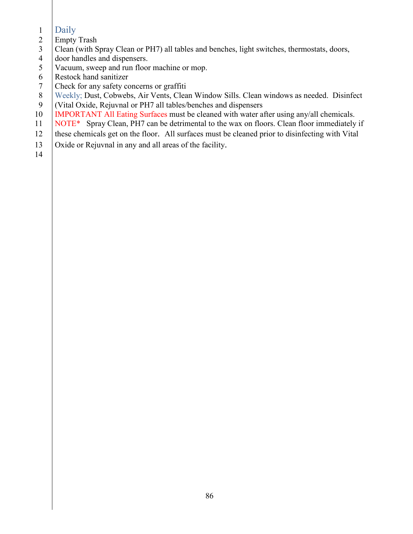- Daily
- Empty Trash
- Clean (with Spray Clean or PH7) all tables and benches, light switches, thermostats, doors,
- 4 door handles and dispensers.<br>5 Vacuum, sweep and run floor
- Vacuum, sweep and run floor machine or mop.
- Restock hand sanitizer
- Check for any safety concerns or graffiti
- 8 | Weekly; Dust, Cobwebs, Air Vents, Clean Window Sills. Clean windows as needed. Disinfect
- (Vital Oxide, Rejuvnal or PH7 all tables/benches and dispensers
- 10 IMPORTANT All Eating Surfaces must be cleaned with water after using any/all chemicals.
- 11 NOTE\* Spray Clean, PH7 can be detrimental to the wax on floors. Clean floor immediately if
- these chemicals get on the floor. All surfaces must be cleaned prior to disinfecting with Vital
- Oxide or Rejuvnal in any and all areas of the facility.
-